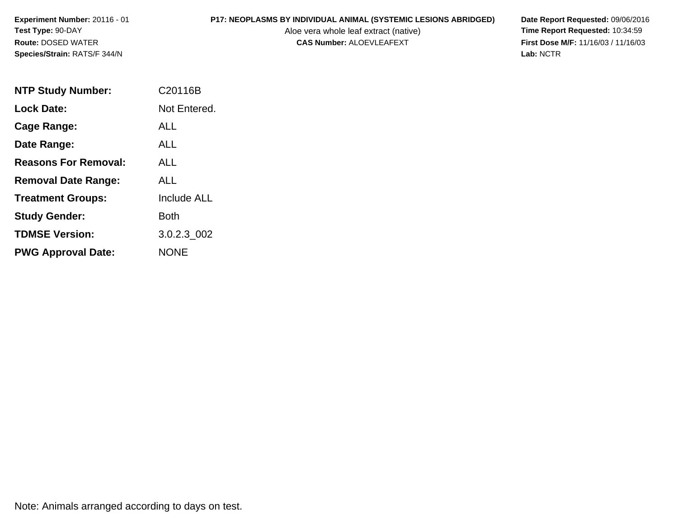# **P17: NEOPLASMS BY INDIVIDUAL ANIMAL (SYSTEMIC LESIONS ABRIDGED)** Date Report Requested: 09/06/2016<br>Aloe vera whole leaf extract (native) **Time Report Requested:** 10:34:59

Aloe vera whole leaf extract (native)<br>**CAS Number:** ALOEVLEAFEXT

**First Dose M/F:** 11/16/03 / 11/16/03<br>Lab: NCTR **Lab:** NCTR

| <b>NTP Study Number:</b>    | C20116B      |
|-----------------------------|--------------|
| <b>Lock Date:</b>           | Not Entered. |
| Cage Range:                 | ALL          |
| Date Range:                 | ALL          |
| <b>Reasons For Removal:</b> | ALL.         |
| <b>Removal Date Range:</b>  | ALL          |
| <b>Treatment Groups:</b>    | Include ALL  |
| <b>Study Gender:</b>        | Both         |
| <b>TDMSE Version:</b>       | 3.0.2.3 002  |
| <b>PWG Approval Date:</b>   | NONE         |

Note: Animals arranged according to days on test.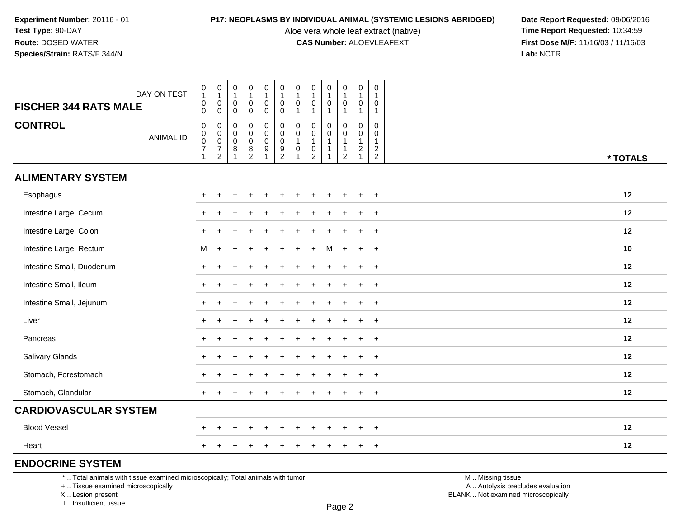Aloe vera whole leaf extract (native)<br>**CAS Number:** ALOEVLEAFEXT

**P17: NEOPLASMS BY INDIVIDUAL ANIMAL (SYSTEMIC LESIONS ABRIDGED)** Date Report Requested: 09/06/2016<br>Aloe vera whole leaf extract (native) **Time Report Requested:** 10:34:59 **First Dose M/F:** 11/16/03 / 11/16/03<br>Lab: NCTR **Lab:** NCTR

| <b>FISCHER 344 RATS MALE</b> | DAY ON TEST      | $\pmb{0}$<br>$\mathbf{1}$<br>$\pmb{0}$<br>$\mathsf{O}\xspace$            | $\begin{smallmatrix}0\\1\end{smallmatrix}$<br>$\pmb{0}$<br>$\mathbf 0$ | $\begin{smallmatrix}0\\1\end{smallmatrix}$<br>$\mathbf 0$<br>$\mathsf 0$ | $\pmb{0}$<br>$\mathbf{1}$<br>$\mathbf 0$<br>$\mathbf 0$    | 0<br>$\mathbf{1}$<br>$\mathbf 0$<br>$\mathbf 0$           | $\pmb{0}$<br>$\mathbf{1}$<br>$\mathbf 0$<br>$\mathbf 0$           | 0<br>$\mathbf 1$<br>0<br>$\mathbf{1}$                                 | $\mathbf 0$<br>$\mathbf{1}$<br>$\mathbf 0$                                              | $\boldsymbol{0}$<br>$\overline{1}$<br>$\mathbf 0$<br>$\overline{\mathbf{1}}$ | 0<br>$\mathbf{1}$<br>0<br>$\mathbf{1}$      | $\pmb{0}$<br>$\overline{1}$<br>$\mathbf 0$<br>$\mathbf{1}$                 | 0<br>$\mathbf 1$<br>$\mathbf 0$<br>$\mathbf{1}$   |          |
|------------------------------|------------------|--------------------------------------------------------------------------|------------------------------------------------------------------------|--------------------------------------------------------------------------|------------------------------------------------------------|-----------------------------------------------------------|-------------------------------------------------------------------|-----------------------------------------------------------------------|-----------------------------------------------------------------------------------------|------------------------------------------------------------------------------|---------------------------------------------|----------------------------------------------------------------------------|---------------------------------------------------|----------|
| <b>CONTROL</b>               | <b>ANIMAL ID</b> | $\pmb{0}$<br>$\begin{matrix} 0 \\ 0 \\ 7 \end{matrix}$<br>$\overline{1}$ | $\pmb{0}$<br>$\begin{matrix} 0 \\ 0 \\ 7 \\ 2 \end{matrix}$            | $\mathbf 0$<br>$\mathbf 0$<br>$\mathbf 0$<br>8<br>$\overline{1}$         | $\mathbf 0$<br>$\mathbf 0$<br>$\mathbf 0$<br>$\frac{8}{2}$ | 0<br>$\pmb{0}$<br>$\mathsf{O}\xspace$<br>$\boldsymbol{9}$ | 0<br>$\begin{smallmatrix}0\0\0\end{smallmatrix}$<br>$\frac{9}{2}$ | $\mathbf 0$<br>$\pmb{0}$<br>$\mathbf{1}$<br>$\pmb{0}$<br>$\mathbf{1}$ | $\Omega$<br>$\mathbf 0$<br>$\mathbf{1}$<br>$\begin{smallmatrix} 0\\2 \end{smallmatrix}$ | $\mathbf 0$<br>$\mathbf 0$<br>$\overline{1}$<br>-1<br>-1                     | 0<br>0<br>$\mathbf{1}$<br>$\mathbf{1}$<br>2 | $\mathbf 0$<br>$\mathbf 0$<br>$\overline{1}$<br>$\sqrt{2}$<br>$\mathbf{1}$ | $\mathbf 0$<br>$\mathbf 0$<br>-1<br>$\frac{2}{2}$ | * TOTALS |
| <b>ALIMENTARY SYSTEM</b>     |                  |                                                                          |                                                                        |                                                                          |                                                            |                                                           |                                                                   |                                                                       |                                                                                         |                                                                              |                                             |                                                                            |                                                   |          |
| Esophagus                    |                  | $+$                                                                      |                                                                        |                                                                          |                                                            |                                                           |                                                                   | $\div$                                                                |                                                                                         |                                                                              | $\ddot{}$                                   | $\ddot{}$                                                                  | $\overline{+}$                                    | 12       |
| Intestine Large, Cecum       |                  |                                                                          |                                                                        |                                                                          |                                                            |                                                           |                                                                   |                                                                       |                                                                                         |                                                                              |                                             |                                                                            | $\ddot{}$                                         | 12       |
| Intestine Large, Colon       |                  | $\pm$                                                                    |                                                                        |                                                                          |                                                            |                                                           |                                                                   |                                                                       |                                                                                         |                                                                              |                                             |                                                                            | $\overline{+}$                                    | 12       |
| Intestine Large, Rectum      |                  | M                                                                        | $+$                                                                    |                                                                          |                                                            |                                                           |                                                                   |                                                                       |                                                                                         |                                                                              | $\ddot{}$                                   | $+$                                                                        | $+$                                               | 10       |
| Intestine Small, Duodenum    |                  | $+$                                                                      |                                                                        |                                                                          |                                                            |                                                           |                                                                   |                                                                       |                                                                                         |                                                                              | $\ddot{}$                                   | $\ddot{}$                                                                  | $+$                                               | 12       |
| Intestine Small, Ileum       |                  | $+$                                                                      |                                                                        |                                                                          |                                                            |                                                           |                                                                   |                                                                       |                                                                                         |                                                                              |                                             | ÷                                                                          | $+$                                               | 12       |
| Intestine Small, Jejunum     |                  | $+$                                                                      |                                                                        |                                                                          |                                                            |                                                           |                                                                   |                                                                       |                                                                                         |                                                                              |                                             |                                                                            | $\ddot{}$                                         | 12       |
| Liver                        |                  | $+$                                                                      |                                                                        |                                                                          |                                                            |                                                           |                                                                   |                                                                       |                                                                                         |                                                                              | $+$                                         | $\ddot{}$                                                                  | $+$                                               | 12       |
| Pancreas                     |                  | $+$                                                                      |                                                                        |                                                                          |                                                            |                                                           |                                                                   |                                                                       |                                                                                         |                                                                              | $\ddot{}$                                   | $\ddot{}$                                                                  | $\overline{+}$                                    | 12       |
| Salivary Glands              |                  | $+$                                                                      |                                                                        |                                                                          |                                                            |                                                           |                                                                   |                                                                       |                                                                                         |                                                                              |                                             | $\ddot{}$                                                                  | $+$                                               | 12       |
| Stomach, Forestomach         |                  |                                                                          |                                                                        |                                                                          |                                                            |                                                           |                                                                   |                                                                       |                                                                                         |                                                                              |                                             |                                                                            | $\ddot{}$                                         | 12       |
| Stomach, Glandular           |                  | $+$                                                                      |                                                                        |                                                                          |                                                            |                                                           |                                                                   |                                                                       |                                                                                         |                                                                              |                                             |                                                                            | $+$                                               | 12       |
| <b>CARDIOVASCULAR SYSTEM</b> |                  |                                                                          |                                                                        |                                                                          |                                                            |                                                           |                                                                   |                                                                       |                                                                                         |                                                                              |                                             |                                                                            |                                                   |          |
| <b>Blood Vessel</b>          |                  | $\pm$                                                                    |                                                                        |                                                                          |                                                            |                                                           |                                                                   |                                                                       |                                                                                         |                                                                              |                                             |                                                                            | $\overline{+}$                                    | 12       |
| Heart                        |                  | $\pm$                                                                    |                                                                        |                                                                          |                                                            |                                                           |                                                                   |                                                                       |                                                                                         |                                                                              | ÷                                           | $\ddot{}$                                                                  | $\overline{+}$                                    | 12       |
| <b>ENDOCRINE SYSTEM</b>      |                  |                                                                          |                                                                        |                                                                          |                                                            |                                                           |                                                                   |                                                                       |                                                                                         |                                                                              |                                             |                                                                            |                                                   |          |

\* .. Total animals with tissue examined microscopically; Total animals with tumor

+ .. Tissue examined microscopically

X .. Lesion present

I .. Insufficient tissue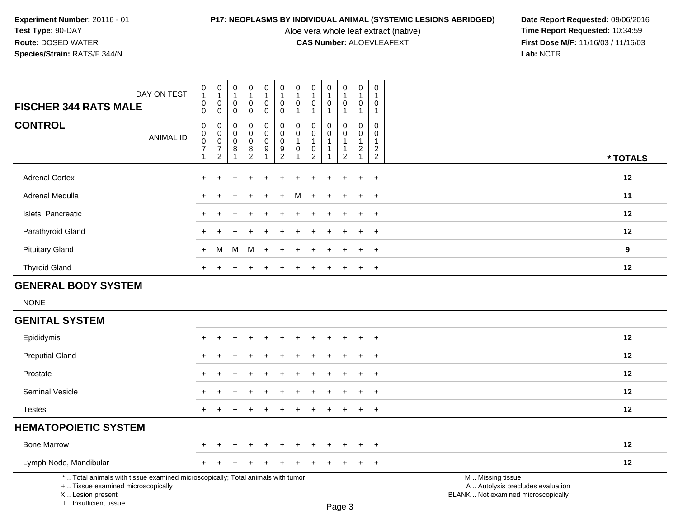I .. Insufficient tissue

Aloe vera whole leaf extract (native)<br>**CAS Number:** ALOEVLEAFEXT

| DAY ON TEST<br><b>FISCHER 344 RATS MALE</b>                                                                                                | $\pmb{0}$<br>1<br>$\pmb{0}$<br>0                      | $\mathbf 0$<br>$\mathbf{1}$<br>$\mathbf 0$<br>$\mathbf 0$           | $\pmb{0}$<br>$\mathbf{1}$<br>$\mathbf 0$<br>$\mathbf 0$ | $\pmb{0}$<br>$\mathbf{1}$<br>$\mathbf 0$<br>$\mathbf 0$              | $\mathbf 0$<br>$\overline{1}$<br>$\mathbf 0$<br>$\mathbf 0$               | $\mathsf{O}\xspace$<br>$\mathbf{1}$<br>$\mathbf 0$<br>0          | 0<br>-1<br>0<br>$\mathbf{1}$        | $\pmb{0}$<br>$\mathbf{1}$<br>$\pmb{0}$<br>$\overline{1}$     | $\pmb{0}$<br>$\mathbf{1}$<br>0<br>$\mathbf{1}$ | $\boldsymbol{0}$<br>$\mathbf{1}$<br>$\boldsymbol{0}$<br>$\mathbf{1}$     | $\pmb{0}$<br>$\mathbf{1}$<br>0<br>$\mathbf{1}$                  | $\pmb{0}$<br>$\mathbf{1}$<br>$\mathbf 0$<br>$\mathbf{1}$                          |                                                                                               |
|--------------------------------------------------------------------------------------------------------------------------------------------|-------------------------------------------------------|---------------------------------------------------------------------|---------------------------------------------------------|----------------------------------------------------------------------|---------------------------------------------------------------------------|------------------------------------------------------------------|-------------------------------------|--------------------------------------------------------------|------------------------------------------------|--------------------------------------------------------------------------|-----------------------------------------------------------------|-----------------------------------------------------------------------------------|-----------------------------------------------------------------------------------------------|
| <b>CONTROL</b><br><b>ANIMAL ID</b>                                                                                                         | $\pmb{0}$<br>$\pmb{0}$<br>$\pmb{0}$<br>$\overline{7}$ | $\boldsymbol{0}$<br>$\pmb{0}$<br>$\mathbf 0$<br>$\overline{7}$<br>2 | 0<br>$\mathbf 0$<br>$\mathbf 0$<br>8<br>1               | 0<br>$\mathsf{O}\xspace$<br>$\mathbf 0$<br>$\bf 8$<br>$\overline{c}$ | $\pmb{0}$<br>$\pmb{0}$<br>$\mathsf 0$<br>$\boldsymbol{9}$<br>$\mathbf{1}$ | $\pmb{0}$<br>$\mathsf{O}\xspace$<br>$\mathbf 0$<br>$\frac{9}{2}$ | $\Omega$<br>$\Omega$<br>$\mathbf 0$ | $\pmb{0}$<br>$\mathbf 0$<br>$\overline{1}$<br>$\pmb{0}$<br>2 | 0<br>$\Omega$<br>$\mathbf{1}$                  | $\Omega$<br>$\Omega$<br>$\mathbf{1}$<br>$\overline{1}$<br>$\overline{2}$ | $\Omega$<br>0<br>$\mathbf{1}$<br>$\overline{c}$<br>$\mathbf{1}$ | $\Omega$<br>$\Omega$<br>$\mathbf{1}$<br>$\overline{\mathbf{c}}$<br>$\overline{2}$ | * TOTALS                                                                                      |
| <b>Adrenal Cortex</b>                                                                                                                      |                                                       |                                                                     |                                                         |                                                                      |                                                                           |                                                                  |                                     |                                                              |                                                |                                                                          |                                                                 | $\ddot{}$                                                                         | 12                                                                                            |
| Adrenal Medulla                                                                                                                            |                                                       |                                                                     |                                                         |                                                                      |                                                                           |                                                                  | м                                   |                                                              | ÷.                                             |                                                                          | $\ddot{}$                                                       | $\ddot{}$                                                                         | 11                                                                                            |
| Islets, Pancreatic                                                                                                                         | $\ddot{}$                                             |                                                                     |                                                         |                                                                      |                                                                           |                                                                  |                                     |                                                              |                                                |                                                                          | $\ddot{}$                                                       | $\ddot{}$                                                                         | 12                                                                                            |
| Parathyroid Gland                                                                                                                          | $\ddot{}$                                             |                                                                     |                                                         |                                                                      |                                                                           |                                                                  |                                     |                                                              |                                                |                                                                          |                                                                 | $\ddot{}$                                                                         | 12                                                                                            |
| <b>Pituitary Gland</b>                                                                                                                     | $\ddot{}$                                             | м                                                                   | M                                                       | М                                                                    |                                                                           |                                                                  |                                     |                                                              |                                                |                                                                          |                                                                 | $\ddot{}$                                                                         | 9                                                                                             |
| <b>Thyroid Gland</b>                                                                                                                       | $\ddot{}$                                             |                                                                     |                                                         |                                                                      |                                                                           |                                                                  |                                     |                                                              |                                                |                                                                          | $\ddot{}$                                                       | $\overline{+}$                                                                    | 12                                                                                            |
| <b>GENERAL BODY SYSTEM</b>                                                                                                                 |                                                       |                                                                     |                                                         |                                                                      |                                                                           |                                                                  |                                     |                                                              |                                                |                                                                          |                                                                 |                                                                                   |                                                                                               |
| <b>NONE</b>                                                                                                                                |                                                       |                                                                     |                                                         |                                                                      |                                                                           |                                                                  |                                     |                                                              |                                                |                                                                          |                                                                 |                                                                                   |                                                                                               |
| <b>GENITAL SYSTEM</b>                                                                                                                      |                                                       |                                                                     |                                                         |                                                                      |                                                                           |                                                                  |                                     |                                                              |                                                |                                                                          |                                                                 |                                                                                   |                                                                                               |
| Epididymis                                                                                                                                 |                                                       |                                                                     |                                                         |                                                                      |                                                                           |                                                                  |                                     |                                                              |                                                |                                                                          |                                                                 | $\ddot{}$                                                                         | 12                                                                                            |
| <b>Preputial Gland</b>                                                                                                                     |                                                       |                                                                     |                                                         |                                                                      |                                                                           |                                                                  |                                     |                                                              |                                                |                                                                          |                                                                 |                                                                                   | 12                                                                                            |
| Prostate                                                                                                                                   |                                                       |                                                                     |                                                         |                                                                      |                                                                           |                                                                  |                                     |                                                              |                                                |                                                                          |                                                                 | $\ddot{}$                                                                         | 12                                                                                            |
| Seminal Vesicle                                                                                                                            |                                                       |                                                                     |                                                         |                                                                      |                                                                           |                                                                  |                                     |                                                              |                                                |                                                                          |                                                                 | $\ddot{}$                                                                         | 12                                                                                            |
| <b>Testes</b>                                                                                                                              | $\ddot{}$                                             |                                                                     |                                                         |                                                                      |                                                                           |                                                                  |                                     |                                                              |                                                |                                                                          | $+$                                                             | $+$                                                                               | 12                                                                                            |
| <b>HEMATOPOIETIC SYSTEM</b>                                                                                                                |                                                       |                                                                     |                                                         |                                                                      |                                                                           |                                                                  |                                     |                                                              |                                                |                                                                          |                                                                 |                                                                                   |                                                                                               |
| <b>Bone Marrow</b>                                                                                                                         |                                                       |                                                                     |                                                         |                                                                      |                                                                           |                                                                  |                                     |                                                              |                                                |                                                                          |                                                                 |                                                                                   | 12                                                                                            |
| Lymph Node, Mandibular                                                                                                                     |                                                       |                                                                     |                                                         |                                                                      |                                                                           |                                                                  |                                     |                                                              |                                                |                                                                          |                                                                 | $\ddot{}$                                                                         | 12                                                                                            |
| *  Total animals with tissue examined microscopically; Total animals with tumor<br>+  Tissue examined microscopically<br>X  Lesion present |                                                       |                                                                     |                                                         |                                                                      |                                                                           |                                                                  |                                     |                                                              |                                                |                                                                          |                                                                 |                                                                                   | M  Missing tissue<br>A  Autolysis precludes evaluation<br>BLANK  Not examined microscopically |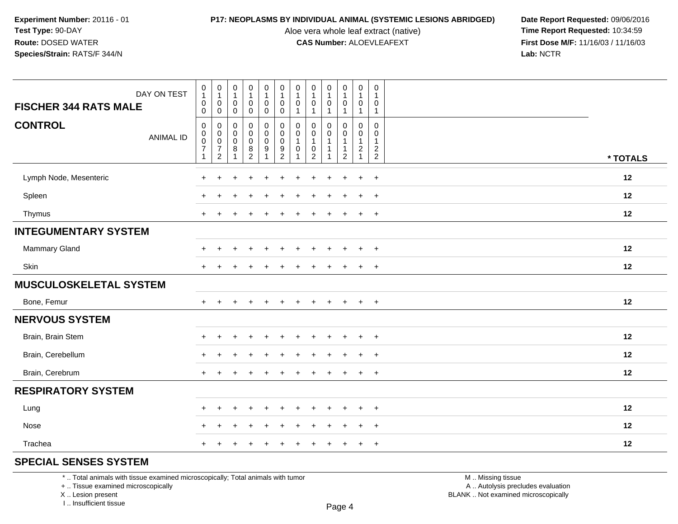Aloe vera whole leaf extract (native)<br>**CAS Number:** ALOEVLEAFEXT

**P17: NEOPLASMS BY INDIVIDUAL ANIMAL (SYSTEMIC LESIONS ABRIDGED)** Date Report Requested: 09/06/2016<br>Aloe vera whole leaf extract (native) **Time Report Requested:** 10:34:59 **First Dose M/F:** 11/16/03 / 11/16/03<br>Lab: NCTR **Lab:** NCTR

| <b>CONTROL</b><br>$\mathbf 0$<br>$\mathbf 0$<br>0<br>0<br>$\mathbf 0$<br>$\Omega$<br>$\mathbf 0$<br>0<br>0<br>0<br>0<br>0<br>0<br>$\boldsymbol{0}$<br>$\boldsymbol{0}$<br>$\mathbf 0$<br>0<br>$\mathbf 0$<br>$\mathbf 0$<br>$\mathbf 0$<br>0<br>0<br>0<br>0<br><b>ANIMAL ID</b>                                                                                                                                                                                                                                                                                                |  |
|--------------------------------------------------------------------------------------------------------------------------------------------------------------------------------------------------------------------------------------------------------------------------------------------------------------------------------------------------------------------------------------------------------------------------------------------------------------------------------------------------------------------------------------------------------------------------------|--|
| $\mathbf 0$<br>$\mathsf{O}\xspace$<br>$\overline{1}$<br>0<br>$\pmb{0}$<br>$\overline{0}$<br>$\pmb{0}$<br>$\mathbf{1}$<br>$\mathbf{1}$<br>-1<br>$\mathbf{1}$<br>$\mathbf{1}$<br>$\overline{7}$<br>$\boldsymbol{7}$<br>$\,8\,$<br>$\begin{smallmatrix} 8 \\ 2 \end{smallmatrix}$<br>$\boldsymbol{9}$<br>$\boldsymbol{9}$<br>$\pmb{0}$<br>$\pmb{0}$<br>$\mathbf{1}$<br>$\overline{c}$<br>$\sqrt{2}$<br>-1<br>$\overline{2}$<br>$\overline{2}$<br>$\overline{2}$<br>$\overline{2}$<br>$\overline{2}$<br>$\mathbf{1}$<br>$\overline{1}$<br>$\mathbf{1}$<br>1<br>-1<br>1<br>* TOTALS |  |
| Lymph Node, Mesenteric<br>12<br>$\ddot{}$<br>$\ddot{}$<br>$\ddot{}$                                                                                                                                                                                                                                                                                                                                                                                                                                                                                                            |  |
| 12<br>Spleen<br>$\ddot{}$<br>$\ddot{}$                                                                                                                                                                                                                                                                                                                                                                                                                                                                                                                                         |  |
| 12<br>Thymus<br>$+$<br>$\ddot{}$<br>$\ddot{}$<br>$\pm$                                                                                                                                                                                                                                                                                                                                                                                                                                                                                                                         |  |
| <b>INTEGUMENTARY SYSTEM</b>                                                                                                                                                                                                                                                                                                                                                                                                                                                                                                                                                    |  |
| <b>Mammary Gland</b><br>12<br>$\ddot{}$<br>$+$<br>$\ddot{}$<br>÷                                                                                                                                                                                                                                                                                                                                                                                                                                                                                                               |  |
| Skin<br>12<br>$\ddot{}$<br>$\ddot{}$                                                                                                                                                                                                                                                                                                                                                                                                                                                                                                                                           |  |
| <b>MUSCULOSKELETAL SYSTEM</b>                                                                                                                                                                                                                                                                                                                                                                                                                                                                                                                                                  |  |
| Bone, Femur<br>12<br>$+$<br>$\div$                                                                                                                                                                                                                                                                                                                                                                                                                                                                                                                                             |  |
| <b>NERVOUS SYSTEM</b>                                                                                                                                                                                                                                                                                                                                                                                                                                                                                                                                                          |  |
| Brain, Brain Stem<br>12<br>$\ddot{}$<br>$\ddot{}$                                                                                                                                                                                                                                                                                                                                                                                                                                                                                                                              |  |
| Brain, Cerebellum<br>12<br>$+$<br>$+$<br>$+$<br>÷<br>$\pm$                                                                                                                                                                                                                                                                                                                                                                                                                                                                                                                     |  |
| Brain, Cerebrum<br>12<br>$+$<br>$\div$<br>+                                                                                                                                                                                                                                                                                                                                                                                                                                                                                                                                    |  |
| <b>RESPIRATORY SYSTEM</b>                                                                                                                                                                                                                                                                                                                                                                                                                                                                                                                                                      |  |
| 12<br>Lung<br>$\ddot{}$<br>$\ddot{}$                                                                                                                                                                                                                                                                                                                                                                                                                                                                                                                                           |  |
| Nose<br>12<br>$+$<br>÷<br>$\div$<br>$\overline{ }$<br>÷<br>÷                                                                                                                                                                                                                                                                                                                                                                                                                                                                                                                   |  |
| Trachea<br>12<br>$\overline{+}$<br>$\ddot{}$                                                                                                                                                                                                                                                                                                                                                                                                                                                                                                                                   |  |

### **SPECIAL SENSES SYSTEM**

\* .. Total animals with tissue examined microscopically; Total animals with tumor

+ .. Tissue examined microscopically

X .. Lesion present

I .. Insufficient tissue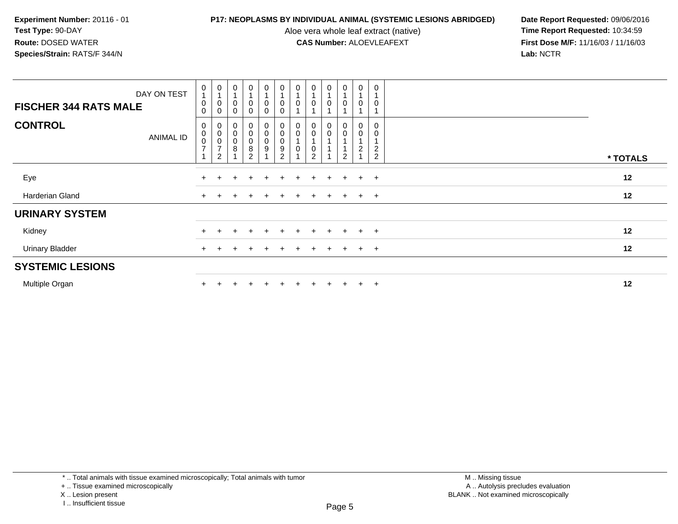Aloe vera whole leaf extract (native)<br>**CAS Number:** ALOEVLEAFEXT

| DAY ON TEST<br><b>FISCHER 344 RATS MALE</b> | $\pmb{0}$<br>$\overline{A}$<br>$\pmb{0}$<br>0 | $\begin{smallmatrix}0\\1\end{smallmatrix}$<br>0<br>0 | $\pmb{0}$<br>0                                    | $\mathbf 0$<br>0                           | $\frac{0}{1}$<br>0<br>0                                              | $\pmb{0}$<br>$\pmb{0}$<br>$\pmb{0}$                                | $\frac{0}{1}$<br>0      | $\pmb{0}$                                            | $\mathbf 0$<br>0 | $\frac{0}{1}$<br>$\mathbf 0$       | $\pmb{0}$<br>$\mathbf 0$     | $\mathbf 0$<br>0                           |          |  |
|---------------------------------------------|-----------------------------------------------|------------------------------------------------------|---------------------------------------------------|--------------------------------------------|----------------------------------------------------------------------|--------------------------------------------------------------------|-------------------------|------------------------------------------------------|------------------|------------------------------------|------------------------------|--------------------------------------------|----------|--|
| <b>CONTROL</b><br><b>ANIMAL ID</b>          | 0<br>$\pmb{0}$<br>$\pmb{0}$<br>$\overline{ }$ | 0<br>$\frac{0}{0}$<br>$\overline{c}$                 | $\boldsymbol{0}$<br>$\pmb{0}$<br>$\mathbf 0$<br>8 | 0<br>0<br>$\pmb{0}$<br>8<br>$\overline{2}$ | $\begin{smallmatrix}0\0\0\0\end{smallmatrix}$<br>9<br>$\overline{A}$ | 0<br>$\begin{smallmatrix}0\0\0\end{smallmatrix}$<br>$\overline{2}$ | $_{\rm 0}^{\rm 0}$<br>0 | $\boldsymbol{0}$<br>$\pmb{0}$<br>0<br>$\overline{2}$ | 0<br>$\mathbf 0$ | 0<br>$\mathbf 0$<br>$\overline{2}$ | 0<br>$\pmb{0}$<br>$\sqrt{2}$ | 0<br>0<br>$\overline{c}$<br>$\overline{2}$ | * TOTALS |  |
| Eye                                         |                                               |                                                      |                                                   |                                            |                                                                      |                                                                    |                         | $\div$                                               | $\pm$            | $+$                                | $+$                          | $+$                                        | 12       |  |
| Harderian Gland                             |                                               |                                                      |                                                   |                                            |                                                                      |                                                                    |                         | $\pm$                                                | $\pm$            | $+$                                | $+$                          | $+$                                        | 12       |  |
| <b>URINARY SYSTEM</b>                       |                                               |                                                      |                                                   |                                            |                                                                      |                                                                    |                         |                                                      |                  |                                    |                              |                                            |          |  |
| Kidney                                      |                                               |                                                      |                                                   |                                            |                                                                      |                                                                    |                         |                                                      |                  |                                    | $+$                          | $+$                                        | 12       |  |
| <b>Urinary Bladder</b>                      | $+$                                           |                                                      |                                                   |                                            | $+$                                                                  |                                                                    |                         | $\pm$                                                | $\pm$            | $+$                                | $+$                          | $+$                                        | 12       |  |
| <b>SYSTEMIC LESIONS</b>                     |                                               |                                                      |                                                   |                                            |                                                                      |                                                                    |                         |                                                      |                  |                                    |                              |                                            |          |  |
| Multiple Organ                              |                                               |                                                      |                                                   |                                            |                                                                      |                                                                    |                         | $\pm$                                                | $\pm$            | $+$                                | $+$                          | $\overline{+}$                             | 12       |  |

I .. Insufficient tissue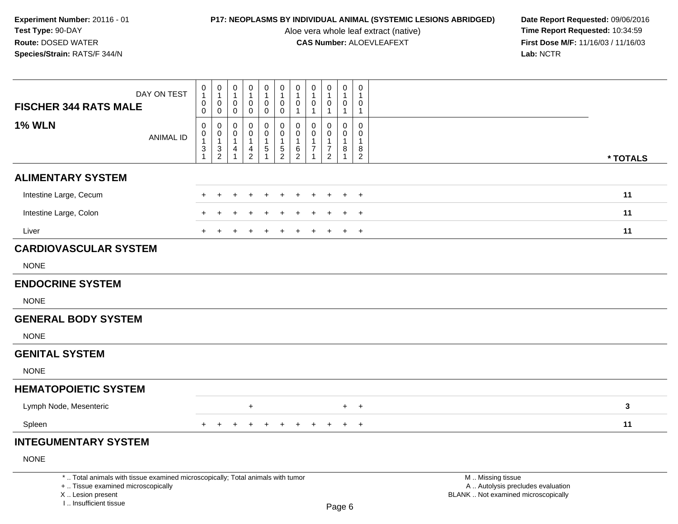Aloe vera whole leaf extract (native)<br>**CAS Number:** ALOEVLEAFEXT

| DAY ON TEST                                                                                                                                                         | 0<br>$\mathbf{1}$             | $\pmb{0}$<br>$\mathbf{1}$        | 0<br>$\mathbf{1}$             | $\pmb{0}$<br>$\mathbf{1}$     | $\pmb{0}$<br>$\mathbf{1}$                | $\pmb{0}$<br>$\mathbf{1}$                | $\pmb{0}$<br>$\mathbf{1}$                | $\mathbf 0$<br>$\mathbf{1}$  | 0<br>$\mathbf{1}$                | $\pmb{0}$<br>$\mathbf{1}$     | $\mathsf 0$<br>$\mathbf{1}$                |                                                                                               |          |
|---------------------------------------------------------------------------------------------------------------------------------------------------------------------|-------------------------------|----------------------------------|-------------------------------|-------------------------------|------------------------------------------|------------------------------------------|------------------------------------------|------------------------------|----------------------------------|-------------------------------|--------------------------------------------|-----------------------------------------------------------------------------------------------|----------|
| <b>FISCHER 344 RATS MALE</b>                                                                                                                                        | 0<br>$\pmb{0}$                | $\mathbf 0$<br>$\mathbf 0$       | 0<br>0                        | 0<br>$\mathbf 0$              | $\mathbf 0$<br>$\mathbf 0$               | $\mathbf 0$<br>$\pmb{0}$                 | $\mathbf 0$<br>$\overline{1}$            | 0<br>$\mathbf{1}$            | 0<br>$\mathbf{1}$                | 0<br>$\mathbf{1}$             | $\mathbf 0$<br>$\mathbf{1}$                |                                                                                               |          |
| <b>1% WLN</b><br><b>ANIMAL ID</b>                                                                                                                                   | $\Omega$<br>0<br>$\mathbf{1}$ | 0<br>$\mathbf 0$<br>$\mathbf{1}$ | $\Omega$<br>0<br>$\mathbf{1}$ | $\Omega$<br>0<br>$\mathbf{1}$ | $\pmb{0}$<br>$\mathbf 0$<br>$\mathbf{1}$ | 0<br>$\mathsf{O}\xspace$<br>$\mathbf{1}$ | $\mathbf 0$<br>$\pmb{0}$<br>$\mathbf{1}$ | $\Omega$<br>$\mathbf 0$<br>1 | $\mathbf{0}$<br>$\mathbf 0$<br>1 | $\Omega$<br>0<br>$\mathbf{1}$ | $\mathbf 0$<br>$\mathbf 0$<br>$\mathbf{1}$ |                                                                                               |          |
|                                                                                                                                                                     | 3<br>$\mathbf{1}$             | $\frac{3}{2}$                    | 4<br>1                        | $\frac{4}{2}$                 | $\,$ 5 $\,$                              | $\frac{5}{2}$                            | $\frac{6}{2}$                            | 7<br>1                       | $\overline{7}$<br>$\overline{2}$ | 8<br>$\mathbf{1}$             | $\bf 8$<br>$\overline{2}$                  |                                                                                               | * TOTALS |
| <b>ALIMENTARY SYSTEM</b>                                                                                                                                            |                               |                                  |                               |                               |                                          |                                          |                                          |                              |                                  |                               |                                            |                                                                                               |          |
| Intestine Large, Cecum                                                                                                                                              |                               |                                  |                               |                               |                                          |                                          |                                          |                              |                                  |                               | $\overline{+}$                             |                                                                                               | 11       |
| Intestine Large, Colon                                                                                                                                              |                               |                                  |                               |                               |                                          |                                          |                                          |                              |                                  |                               | $\ddot{}$                                  |                                                                                               | 11       |
| Liver                                                                                                                                                               |                               |                                  |                               |                               |                                          |                                          |                                          |                              |                                  |                               | $\ddot{}$                                  |                                                                                               | 11       |
| <b>CARDIOVASCULAR SYSTEM</b>                                                                                                                                        |                               |                                  |                               |                               |                                          |                                          |                                          |                              |                                  |                               |                                            |                                                                                               |          |
| <b>NONE</b>                                                                                                                                                         |                               |                                  |                               |                               |                                          |                                          |                                          |                              |                                  |                               |                                            |                                                                                               |          |
| <b>ENDOCRINE SYSTEM</b>                                                                                                                                             |                               |                                  |                               |                               |                                          |                                          |                                          |                              |                                  |                               |                                            |                                                                                               |          |
| <b>NONE</b>                                                                                                                                                         |                               |                                  |                               |                               |                                          |                                          |                                          |                              |                                  |                               |                                            |                                                                                               |          |
| <b>GENERAL BODY SYSTEM</b>                                                                                                                                          |                               |                                  |                               |                               |                                          |                                          |                                          |                              |                                  |                               |                                            |                                                                                               |          |
| <b>NONE</b>                                                                                                                                                         |                               |                                  |                               |                               |                                          |                                          |                                          |                              |                                  |                               |                                            |                                                                                               |          |
| <b>GENITAL SYSTEM</b>                                                                                                                                               |                               |                                  |                               |                               |                                          |                                          |                                          |                              |                                  |                               |                                            |                                                                                               |          |
| <b>NONE</b>                                                                                                                                                         |                               |                                  |                               |                               |                                          |                                          |                                          |                              |                                  |                               |                                            |                                                                                               |          |
| <b>HEMATOPOIETIC SYSTEM</b>                                                                                                                                         |                               |                                  |                               |                               |                                          |                                          |                                          |                              |                                  |                               |                                            |                                                                                               |          |
| Lymph Node, Mesenteric                                                                                                                                              |                               |                                  |                               | $\ddot{}$                     |                                          |                                          |                                          |                              |                                  | $+$                           | $+$                                        |                                                                                               | 3        |
| Spleen                                                                                                                                                              | $\pm$                         |                                  |                               |                               | +                                        | $\ddot{}$                                | $\div$                                   |                              |                                  | $\pm$                         | $+$                                        |                                                                                               | 11       |
| <b>INTEGUMENTARY SYSTEM</b>                                                                                                                                         |                               |                                  |                               |                               |                                          |                                          |                                          |                              |                                  |                               |                                            |                                                                                               |          |
| <b>NONE</b>                                                                                                                                                         |                               |                                  |                               |                               |                                          |                                          |                                          |                              |                                  |                               |                                            |                                                                                               |          |
| *  Total animals with tissue examined microscopically; Total animals with tumor<br>+  Tissue examined microscopically<br>X  Lesion present<br>I Insufficient tissue |                               |                                  |                               |                               |                                          |                                          |                                          |                              |                                  | Dao &                         |                                            | M  Missing tissue<br>A  Autolysis precludes evaluation<br>BLANK  Not examined microscopically |          |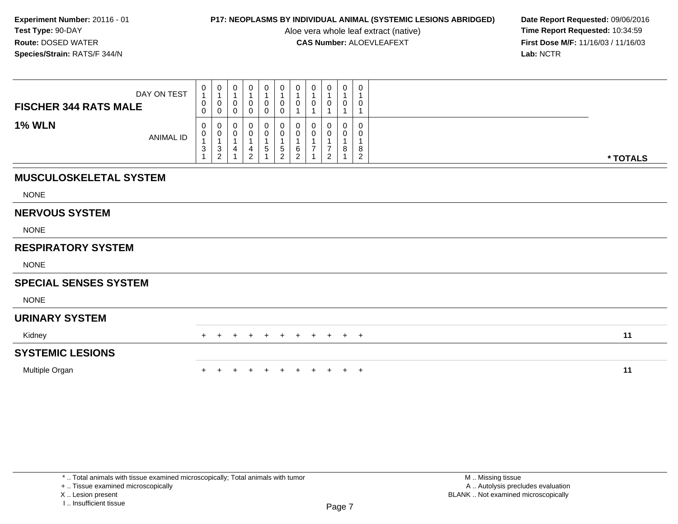Aloe vera whole leaf extract (native)<br>**CAS Number:** ALOEVLEAFEXT

**P17: NEOPLASMS BY INDIVIDUAL ANIMAL (SYSTEMIC LESIONS ABRIDGED)** Date Report Requested: 09/06/2016<br>Aloe vera whole leaf extract (native) **Time Report Requested:** 10:34:59 **First Dose M/F:** 11/16/03 / 11/16/03<br>Lab: NCTR **Lab:** NCTR

| <b>FISCHER 344 RATS MALE</b>  | DAY ON TEST      | $\begin{smallmatrix}0\1\end{smallmatrix}$<br>$\pmb{0}$<br>0                                  | $\begin{smallmatrix}0\1\end{smallmatrix}$<br>0<br>0 | $\begin{smallmatrix}0\\1\end{smallmatrix}$<br>$\pmb{0}$<br>$\mathbf 0$ | 0<br>$\overline{1}$<br>0<br>$\mathbf 0$         | 0<br>$\mathbf{1}$<br>0<br>$\mathbf 0$                   | $\mathbf 0$<br>$\mathbf{1}$<br>$\mathbf 0$<br>$\mathbf 0$ | $\begin{smallmatrix}0\\1\end{smallmatrix}$<br>$\pmb{0}$<br>$\overline{1}$ | $\begin{smallmatrix}0\1\end{smallmatrix}$<br>$\pmb{0}$<br>$\overline{A}$ | 0<br>0           | 0<br>$\mathbf{1}$<br>$\pmb{0}$ | 0<br>0                        |          |
|-------------------------------|------------------|----------------------------------------------------------------------------------------------|-----------------------------------------------------|------------------------------------------------------------------------|-------------------------------------------------|---------------------------------------------------------|-----------------------------------------------------------|---------------------------------------------------------------------------|--------------------------------------------------------------------------|------------------|--------------------------------|-------------------------------|----------|
| <b>1% WLN</b>                 | <b>ANIMAL ID</b> | 0<br>$\begin{smallmatrix}0\\1\end{smallmatrix}$<br>$\ensuremath{\mathsf{3}}$<br>$\mathbf{1}$ | 0<br>0<br>$\frac{3}{2}$                             | 0<br>$\pmb{0}$<br>$\overline{1}$<br>$\overline{\mathbf{4}}$            | 0<br>0<br>$\overline{1}$<br>4<br>$\overline{2}$ | 0<br>$\pmb{0}$<br>$\overline{1}$<br>5<br>$\overline{ }$ | 0<br>$\pmb{0}$<br>$\mathbf 5$<br>$\overline{2}$           | 0<br>$\pmb{0}$<br>1<br>6<br>$\overline{2}$                                | 0<br>$\pmb{0}$<br>$\mathbf{1}$<br>$\overline{7}$                         | O<br>0<br>7<br>2 | 0<br>$\pmb{0}$<br>8            | 0<br>0<br>8<br>$\overline{2}$ | * TOTALS |
| <b>MUSCULOSKELETAL SYSTEM</b> |                  |                                                                                              |                                                     |                                                                        |                                                 |                                                         |                                                           |                                                                           |                                                                          |                  |                                |                               |          |
| <b>NONE</b>                   |                  |                                                                                              |                                                     |                                                                        |                                                 |                                                         |                                                           |                                                                           |                                                                          |                  |                                |                               |          |
| <b>NERVOUS SYSTEM</b>         |                  |                                                                                              |                                                     |                                                                        |                                                 |                                                         |                                                           |                                                                           |                                                                          |                  |                                |                               |          |
| <b>NONE</b>                   |                  |                                                                                              |                                                     |                                                                        |                                                 |                                                         |                                                           |                                                                           |                                                                          |                  |                                |                               |          |
| <b>RESPIRATORY SYSTEM</b>     |                  |                                                                                              |                                                     |                                                                        |                                                 |                                                         |                                                           |                                                                           |                                                                          |                  |                                |                               |          |
| <b>NONE</b>                   |                  |                                                                                              |                                                     |                                                                        |                                                 |                                                         |                                                           |                                                                           |                                                                          |                  |                                |                               |          |
| <b>SPECIAL SENSES SYSTEM</b>  |                  |                                                                                              |                                                     |                                                                        |                                                 |                                                         |                                                           |                                                                           |                                                                          |                  |                                |                               |          |
| <b>NONE</b>                   |                  |                                                                                              |                                                     |                                                                        |                                                 |                                                         |                                                           |                                                                           |                                                                          |                  |                                |                               |          |
| <b>URINARY SYSTEM</b>         |                  |                                                                                              |                                                     |                                                                        |                                                 |                                                         |                                                           |                                                                           |                                                                          |                  |                                |                               |          |
| Kidney                        |                  | $+$                                                                                          | $+$                                                 | $+$                                                                    | $+$                                             | $+$                                                     | $+$                                                       | $+$                                                                       | $+$                                                                      |                  | $+$ $+$ $+$                    |                               | 11       |
| <b>SYSTEMIC LESIONS</b>       |                  |                                                                                              |                                                     |                                                                        |                                                 |                                                         |                                                           |                                                                           |                                                                          |                  |                                |                               |          |
| Multiple Organ                |                  |                                                                                              |                                                     |                                                                        |                                                 |                                                         |                                                           |                                                                           |                                                                          |                  |                                | $+$ $+$                       | 11       |

+ .. Tissue examined microscopically

X .. Lesion present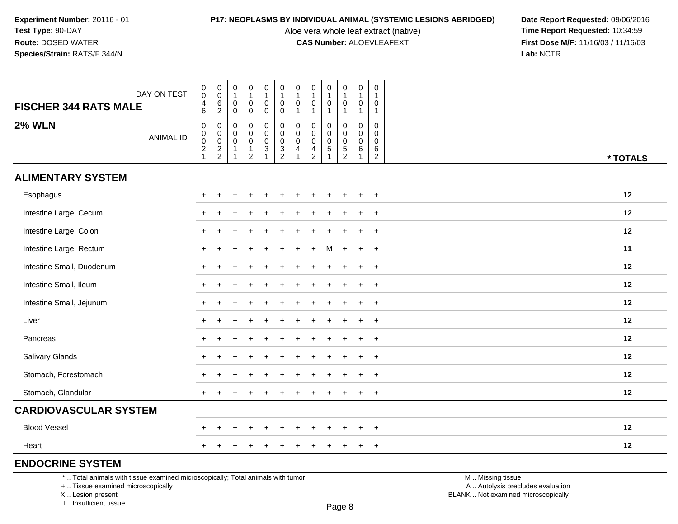Aloe vera whole leaf extract (native)<br>**CAS Number:** ALOEVLEAFEXT

**P17: NEOPLASMS BY INDIVIDUAL ANIMAL (SYSTEMIC LESIONS ABRIDGED)** Date Report Requested: 09/06/2016<br>Aloe vera whole leaf extract (native) **Time Report Requested:** 10:34:59 **First Dose M/F:** 11/16/03 / 11/16/03<br>Lab: NCTR **Lab:** NCTR

| <b>FISCHER 344 RATS MALE</b> | DAY ON TEST      | $\begin{smallmatrix}0\0\0\end{smallmatrix}$<br>$\begin{array}{c} 4 \\ 6 \end{array}$ | $_{\rm 0}^{\rm 0}$<br>$\frac{6}{2}$     | $\pmb{0}$<br>$\overline{1}$<br>$\mathbf 0$                                                | $\begin{smallmatrix}0\\1\end{smallmatrix}$<br>$\mathbf 0$                               | $\pmb{0}$<br>$\mathbf{1}$<br>$\mathbf 0$                      | $\pmb{0}$<br>$\mathbf{1}$<br>$\mathsf 0$                    | $\pmb{0}$<br>$\mathbf{1}$<br>$\mathsf{O}\xspace$                           | 0<br>$\mathbf{1}$<br>$\mathbf 0$                                     | $\pmb{0}$<br>$\mathbf{1}$<br>$\mathbf 0$        | $\pmb{0}$<br>$\mathbf{1}$<br>$\mathbf 0$                                           | $\pmb{0}$<br>$\overline{1}$<br>$\mathbf 0$                                               | $\mathbf 0$<br>$\overline{1}$<br>$\mathbf 0$                                     |          |
|------------------------------|------------------|--------------------------------------------------------------------------------------|-----------------------------------------|-------------------------------------------------------------------------------------------|-----------------------------------------------------------------------------------------|---------------------------------------------------------------|-------------------------------------------------------------|----------------------------------------------------------------------------|----------------------------------------------------------------------|-------------------------------------------------|------------------------------------------------------------------------------------|------------------------------------------------------------------------------------------|----------------------------------------------------------------------------------|----------|
| <b>2% WLN</b>                | <b>ANIMAL ID</b> | $\mathsf 0$<br>$\begin{array}{c} 0 \\ 0 \\ 2 \\ 1 \end{array}$                       | $\pmb{0}$<br>$\pmb{0}$<br>$\frac{0}{2}$ | $\mathsf 0$<br>$\mathbf 0$<br>$\mathbf 0$<br>$\mathbf 0$<br>$\mathbf 1$<br>$\overline{1}$ | $\mathsf{O}\xspace$<br>$\mathsf{O}\xspace$<br>$\mathbf 0$<br>$\pmb{0}$<br>$\frac{1}{2}$ | $\mathbf 0$<br>0<br>$\mathbf 0$<br>$\pmb{0}$<br>$\frac{3}{1}$ | $\mathbf 0$<br>0<br>$\pmb{0}$<br>$\pmb{0}$<br>$\frac{3}{2}$ | $\mathbf{1}$<br>$\pmb{0}$<br>$\pmb{0}$<br>$\pmb{0}$<br>$\overline{4}$<br>1 | $\mathbf{1}$<br>$\Omega$<br>$\Omega$<br>$\mathbf 0$<br>$\frac{4}{2}$ | $\Omega$<br>$\Omega$<br>$\pmb{0}$<br>$\sqrt{5}$ | $\mathbf{1}$<br>$\mathbf 0$<br>$\mathbf 0$<br>$\mathsf{O}\xspace$<br>$\frac{5}{2}$ | $\mathbf{1}$<br>$\mathbf 0$<br>$\mathbf 0$<br>$\mathsf{O}\xspace$<br>6<br>$\overline{1}$ | $\mathbf{1}$<br>$\mathbf 0$<br>$\Omega$<br>$\overline{0}$<br>6<br>$\overline{c}$ | * TOTALS |
| <b>ALIMENTARY SYSTEM</b>     |                  |                                                                                      |                                         |                                                                                           |                                                                                         |                                                               |                                                             |                                                                            |                                                                      |                                                 |                                                                                    |                                                                                          |                                                                                  |          |
| Esophagus                    |                  | $+$                                                                                  |                                         |                                                                                           |                                                                                         |                                                               |                                                             |                                                                            | ÷                                                                    | $\div$                                          | ÷                                                                                  | $\ddot{}$                                                                                | $\overline{+}$                                                                   | 12       |
| Intestine Large, Cecum       |                  |                                                                                      |                                         |                                                                                           |                                                                                         |                                                               |                                                             |                                                                            |                                                                      |                                                 |                                                                                    |                                                                                          | $\ddot{}$                                                                        | 12       |
| Intestine Large, Colon       |                  | $\pm$                                                                                | $\div$                                  |                                                                                           |                                                                                         |                                                               |                                                             |                                                                            |                                                                      |                                                 |                                                                                    |                                                                                          | $\ddot{}$                                                                        | 12       |
| Intestine Large, Rectum      |                  |                                                                                      |                                         |                                                                                           |                                                                                         |                                                               |                                                             |                                                                            |                                                                      | м                                               | $\ddot{}$                                                                          | $+$                                                                                      | $+$                                                                              | 11       |
| Intestine Small, Duodenum    |                  | $\pm$                                                                                |                                         |                                                                                           |                                                                                         |                                                               |                                                             |                                                                            |                                                                      |                                                 |                                                                                    | $\ddot{}$                                                                                | $\ddot{}$                                                                        | 12       |
| Intestine Small, Ileum       |                  | $+$                                                                                  | $\ddot{}$                               |                                                                                           |                                                                                         |                                                               |                                                             |                                                                            |                                                                      |                                                 |                                                                                    | $\ddot{}$                                                                                | $+$                                                                              | 12       |
| Intestine Small, Jejunum     |                  | $\pm$                                                                                |                                         |                                                                                           |                                                                                         |                                                               |                                                             |                                                                            |                                                                      |                                                 |                                                                                    | ÷                                                                                        | $\overline{+}$                                                                   | 12       |
| Liver                        |                  | $\pm$                                                                                |                                         |                                                                                           |                                                                                         |                                                               |                                                             |                                                                            |                                                                      |                                                 |                                                                                    | $\ddot{}$                                                                                | $\overline{+}$                                                                   | 12       |
| Pancreas                     |                  | $+$                                                                                  |                                         |                                                                                           |                                                                                         |                                                               |                                                             |                                                                            |                                                                      |                                                 |                                                                                    |                                                                                          | $\ddot{}$                                                                        | 12       |
| Salivary Glands              |                  | $+$                                                                                  |                                         |                                                                                           |                                                                                         |                                                               |                                                             |                                                                            |                                                                      |                                                 |                                                                                    |                                                                                          | $\overline{+}$                                                                   | 12       |
| Stomach, Forestomach         |                  |                                                                                      |                                         |                                                                                           |                                                                                         |                                                               |                                                             |                                                                            |                                                                      |                                                 |                                                                                    |                                                                                          |                                                                                  | 12       |
| Stomach, Glandular           |                  | $+$                                                                                  |                                         |                                                                                           |                                                                                         |                                                               |                                                             |                                                                            |                                                                      |                                                 |                                                                                    | $\div$                                                                                   | $\overline{+}$                                                                   | 12       |
| <b>CARDIOVASCULAR SYSTEM</b> |                  |                                                                                      |                                         |                                                                                           |                                                                                         |                                                               |                                                             |                                                                            |                                                                      |                                                 |                                                                                    |                                                                                          |                                                                                  |          |
| <b>Blood Vessel</b>          |                  | $\pm$                                                                                | $\div$                                  |                                                                                           |                                                                                         |                                                               |                                                             |                                                                            |                                                                      |                                                 |                                                                                    |                                                                                          | $\ddot{}$                                                                        | 12       |
| Heart                        |                  | +                                                                                    |                                         |                                                                                           |                                                                                         |                                                               |                                                             |                                                                            |                                                                      | $\div$                                          | $\div$                                                                             | $\ddot{}$                                                                                | $+$                                                                              | 12       |
| <b>ENDOCRINE SYSTEM</b>      |                  |                                                                                      |                                         |                                                                                           |                                                                                         |                                                               |                                                             |                                                                            |                                                                      |                                                 |                                                                                    |                                                                                          |                                                                                  |          |

\* .. Total animals with tissue examined microscopically; Total animals with tumor

+ .. Tissue examined microscopically

X .. Lesion present

I .. Insufficient tissue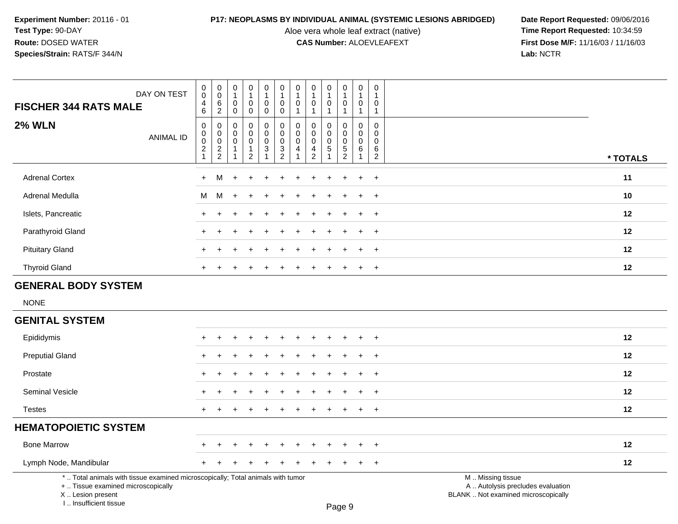I .. Insufficient tissue

Aloe vera whole leaf extract (native)<br>**CAS Number:** ALOEVLEAFEXT

| <b>FISCHER 344 RATS MALE</b>                                                                                                               | DAY ON TEST      | $\mathbf 0$<br>$\overline{0}$<br>4                                                      | $\pmb{0}$<br>$\pmb{0}$<br>6                                                                 | $\mathsf 0$<br>$\mathbf{1}$<br>$\mathbf 0$    | $\pmb{0}$<br>$\mathbf{1}$<br>0                              | $\mathsf 0$<br>$\mathbf{1}$<br>0                       | $\pmb{0}$<br>1<br>$\mathbf 0$                                                               | $\pmb{0}$<br>$\overline{1}$<br>$\pmb{0}$                                      | $\pmb{0}$<br>$\mathbf{1}$<br>$\mathbf 0$<br>$\mathbf{1}$                        | $\mathsf 0$<br>$\mathbf{1}$<br>$\mathbf 0$                | $\mathsf{O}\xspace$<br>$\mathbf{1}$<br>$\mathsf{O}\xspace$                          | $\mathbf 0$<br>$\mathbf{1}$<br>$\mathbf 0$                          | $\pmb{0}$<br>$\overline{1}$<br>0                                     |                                                                                               |  |
|--------------------------------------------------------------------------------------------------------------------------------------------|------------------|-----------------------------------------------------------------------------------------|---------------------------------------------------------------------------------------------|-----------------------------------------------|-------------------------------------------------------------|--------------------------------------------------------|---------------------------------------------------------------------------------------------|-------------------------------------------------------------------------------|---------------------------------------------------------------------------------|-----------------------------------------------------------|-------------------------------------------------------------------------------------|---------------------------------------------------------------------|----------------------------------------------------------------------|-----------------------------------------------------------------------------------------------|--|
| <b>2% WLN</b>                                                                                                                              | <b>ANIMAL ID</b> | 6<br>$\mathbf 0$<br>$\begin{smallmatrix} 0\\0 \end{smallmatrix}$<br>$\overline{2}$<br>1 | $\overline{2}$<br>$\mathbf 0$<br>$\mathbf 0$<br>$\mathbf 0$<br>$\sqrt{2}$<br>$\overline{c}$ | 0<br>$\Omega$<br>$\Omega$<br>$\mathbf 0$<br>1 | 0<br>0<br>$\mathbf 0$<br>0<br>$\mathbf 1$<br>$\overline{c}$ | 0<br>$\mathbf 0$<br>$\mathbf 0$<br>0<br>$\mathfrak{S}$ | $\pmb{0}$<br>$\mathbf 0$<br>$\mathbf 0$<br>0<br>$\ensuremath{\mathsf{3}}$<br>$\overline{c}$ | $\overline{1}$<br>$\mathbf 0$<br>$\mathbf 0$<br>$\mathbf 0$<br>$\overline{4}$ | $\mathbf{0}$<br>$\mathbf{0}$<br>$\mathbf 0$<br>$\overline{4}$<br>$\overline{2}$ | $\mathbf 1$<br>$\Omega$<br>$\mathbf 0$<br>0<br>$\sqrt{5}$ | $\mathbf{1}$<br>0<br>$\mathbf 0$<br>$\mathbf 0$<br>$\overline{5}$<br>$\overline{2}$ | $\mathbf{1}$<br>$\mathbf 0$<br>$\mathbf 0$<br>$\mathbf 0$<br>6<br>1 | $\mathbf{1}$<br>$\mathbf 0$<br>0<br>$\mathbf 0$<br>6<br>$\mathbf{2}$ | * TOTALS                                                                                      |  |
| <b>Adrenal Cortex</b>                                                                                                                      |                  | $\ddot{}$                                                                               | M                                                                                           | $\overline{1}$                                |                                                             |                                                        |                                                                                             |                                                                               |                                                                                 |                                                           |                                                                                     |                                                                     | $\ddot{}$                                                            | 11                                                                                            |  |
| Adrenal Medulla                                                                                                                            |                  | М                                                                                       | М                                                                                           |                                               |                                                             |                                                        |                                                                                             |                                                                               |                                                                                 |                                                           |                                                                                     | $\ddot{}$                                                           | $+$                                                                  | 10                                                                                            |  |
| Islets, Pancreatic                                                                                                                         |                  |                                                                                         |                                                                                             |                                               |                                                             |                                                        |                                                                                             |                                                                               |                                                                                 |                                                           |                                                                                     | ÷                                                                   | $\ddot{}$                                                            | 12                                                                                            |  |
| Parathyroid Gland                                                                                                                          |                  |                                                                                         |                                                                                             |                                               |                                                             |                                                        |                                                                                             |                                                                               |                                                                                 |                                                           |                                                                                     |                                                                     | $\ddot{}$                                                            | 12                                                                                            |  |
| <b>Pituitary Gland</b>                                                                                                                     |                  |                                                                                         |                                                                                             |                                               |                                                             |                                                        |                                                                                             |                                                                               |                                                                                 |                                                           |                                                                                     |                                                                     | $\ddot{}$                                                            | 12                                                                                            |  |
| <b>Thyroid Gland</b>                                                                                                                       |                  | $\pm$                                                                                   | $\div$                                                                                      |                                               |                                                             | ÷                                                      | ÷                                                                                           |                                                                               | ÷                                                                               | $\div$                                                    | $\ddot{}$                                                                           | $+$                                                                 | $\ddot{}$                                                            | 12                                                                                            |  |
| <b>GENERAL BODY SYSTEM</b>                                                                                                                 |                  |                                                                                         |                                                                                             |                                               |                                                             |                                                        |                                                                                             |                                                                               |                                                                                 |                                                           |                                                                                     |                                                                     |                                                                      |                                                                                               |  |
| <b>NONE</b>                                                                                                                                |                  |                                                                                         |                                                                                             |                                               |                                                             |                                                        |                                                                                             |                                                                               |                                                                                 |                                                           |                                                                                     |                                                                     |                                                                      |                                                                                               |  |
| <b>GENITAL SYSTEM</b>                                                                                                                      |                  |                                                                                         |                                                                                             |                                               |                                                             |                                                        |                                                                                             |                                                                               |                                                                                 |                                                           |                                                                                     |                                                                     |                                                                      |                                                                                               |  |
| Epididymis                                                                                                                                 |                  |                                                                                         |                                                                                             |                                               |                                                             |                                                        |                                                                                             |                                                                               |                                                                                 |                                                           |                                                                                     |                                                                     | $\ddot{}$                                                            | 12                                                                                            |  |
| <b>Preputial Gland</b>                                                                                                                     |                  |                                                                                         |                                                                                             |                                               |                                                             |                                                        |                                                                                             |                                                                               |                                                                                 |                                                           |                                                                                     |                                                                     |                                                                      | 12                                                                                            |  |
| Prostate                                                                                                                                   |                  |                                                                                         |                                                                                             |                                               |                                                             |                                                        |                                                                                             |                                                                               |                                                                                 |                                                           |                                                                                     | $\ddot{}$                                                           | $\ddot{}$                                                            | 12                                                                                            |  |
| Seminal Vesicle                                                                                                                            |                  |                                                                                         |                                                                                             |                                               |                                                             |                                                        |                                                                                             |                                                                               |                                                                                 |                                                           |                                                                                     |                                                                     | $\ddot{}$                                                            | 12                                                                                            |  |
| <b>Testes</b>                                                                                                                              |                  |                                                                                         |                                                                                             |                                               |                                                             |                                                        |                                                                                             |                                                                               |                                                                                 |                                                           |                                                                                     | $\ddot{}$                                                           | $\overline{+}$                                                       | 12                                                                                            |  |
| <b>HEMATOPOIETIC SYSTEM</b>                                                                                                                |                  |                                                                                         |                                                                                             |                                               |                                                             |                                                        |                                                                                             |                                                                               |                                                                                 |                                                           |                                                                                     |                                                                     |                                                                      |                                                                                               |  |
| <b>Bone Marrow</b>                                                                                                                         |                  |                                                                                         |                                                                                             |                                               |                                                             |                                                        |                                                                                             |                                                                               |                                                                                 |                                                           |                                                                                     |                                                                     |                                                                      | 12                                                                                            |  |
| Lymph Node, Mandibular                                                                                                                     |                  |                                                                                         |                                                                                             |                                               |                                                             |                                                        |                                                                                             |                                                                               |                                                                                 |                                                           |                                                                                     |                                                                     | $\ddot{}$                                                            | 12                                                                                            |  |
| *  Total animals with tissue examined microscopically; Total animals with tumor<br>+  Tissue examined microscopically<br>X  Lesion present |                  |                                                                                         |                                                                                             |                                               |                                                             |                                                        |                                                                                             |                                                                               |                                                                                 |                                                           |                                                                                     |                                                                     |                                                                      | M  Missing tissue<br>A  Autolysis precludes evaluation<br>BLANK  Not examined microscopically |  |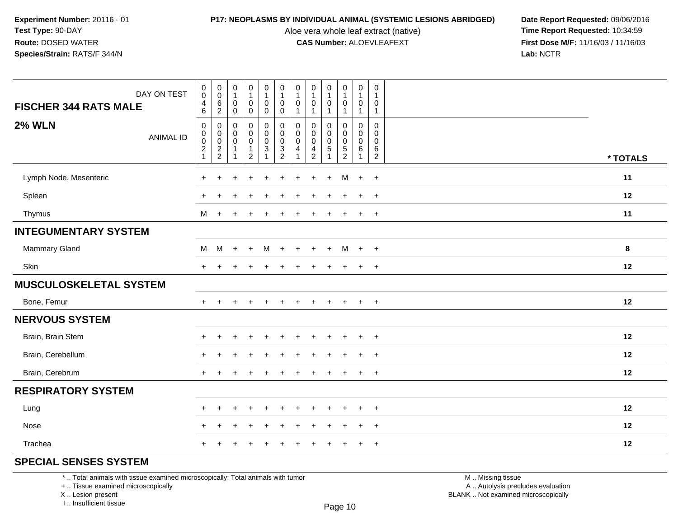Aloe vera whole leaf extract (native)<br>**CAS Number:** ALOEVLEAFEXT

**P17: NEOPLASMS BY INDIVIDUAL ANIMAL (SYSTEMIC LESIONS ABRIDGED)** Date Report Requested: 09/06/2016<br>Aloe vera whole leaf extract (native) **Time Report Requested:** 10:34:59 **First Dose M/F:** 11/16/03 / 11/16/03<br>Lab: NCTR **Lab:** NCTR

| DAY ON TEST<br><b>FISCHER 344 RATS MALE</b> | $\pmb{0}$<br>$\pmb{0}$<br>$\overline{4}$<br>$6\phantom{1}$ | $\begin{matrix} 0 \\ 0 \\ 6 \\ 2 \end{matrix}$                | $\begin{smallmatrix}0\\1\end{smallmatrix}$<br>$\mathsf{O}\xspace$<br>$\overline{0}$ | 0<br>$\mathbf{1}$<br>$\mathbf 0$<br>$\mathbf 0$                           | $\begin{smallmatrix}0\\1\end{smallmatrix}$<br>$\pmb{0}$<br>$\ddot{\mathbf{0}}$ | $\pmb{0}$<br>$\mathbf{1}$<br>$\mathsf 0$<br>$\ddot{\mathbf{0}}$    | $\pmb{0}$<br>$\mathbf{1}$<br>0               | $\pmb{0}$<br>$\overline{1}$<br>$\mathbf 0$<br>$\overline{\mathbf{1}}$ | $\pmb{0}$<br>$\mathbf{1}$<br>$\pmb{0}$<br>$\mathbf{1}$          | $\pmb{0}$<br>$\mathbf{1}$<br>0<br>$\mathbf{1}$                           | $\mathsf 0$<br>$\mathbf{1}$<br>0<br>$\mathbf{1}$ | $\pmb{0}$<br>$\overline{1}$<br>$\mathbf 0$<br>$\mathbf{1}$ |          |
|---------------------------------------------|------------------------------------------------------------|---------------------------------------------------------------|-------------------------------------------------------------------------------------|---------------------------------------------------------------------------|--------------------------------------------------------------------------------|--------------------------------------------------------------------|----------------------------------------------|-----------------------------------------------------------------------|-----------------------------------------------------------------|--------------------------------------------------------------------------|--------------------------------------------------|------------------------------------------------------------|----------|
| <b>2% WLN</b><br><b>ANIMAL ID</b>           | 0<br>$\mathsf 0$<br>$\mathsf 0$<br>$\overline{2}$<br>1     | $\mathbf 0$<br>$\begin{matrix} 0 \\ 0 \\ 2 \\ 2 \end{matrix}$ | $\pmb{0}$<br>$\pmb{0}$<br>$\mathbf 0$<br>$\mathbf{1}$<br>$\mathbf{1}$               | 0<br>$\mathsf{O}\xspace$<br>$\mathbf 0$<br>$\mathbf{1}$<br>$\overline{2}$ | $\pmb{0}$<br>$\pmb{0}$<br>$\frac{0}{3}$<br>$\overline{1}$                      | $\mathbf 0$<br>$\mathsf 0$<br>$\mathsf{O}\xspace$<br>$\frac{3}{2}$ | $\mathbf{0}$<br>$\mathbf 0$<br>$\Omega$<br>4 | $\mathbf 0$<br>$\mathsf 0$<br>$\mathbf 0$<br>4<br>$\overline{2}$      | 0<br>$\pmb{0}$<br>$\mathbf 0$<br>$\overline{5}$<br>$\mathbf{1}$ | $\mathbf 0$<br>$\mathsf 0$<br>$\mathsf{O}\xspace$<br>5<br>$\overline{2}$ | 0<br>0<br>$\mathbf 0$<br>6<br>$\mathbf 1$        | $\mathbf 0$<br>$\mathbf 0$<br>$\mathbf 0$<br>6<br>2        | * TOTALS |
| Lymph Node, Mesenteric                      | $\div$                                                     |                                                               |                                                                                     |                                                                           |                                                                                |                                                                    |                                              |                                                                       | $\ddot{}$                                                       | M                                                                        | $+$                                              | $+$                                                        | 11       |
| Spleen                                      |                                                            |                                                               |                                                                                     |                                                                           |                                                                                |                                                                    |                                              |                                                                       |                                                                 |                                                                          |                                                  | $\ddot{}$                                                  | 12       |
| Thymus                                      | М                                                          | $\ddot{}$                                                     |                                                                                     |                                                                           |                                                                                |                                                                    |                                              |                                                                       |                                                                 |                                                                          | ÷                                                | $\ddot{}$                                                  | 11       |
| <b>INTEGUMENTARY SYSTEM</b>                 |                                                            |                                                               |                                                                                     |                                                                           |                                                                                |                                                                    |                                              |                                                                       |                                                                 |                                                                          |                                                  |                                                            |          |
| <b>Mammary Gland</b>                        | M                                                          | M                                                             | $\ddot{}$                                                                           | $\ddot{}$                                                                 | M                                                                              | $\ddot{}$                                                          | $\pm$                                        |                                                                       | $\ddot{}$                                                       | M                                                                        | $+$                                              | $+$                                                        | 8        |
| Skin                                        | $\pm$                                                      |                                                               |                                                                                     |                                                                           |                                                                                |                                                                    |                                              |                                                                       |                                                                 |                                                                          | $\ddot{}$                                        | $\overline{+}$                                             | 12       |
| <b>MUSCULOSKELETAL SYSTEM</b>               |                                                            |                                                               |                                                                                     |                                                                           |                                                                                |                                                                    |                                              |                                                                       |                                                                 |                                                                          |                                                  |                                                            |          |
| Bone, Femur                                 | $+$                                                        |                                                               |                                                                                     |                                                                           |                                                                                |                                                                    |                                              |                                                                       |                                                                 |                                                                          | $+$                                              | $\overline{+}$                                             | 12       |
| <b>NERVOUS SYSTEM</b>                       |                                                            |                                                               |                                                                                     |                                                                           |                                                                                |                                                                    |                                              |                                                                       |                                                                 |                                                                          |                                                  |                                                            |          |
| Brain, Brain Stem                           |                                                            |                                                               |                                                                                     |                                                                           |                                                                                |                                                                    |                                              |                                                                       |                                                                 |                                                                          |                                                  | $\ddot{}$                                                  | 12       |
| Brain, Cerebellum                           | $\div$                                                     |                                                               |                                                                                     |                                                                           |                                                                                |                                                                    |                                              |                                                                       |                                                                 |                                                                          | $\div$                                           | $\ddot{}$                                                  | 12       |
| Brain, Cerebrum                             | $\ddot{}$                                                  |                                                               |                                                                                     |                                                                           |                                                                                |                                                                    |                                              |                                                                       |                                                                 |                                                                          | $+$                                              | $+$                                                        | 12       |
| <b>RESPIRATORY SYSTEM</b>                   |                                                            |                                                               |                                                                                     |                                                                           |                                                                                |                                                                    |                                              |                                                                       |                                                                 |                                                                          |                                                  |                                                            |          |
| Lung                                        | $\div$                                                     |                                                               |                                                                                     |                                                                           |                                                                                |                                                                    |                                              |                                                                       |                                                                 |                                                                          |                                                  | $\ddot{}$                                                  | 12       |
| Nose                                        | $\div$                                                     |                                                               |                                                                                     |                                                                           |                                                                                |                                                                    |                                              |                                                                       |                                                                 |                                                                          |                                                  | $\ddot{}$                                                  | 12       |
| Trachea                                     | $\pm$                                                      |                                                               |                                                                                     |                                                                           |                                                                                |                                                                    |                                              |                                                                       |                                                                 |                                                                          | $\pm$                                            | $\overline{+}$                                             | 12       |

## **SPECIAL SENSES SYSTEM**

\* .. Total animals with tissue examined microscopically; Total animals with tumor

+ .. Tissue examined microscopically

X .. Lesion present

I .. Insufficient tissue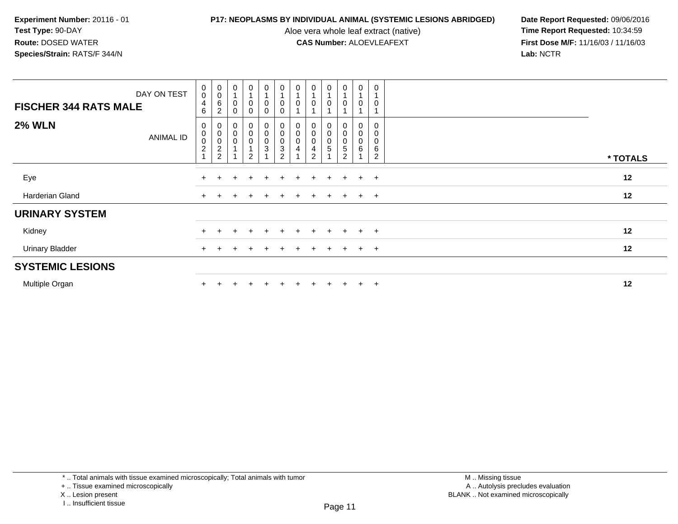Aloe vera whole leaf extract (native)<br>**CAS Number:** ALOEVLEAFEXT

| DAY ON TEST<br><b>FISCHER 344 RATS MALE</b> | $_{\rm 0}^{\rm 0}$<br>$\overline{4}$<br>6 | $\begin{matrix} 0 \\ 0 \\ 6 \end{matrix}$<br>$\overline{2}$    | $\pmb{0}$<br>$\mathbf 0$<br>0                      | $\mathbf 0$<br>0<br>0                                     | $\mathbf 0$<br>0<br>0 | $\pmb{0}$<br>$\pmb{0}$<br>$\mathbf 0$                     | $\pmb{0}$           | $\boldsymbol{0}$<br>0                                | $\mathbf 0$ | $\mathsf{O}\xspace$<br>$\mathbf 0$                   | $\pmb{0}$<br>0                       | $\mathbf 0$<br>$\mathbf 0$                   |          |  |
|---------------------------------------------|-------------------------------------------|----------------------------------------------------------------|----------------------------------------------------|-----------------------------------------------------------|-----------------------|-----------------------------------------------------------|---------------------|------------------------------------------------------|-------------|------------------------------------------------------|--------------------------------------|----------------------------------------------|----------|--|
| <b>2% WLN</b><br><b>ANIMAL ID</b>           | 0<br>$\,0\,$<br>$\mathbf 0$<br>$\sqrt{2}$ | $\begin{smallmatrix}0\\0\\0\end{smallmatrix}$<br>$\frac{2}{2}$ | 0<br>$\boldsymbol{0}$<br>$\pmb{0}$<br>$\mathbf{1}$ | 0<br>0<br>$\mathsf 0$<br>$\overline{A}$<br>$\overline{2}$ | 0<br>0<br>0<br>3      | $\pmb{0}$<br>$\pmb{0}$<br>$\frac{0}{3}$<br>$\overline{2}$ | $\pmb{0}$<br>0<br>4 | $\pmb{0}$<br>$\boldsymbol{0}$<br>4<br>$\overline{2}$ | 0<br>0<br>5 | 0<br>0<br>$\pmb{0}$<br>$\,$ 5 $\,$<br>$\overline{c}$ | 0<br>$\,0\,$<br>$\pmb{0}$<br>$\,6\,$ | 0<br>0<br>$\mathbf 0$<br>6<br>$\overline{2}$ | * TOTALS |  |
| Eye                                         |                                           |                                                                |                                                    |                                                           |                       |                                                           |                     |                                                      |             | $+$                                                  | $+$                                  | $+$                                          | 12       |  |
| Harderian Gland                             |                                           |                                                                |                                                    |                                                           | ÷                     |                                                           |                     | $+$                                                  |             | $+$                                                  | $+$                                  | $+$                                          | 12       |  |
| <b>URINARY SYSTEM</b>                       |                                           |                                                                |                                                    |                                                           |                       |                                                           |                     |                                                      |             |                                                      |                                      |                                              |          |  |
| Kidney                                      |                                           |                                                                |                                                    |                                                           | +                     |                                                           |                     |                                                      |             |                                                      | $+$                                  | $+$                                          | 12       |  |
| <b>Urinary Bladder</b>                      |                                           |                                                                |                                                    |                                                           | $+$                   |                                                           |                     | ÷.                                                   |             | $+$                                                  | $+$                                  | $+$                                          | 12       |  |
| <b>SYSTEMIC LESIONS</b>                     |                                           |                                                                |                                                    |                                                           |                       |                                                           |                     |                                                      |             |                                                      |                                      |                                              |          |  |
| Multiple Organ                              |                                           |                                                                |                                                    |                                                           | ÷                     |                                                           |                     | ÷.                                                   |             | $\pm$                                                | $+$                                  | $\overline{+}$                               | 12       |  |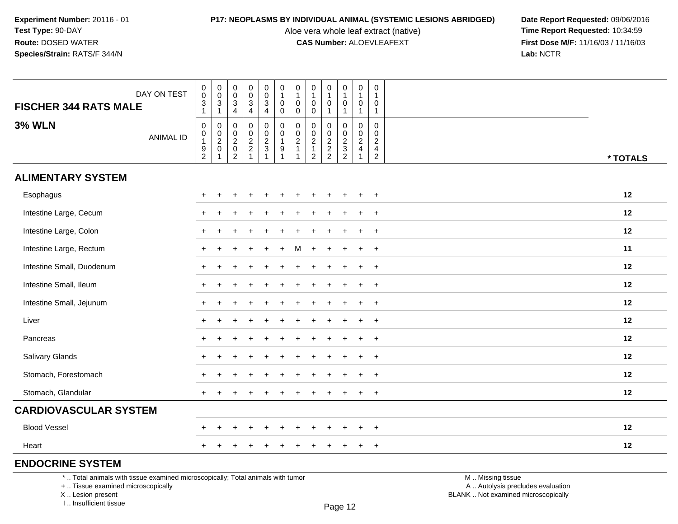Aloe vera whole leaf extract (native)<br>**CAS Number:** ALOEVLEAFEXT

**P17: NEOPLASMS BY INDIVIDUAL ANIMAL (SYSTEMIC LESIONS ABRIDGED)** Date Report Requested: 09/06/2016<br>Aloe vera whole leaf extract (native) **Time Report Requested:** 10:34:59 **First Dose M/F:** 11/16/03 / 11/16/03<br>Lab: NCTR **Lab:** NCTR

| DAY ON TEST<br><b>FISCHER 344 RATS MALE</b> | $\begin{smallmatrix}0\0\0\end{smallmatrix}$<br>$\frac{3}{1}$ | $\begin{matrix} 0 \\ 0 \\ 3 \\ 1 \end{matrix}$                   | $\pmb{0}$<br>$\mathbf 0$<br>$\sqrt{3}$<br>$\overline{4}$     | $\pmb{0}$<br>$\mathbf 0$<br>3<br>$\overline{4}$                          | $_{\rm 0}^{\rm 0}$<br>$\frac{3}{4}$                  | $\pmb{0}$<br>$\mathbf{1}$<br>$\mathbf 0$<br>$\mathbf 0$     | $\pmb{0}$<br>$\mathbf{1}$<br>$\pmb{0}$<br>$\mathbf 0$ | $\begin{array}{c} 0 \\ 1 \end{array}$<br>$\mathbf 0$<br>$\mathbf 0$ | $\pmb{0}$<br>$\mathbf{1}$<br>$\mathbf 0$<br>$\overline{1}$ | $\pmb{0}$<br>$\mathbf{1}$<br>$\mathbf 0$<br>$\mathbf{1}$       | $\pmb{0}$<br>$\mathbf{1}$<br>0<br>$\mathbf{1}$                                 | 0<br>$\mathbf{1}$<br>0<br>$\mathbf{1}$                              |          |
|---------------------------------------------|--------------------------------------------------------------|------------------------------------------------------------------|--------------------------------------------------------------|--------------------------------------------------------------------------|------------------------------------------------------|-------------------------------------------------------------|-------------------------------------------------------|---------------------------------------------------------------------|------------------------------------------------------------|----------------------------------------------------------------|--------------------------------------------------------------------------------|---------------------------------------------------------------------|----------|
| <b>3% WLN</b><br><b>ANIMAL ID</b>           | $\mathbf 0$<br>$\mathbf 0$<br>$\mathbf{1}$<br>$\frac{9}{2}$  | $\begin{matrix} 0 \\ 0 \\ 2 \\ 0 \end{matrix}$<br>$\overline{1}$ | $\mathbf 0$<br>$\mathbf 0$<br>$^2_{\rm 0}$<br>$\overline{2}$ | $\mathbf 0$<br>$\mathbf 0$<br>$\begin{array}{c} 2 \\ 2 \\ 1 \end{array}$ | 0<br>$\begin{array}{c} 0 \\ 2 \\ 3 \\ 1 \end{array}$ | $\mathsf 0$<br>$\mathbf 0$<br>$\mathbf{1}$<br>$\frac{9}{1}$ | $\mathbf 0$<br>$_{2}^{\rm 0}$<br>$\overline{1}$       | $\mathbf 0$<br>$\mathbf 0$<br>$\frac{2}{1}$<br>$\overline{2}$       | $\mathbf{0}$<br>$\mathbf 0$<br>$\frac{2}{2}$               | $\mathbf 0$<br>$\begin{array}{c} 0 \\ 2 \\ 3 \\ 2 \end{array}$ | $\mathbf 0$<br>$\mathbf 0$<br>$\overline{c}$<br>$\overline{4}$<br>$\mathbf{1}$ | $\mathbf 0$<br>$\mathbf 0$<br>$\overline{c}$<br>4<br>$\overline{2}$ | * TOTALS |
| <b>ALIMENTARY SYSTEM</b>                    |                                                              |                                                                  |                                                              |                                                                          |                                                      |                                                             |                                                       |                                                                     |                                                            |                                                                |                                                                                |                                                                     |          |
| Esophagus                                   |                                                              |                                                                  |                                                              |                                                                          |                                                      |                                                             |                                                       |                                                                     |                                                            |                                                                |                                                                                | $\div$                                                              | 12       |
| Intestine Large, Cecum                      |                                                              |                                                                  |                                                              |                                                                          |                                                      |                                                             |                                                       |                                                                     |                                                            |                                                                |                                                                                | $\ddot{}$                                                           | 12       |
| Intestine Large, Colon                      | $+$                                                          |                                                                  |                                                              |                                                                          |                                                      |                                                             |                                                       |                                                                     |                                                            |                                                                |                                                                                | $\ddot{}$                                                           | 12       |
| Intestine Large, Rectum                     | $+$                                                          |                                                                  |                                                              |                                                                          |                                                      | ÷.                                                          | м                                                     |                                                                     |                                                            | $\ddot{}$                                                      | $\ddot{}$                                                                      | $\ddot{}$                                                           | 11       |
| Intestine Small, Duodenum                   | $\ddot{}$                                                    |                                                                  |                                                              |                                                                          |                                                      |                                                             |                                                       |                                                                     |                                                            |                                                                | ÷                                                                              | $\ddot{}$                                                           | 12       |
| Intestine Small, Ileum                      | $+$                                                          |                                                                  |                                                              |                                                                          |                                                      |                                                             |                                                       |                                                                     |                                                            |                                                                |                                                                                | $\ddot{}$                                                           | 12       |
| Intestine Small, Jejunum                    |                                                              |                                                                  |                                                              |                                                                          |                                                      |                                                             |                                                       |                                                                     |                                                            |                                                                |                                                                                | $\ddot{}$                                                           | 12       |
| Liver                                       | $+$                                                          |                                                                  |                                                              |                                                                          |                                                      |                                                             |                                                       |                                                                     |                                                            |                                                                | ÷.                                                                             | $\ddot{}$                                                           | 12       |
| Pancreas                                    |                                                              |                                                                  |                                                              |                                                                          |                                                      |                                                             |                                                       |                                                                     |                                                            |                                                                |                                                                                | $\ddot{}$                                                           | 12       |
| Salivary Glands                             |                                                              |                                                                  |                                                              |                                                                          |                                                      |                                                             |                                                       |                                                                     |                                                            |                                                                |                                                                                | $\ddot{}$                                                           | 12       |
| Stomach, Forestomach                        |                                                              |                                                                  |                                                              |                                                                          |                                                      |                                                             |                                                       |                                                                     |                                                            |                                                                |                                                                                | $\div$                                                              | 12       |
| Stomach, Glandular                          | $\pm$                                                        |                                                                  |                                                              |                                                                          |                                                      |                                                             |                                                       |                                                                     |                                                            |                                                                | $\ddot{}$                                                                      | $\overline{+}$                                                      | 12       |
| <b>CARDIOVASCULAR SYSTEM</b>                |                                                              |                                                                  |                                                              |                                                                          |                                                      |                                                             |                                                       |                                                                     |                                                            |                                                                |                                                                                |                                                                     |          |
| <b>Blood Vessel</b>                         |                                                              |                                                                  |                                                              |                                                                          |                                                      |                                                             |                                                       |                                                                     |                                                            |                                                                |                                                                                | $\ddot{}$                                                           | 12       |
| Heart                                       |                                                              |                                                                  |                                                              |                                                                          |                                                      |                                                             |                                                       |                                                                     |                                                            |                                                                |                                                                                | $\ddot{}$                                                           | 12       |
| <b>ENDOCRINE SYSTEM</b>                     |                                                              |                                                                  |                                                              |                                                                          |                                                      |                                                             |                                                       |                                                                     |                                                            |                                                                |                                                                                |                                                                     |          |

Page 12

\* .. Total animals with tissue examined microscopically; Total animals with tumor

y the contract of the contract of the contract of the contract of the contract of  $\mathsf A$  . Autolysis precludes evaluation + .. Tissue examined microscopically

X .. Lesion present

I .. Insufficient tissue

M .. Missing tissue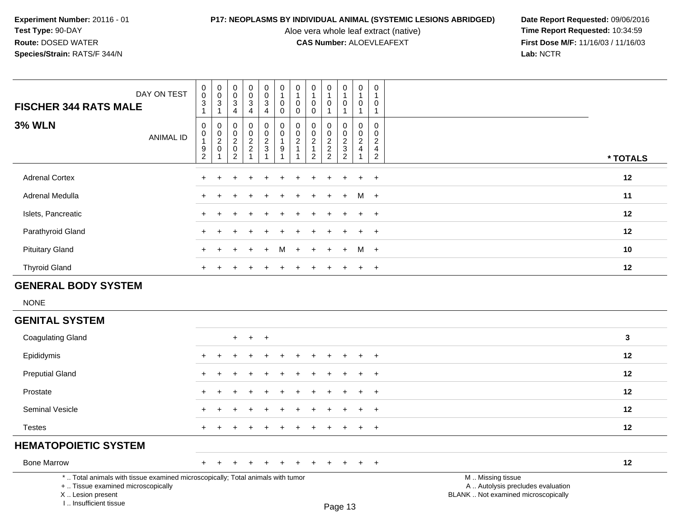Aloe vera whole leaf extract (native)<br>**CAS Number:** ALOEVLEAFEXT

| DAY ON TEST<br><b>FISCHER 344 RATS MALE</b>                                                                                                                           | 0<br>$\mathbf 0$<br>$\ensuremath{\mathsf{3}}$           | 0<br>$\mathbf 0$<br>3                                            | 0<br>$\mathsf{O}\xspace$<br>$\ensuremath{\mathsf{3}}$               | $\mathbf 0$<br>$\pmb{0}$<br>$\mathbf{3}$ | 0<br>$\mathbf 0$<br>$\mathbf{3}$                         | 0<br>$\overline{1}$<br>$\mathbf 0$                                               | 0<br>$\mathbf{1}$<br>$\mathbf 0$ | 0<br>$\mathbf{1}$<br>0                                                         | 0<br>$\mathbf{1}$<br>$\mathbf 0$                    | 0<br>$\mathbf{1}$<br>$\pmb{0}$            | 0<br>$\mathbf{1}$<br>0                                          | 0<br>$\overline{1}$<br>0                                              |                                                                                               |          |
|-----------------------------------------------------------------------------------------------------------------------------------------------------------------------|---------------------------------------------------------|------------------------------------------------------------------|---------------------------------------------------------------------|------------------------------------------|----------------------------------------------------------|----------------------------------------------------------------------------------|----------------------------------|--------------------------------------------------------------------------------|-----------------------------------------------------|-------------------------------------------|-----------------------------------------------------------------|-----------------------------------------------------------------------|-----------------------------------------------------------------------------------------------|----------|
|                                                                                                                                                                       | $\mathbf{1}$                                            | $\mathbf{1}$                                                     | 4                                                                   | 4                                        | 4                                                        | $\mathbf 0$                                                                      | 0                                | $\Omega$                                                                       | 1                                                   | $\mathbf{1}$                              | $\mathbf{1}$                                                    | $\mathbf{1}$                                                          |                                                                                               |          |
| <b>3% WLN</b><br><b>ANIMAL ID</b>                                                                                                                                     | $\pmb{0}$<br>$\pmb{0}$<br>$\mathbf{1}$<br>$\frac{9}{2}$ | $\mathbf 0$<br>$\mathbf 0$<br>$\overline{a}$<br>$\mathbf 0$<br>1 | $\mathbf 0$<br>$\mathbf 0$<br>$\overline{c}$<br>$\overline{0}$<br>2 | $\pmb{0}$<br>$\pmb{0}$<br>$\frac{2}{2}$  | 0<br>$\,0\,$<br>$\frac{2}{3}$<br>$\overline{\mathbf{1}}$ | $\mathbf 0$<br>$\mathbf 0$<br>$\mathbf{1}$<br>$\boldsymbol{9}$<br>$\overline{1}$ | 0<br>0<br>$\overline{c}$<br>1    | $\mathbf 0$<br>$\mathbf 0$<br>$\overline{c}$<br>$\mathbf{1}$<br>$\overline{2}$ | $\mathbf 0$<br>0<br>$\overline{a}$<br>$\frac{2}{2}$ | 0<br>$\mathsf{O}\xspace$<br>$\frac{2}{3}$ | $\pmb{0}$<br>$\mathbf 0$<br>$\overline{2}$<br>4<br>$\mathbf{1}$ | 0<br>$\Omega$<br>$\overline{2}$<br>$\overline{4}$<br>$\boldsymbol{2}$ |                                                                                               | * TOTALS |
|                                                                                                                                                                       |                                                         |                                                                  |                                                                     |                                          |                                                          |                                                                                  |                                  |                                                                                |                                                     |                                           |                                                                 |                                                                       |                                                                                               |          |
| <b>Adrenal Cortex</b>                                                                                                                                                 |                                                         | $\overline{1}$                                                   |                                                                     |                                          |                                                          |                                                                                  |                                  |                                                                                |                                                     | $\ddot{}$                                 | $\ddot{}$                                                       | $\ddot{}$                                                             |                                                                                               | 12       |
| Adrenal Medulla                                                                                                                                                       |                                                         |                                                                  |                                                                     |                                          |                                                          |                                                                                  |                                  |                                                                                |                                                     | $\pm$                                     | M                                                               | $^{+}$                                                                |                                                                                               | 11       |
| Islets, Pancreatic                                                                                                                                                    |                                                         |                                                                  |                                                                     |                                          |                                                          |                                                                                  |                                  |                                                                                |                                                     |                                           | $+$                                                             | $+$                                                                   |                                                                                               | 12       |
| Parathyroid Gland                                                                                                                                                     |                                                         |                                                                  |                                                                     |                                          |                                                          |                                                                                  |                                  |                                                                                |                                                     |                                           | ÷                                                               | $\overline{+}$                                                        |                                                                                               | 12       |
| <b>Pituitary Gland</b>                                                                                                                                                |                                                         |                                                                  |                                                                     |                                          | $+$                                                      | м                                                                                | $\ddot{}$                        |                                                                                | $\div$                                              | $+$                                       | М                                                               | $+$                                                                   |                                                                                               | 10       |
| <b>Thyroid Gland</b>                                                                                                                                                  | $\div$                                                  | $\div$                                                           |                                                                     |                                          |                                                          |                                                                                  |                                  |                                                                                | $\ddot{}$                                           | $\ddot{}$                                 | $\ddot{}$                                                       | $+$                                                                   |                                                                                               | 12       |
| <b>GENERAL BODY SYSTEM</b>                                                                                                                                            |                                                         |                                                                  |                                                                     |                                          |                                                          |                                                                                  |                                  |                                                                                |                                                     |                                           |                                                                 |                                                                       |                                                                                               |          |
| <b>NONE</b>                                                                                                                                                           |                                                         |                                                                  |                                                                     |                                          |                                                          |                                                                                  |                                  |                                                                                |                                                     |                                           |                                                                 |                                                                       |                                                                                               |          |
| <b>GENITAL SYSTEM</b>                                                                                                                                                 |                                                         |                                                                  |                                                                     |                                          |                                                          |                                                                                  |                                  |                                                                                |                                                     |                                           |                                                                 |                                                                       |                                                                                               |          |
| <b>Coagulating Gland</b>                                                                                                                                              |                                                         |                                                                  | $+$                                                                 | $+$                                      | $\ddot{}$                                                |                                                                                  |                                  |                                                                                |                                                     |                                           |                                                                 |                                                                       |                                                                                               | 3        |
| Epididymis                                                                                                                                                            |                                                         |                                                                  |                                                                     |                                          |                                                          |                                                                                  |                                  |                                                                                |                                                     |                                           |                                                                 | $\ddot{}$                                                             |                                                                                               | 12       |
| <b>Preputial Gland</b>                                                                                                                                                |                                                         |                                                                  |                                                                     |                                          |                                                          |                                                                                  |                                  |                                                                                |                                                     |                                           |                                                                 | $\ddot{}$                                                             |                                                                                               | 12       |
| Prostate                                                                                                                                                              |                                                         |                                                                  |                                                                     |                                          |                                                          |                                                                                  |                                  |                                                                                |                                                     |                                           |                                                                 | $\ddot{}$                                                             |                                                                                               | 12       |
| Seminal Vesicle                                                                                                                                                       |                                                         |                                                                  |                                                                     |                                          |                                                          |                                                                                  |                                  |                                                                                |                                                     |                                           |                                                                 | $\ddot{}$                                                             |                                                                                               | 12       |
| <b>Testes</b>                                                                                                                                                         |                                                         | $\overline{ }$                                                   |                                                                     |                                          |                                                          |                                                                                  |                                  |                                                                                |                                                     | $\ddot{}$                                 | $\ddot{}$                                                       | $+$                                                                   |                                                                                               | 12       |
| <b>HEMATOPOIETIC SYSTEM</b>                                                                                                                                           |                                                         |                                                                  |                                                                     |                                          |                                                          |                                                                                  |                                  |                                                                                |                                                     |                                           |                                                                 |                                                                       |                                                                                               |          |
| <b>Bone Marrow</b>                                                                                                                                                    |                                                         |                                                                  |                                                                     |                                          |                                                          |                                                                                  |                                  |                                                                                |                                                     |                                           |                                                                 | $\ddot{}$                                                             |                                                                                               | 12       |
| *  Total animals with tissue examined microscopically; Total animals with tumor<br>+  Tissue examined microscopically<br>X  Lesion present<br>L., Insufficient tissue |                                                         |                                                                  |                                                                     |                                          |                                                          |                                                                                  |                                  |                                                                                |                                                     | Page 13                                   |                                                                 |                                                                       | M  Missing tissue<br>A  Autolysis precludes evaluation<br>BLANK  Not examined microscopically |          |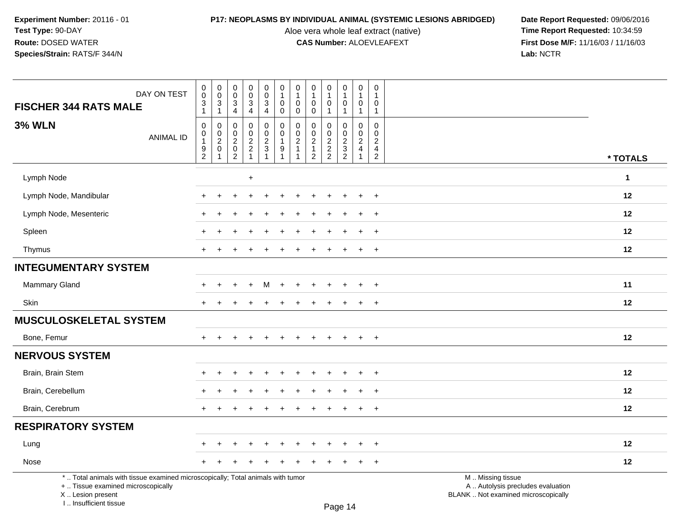I .. Insufficient tissue

Aloe vera whole leaf extract (native)<br>**CAS Number:** ALOEVLEAFEXT

| DAY ON TEST<br><b>FISCHER 344 RATS MALE</b>                                                                                                | $_{\rm 0}^{\rm 0}$<br>$\sqrt{3}$                             | $\begin{smallmatrix} 0\\0 \end{smallmatrix}$<br>$\sqrt{3}$ | $_{\rm 0}^{\rm 0}$<br>$\mathbf{3}$ | $\begin{smallmatrix}0\\0\end{smallmatrix}$<br>$\overline{3}$ | $\begin{smallmatrix} 0\\0 \end{smallmatrix}$<br>$\mathsf 3$ | $\begin{array}{c} 0 \\ 1 \end{array}$<br>$\mathbf 0$ | $\pmb{0}$<br>$\overline{1}$<br>$\mathbf 0$                   | $\pmb{0}$<br>$\mathbf{1}$<br>$\pmb{0}$ | 0<br>$\mathbf{1}$<br>0  | $\pmb{0}$<br>$\mathbf{1}$<br>0            | $\pmb{0}$<br>1<br>0                                            | $\mathbf 0$<br>$\overline{1}$<br>$\mathbf 0$                   |                                                                                               |
|--------------------------------------------------------------------------------------------------------------------------------------------|--------------------------------------------------------------|------------------------------------------------------------|------------------------------------|--------------------------------------------------------------|-------------------------------------------------------------|------------------------------------------------------|--------------------------------------------------------------|----------------------------------------|-------------------------|-------------------------------------------|----------------------------------------------------------------|----------------------------------------------------------------|-----------------------------------------------------------------------------------------------|
|                                                                                                                                            | $\mathbf{1}$                                                 | $\mathbf{1}$                                               | $\overline{4}$                     | 4                                                            | 4                                                           | $\mathbf 0$                                          | $\mathbf 0$                                                  | $\boldsymbol{0}$                       | 1                       | $\mathbf{1}$                              | $\mathbf{1}$                                                   | $\overline{1}$                                                 |                                                                                               |
| <b>3% WLN</b><br><b>ANIMAL ID</b>                                                                                                          | $\mathbf 0$<br>$\,0\,$<br>$\overline{1}$<br>$\boldsymbol{9}$ | 0<br>$\begin{smallmatrix} 0\\2\\0 \end{smallmatrix}$       | 0<br>$\mathbf 0$<br>$\frac{2}{0}$  | $\mathbf 0$<br>$\pmb{0}$<br>$\frac{2}{2}$                    | $\mathbf 0$<br>$\mathbf 0$<br>$\frac{2}{3}$                 | $\mathbf 0$<br>$\mathbf 0$<br>$\overline{1}$<br>9    | $\mathbf 0$<br>$\mathbf 0$<br>$\overline{2}$<br>$\mathbf{1}$ | $\mathbf 0$<br>0<br>$\frac{2}{1}$      | 0<br>0<br>$\frac{2}{2}$ | 0<br>$\mathsf{O}\xspace$<br>$\frac{2}{3}$ | $\mathbf 0$<br>$\mathbf 0$<br>$\overline{c}$<br>$\overline{4}$ | $\mathbf 0$<br>$\mathbf 0$<br>$\overline{c}$<br>$\overline{4}$ |                                                                                               |
|                                                                                                                                            | $\overline{c}$                                               |                                                            | $\overline{2}$                     |                                                              |                                                             | $\overline{1}$                                       | -1                                                           | $\overline{2}$                         |                         |                                           |                                                                | $\overline{2}$                                                 | * TOTALS                                                                                      |
| Lymph Node                                                                                                                                 |                                                              |                                                            |                                    | $\ddot{}$                                                    |                                                             |                                                      |                                                              |                                        |                         |                                           |                                                                |                                                                | $\mathbf 1$                                                                                   |
| Lymph Node, Mandibular                                                                                                                     |                                                              |                                                            |                                    |                                                              |                                                             |                                                      |                                                              |                                        |                         |                                           |                                                                | $\ddot{}$                                                      | 12                                                                                            |
| Lymph Node, Mesenteric                                                                                                                     |                                                              |                                                            |                                    |                                                              |                                                             |                                                      |                                                              |                                        |                         |                                           |                                                                | $\ddot{}$                                                      | 12                                                                                            |
| Spleen                                                                                                                                     |                                                              |                                                            |                                    |                                                              |                                                             |                                                      |                                                              |                                        |                         |                                           |                                                                |                                                                | 12                                                                                            |
| Thymus                                                                                                                                     | $+$                                                          |                                                            |                                    |                                                              |                                                             |                                                      |                                                              |                                        |                         | $\ddot{}$                                 | $+$                                                            | $+$                                                            | 12                                                                                            |
| <b>INTEGUMENTARY SYSTEM</b>                                                                                                                |                                                              |                                                            |                                    |                                                              |                                                             |                                                      |                                                              |                                        |                         |                                           |                                                                |                                                                |                                                                                               |
| <b>Mammary Gland</b>                                                                                                                       |                                                              | $\ddot{}$                                                  | $\div$                             | $\ddot{}$                                                    | м                                                           | $+$                                                  | $\ddot{}$                                                    |                                        | $\ddot{}$               | $\ddot{}$                                 | $\ddot{}$                                                      | $+$                                                            | 11                                                                                            |
| Skin                                                                                                                                       | $+$                                                          |                                                            |                                    |                                                              |                                                             |                                                      |                                                              |                                        |                         |                                           | $\ddot{}$                                                      | $\overline{+}$                                                 | 12                                                                                            |
| <b>MUSCULOSKELETAL SYSTEM</b>                                                                                                              |                                                              |                                                            |                                    |                                                              |                                                             |                                                      |                                                              |                                        |                         |                                           |                                                                |                                                                |                                                                                               |
| Bone, Femur                                                                                                                                |                                                              |                                                            |                                    |                                                              |                                                             |                                                      |                                                              |                                        |                         |                                           |                                                                | $\ddot{}$                                                      | 12                                                                                            |
| <b>NERVOUS SYSTEM</b>                                                                                                                      |                                                              |                                                            |                                    |                                                              |                                                             |                                                      |                                                              |                                        |                         |                                           |                                                                |                                                                |                                                                                               |
| Brain, Brain Stem                                                                                                                          | ÷                                                            |                                                            |                                    | $\div$                                                       | $\overline{ }$                                              |                                                      |                                                              |                                        | $\ddot{}$               | $\ddot{}$                                 | $\ddot{}$                                                      | $\overline{+}$                                                 | 12                                                                                            |
| Brain, Cerebellum                                                                                                                          |                                                              |                                                            |                                    |                                                              |                                                             |                                                      |                                                              |                                        |                         |                                           |                                                                | $\ddot{}$                                                      | 12                                                                                            |
| Brain, Cerebrum                                                                                                                            |                                                              |                                                            |                                    |                                                              |                                                             |                                                      |                                                              |                                        |                         |                                           | $\pm$                                                          | $\overline{+}$                                                 | 12                                                                                            |
| <b>RESPIRATORY SYSTEM</b>                                                                                                                  |                                                              |                                                            |                                    |                                                              |                                                             |                                                      |                                                              |                                        |                         |                                           |                                                                |                                                                |                                                                                               |
| Lung                                                                                                                                       |                                                              |                                                            |                                    |                                                              |                                                             |                                                      |                                                              |                                        |                         |                                           |                                                                | $\ddot{}$                                                      | 12                                                                                            |
| Nose                                                                                                                                       |                                                              |                                                            |                                    |                                                              |                                                             |                                                      |                                                              |                                        |                         |                                           |                                                                | $\ddot{}$                                                      | 12                                                                                            |
| *  Total animals with tissue examined microscopically; Total animals with tumor<br>+  Tissue examined microscopically<br>X  Lesion present |                                                              |                                                            |                                    |                                                              |                                                             |                                                      |                                                              |                                        |                         |                                           |                                                                |                                                                | M  Missing tissue<br>A  Autolysis precludes evaluation<br>BLANK  Not examined microscopically |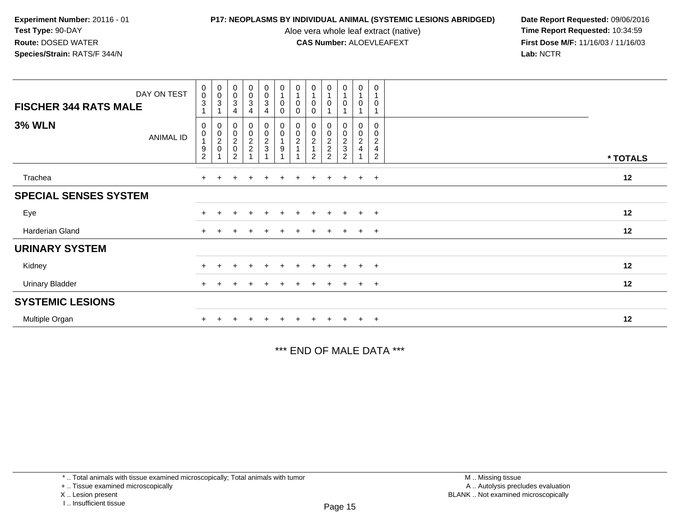Aloe vera whole leaf extract (native)<br>**CAS Number:** ALOEVLEAFEXT

**P17: NEOPLASMS BY INDIVIDUAL ANIMAL (SYSTEMIC LESIONS ABRIDGED)** Date Report Requested: 09/06/2016<br>Aloe vera whole leaf extract (native) **Time Report Requested:** 10:34:59 **First Dose M/F:** 11/16/03 / 11/16/03<br>Lab: NCTR **Lab:** NCTR

|                              | DAY ON TEST      | $_{\rm 0}^{\rm 0}$              | $\begin{smallmatrix}0\\0\end{smallmatrix}$ | $\,0\,$<br>$\boldsymbol{0}$                                      | $\begin{smallmatrix} 0\\0\\3 \end{smallmatrix}$ | $\begin{smallmatrix} 0\\0\\3 \end{smallmatrix}$                                | $\boldsymbol{0}$<br>$\overline{1}$                                       | 0<br>$\overline{1}$                                        | $\pmb{0}$<br>$\overline{1}$                                                       | 0                                                   | 0<br>$\mathbf{1}$                                                 | 0                                         | 0                                                                |          |
|------------------------------|------------------|---------------------------------|--------------------------------------------|------------------------------------------------------------------|-------------------------------------------------|--------------------------------------------------------------------------------|--------------------------------------------------------------------------|------------------------------------------------------------|-----------------------------------------------------------------------------------|-----------------------------------------------------|-------------------------------------------------------------------|-------------------------------------------|------------------------------------------------------------------|----------|
| <b>FISCHER 344 RATS MALE</b> |                  | $\overline{3}$                  | $\overline{3}$<br>1                        | $\ensuremath{\mathsf{3}}$<br>4                                   |                                                 | $\overline{4}$                                                                 | $\pmb{0}$<br>$\mathbf 0$                                                 | 0<br>0                                                     | $\mathbf 0$<br>$\Omega$                                                           | 0                                                   | $\mathbf 0$                                                       | $\mathbf 0$                               | $\mathbf 0$                                                      |          |
| <b>3% WLN</b>                | <b>ANIMAL ID</b> | 0<br>$\pmb{0}$<br>$\frac{9}{2}$ | 1                                          | $\begin{matrix} 0 \\ 0 \\ 2 \\ 0 \end{matrix}$<br>$\overline{2}$ | 00022                                           | $\begin{smallmatrix}0\0\0\end{smallmatrix}$<br>$\frac{2}{3}$<br>$\overline{A}$ | $_{\rm 0}^{\rm 0}$<br>$\mathbf{1}$<br>$\boldsymbol{9}$<br>$\overline{A}$ | $\begin{smallmatrix} 0\\0 \end{smallmatrix}$<br>$\sqrt{2}$ | $_{\rm 0}^{\rm 0}$<br>$\overline{\mathbf{c}}$<br>$\overline{1}$<br>$\overline{2}$ | 0<br>$\mathbf 0$<br>$\frac{2}{2}$<br>$\overline{2}$ | $\begin{array}{c} 0 \\ 0 \\ 2 \\ 3 \end{array}$<br>$\overline{2}$ | $_{\rm 0}^{\rm 0}$<br>$\overline{c}$<br>4 | 0<br>$\pmb{0}$<br>$\overline{c}$<br>$\overline{\mathbf{4}}$<br>2 | * TOTALS |
| Trachea                      |                  | $+$                             |                                            |                                                                  | $\ddot{}$                                       | $+$                                                                            |                                                                          | $\pm$                                                      | $\pm$                                                                             | $\ddot{}$                                           | $+$                                                               | $+$                                       | $+$                                                              | 12       |
| <b>SPECIAL SENSES SYSTEM</b> |                  |                                 |                                            |                                                                  |                                                 |                                                                                |                                                                          |                                                            |                                                                                   |                                                     |                                                                   |                                           |                                                                  |          |
| Eye                          |                  |                                 |                                            |                                                                  | $\ddot{}$                                       | $+$                                                                            | $\pm$                                                                    | $\pm$                                                      | $+$                                                                               | $\pm$                                               | $+$                                                               | $+$                                       | $+$                                                              | 12       |
| Harderian Gland              |                  |                                 |                                            |                                                                  |                                                 | +                                                                              |                                                                          |                                                            |                                                                                   |                                                     | $+$                                                               | $+$                                       | $+$                                                              | 12       |
| <b>URINARY SYSTEM</b>        |                  |                                 |                                            |                                                                  |                                                 |                                                                                |                                                                          |                                                            |                                                                                   |                                                     |                                                                   |                                           |                                                                  |          |
| Kidney                       |                  |                                 |                                            |                                                                  | $\ddot{}$                                       | $+$                                                                            | $\pm$                                                                    | $\pm$                                                      | $+$                                                                               | $\pm$                                               | $+$                                                               | $+$                                       | $+$                                                              | 12       |
| <b>Urinary Bladder</b>       |                  |                                 |                                            |                                                                  |                                                 |                                                                                |                                                                          |                                                            |                                                                                   |                                                     | $+$                                                               | $+$                                       | $+$                                                              | 12       |
| <b>SYSTEMIC LESIONS</b>      |                  |                                 |                                            |                                                                  |                                                 |                                                                                |                                                                          |                                                            |                                                                                   |                                                     |                                                                   |                                           |                                                                  |          |
| Multiple Organ               |                  |                                 |                                            |                                                                  |                                                 |                                                                                |                                                                          |                                                            |                                                                                   |                                                     | $+$                                                               | $+$                                       | $\overline{+}$                                                   | 12       |

\*\*\* END OF MALE DATA \*\*\*

\* .. Total animals with tissue examined microscopically; Total animals with tumor

+ .. Tissue examined microscopically

X .. Lesion present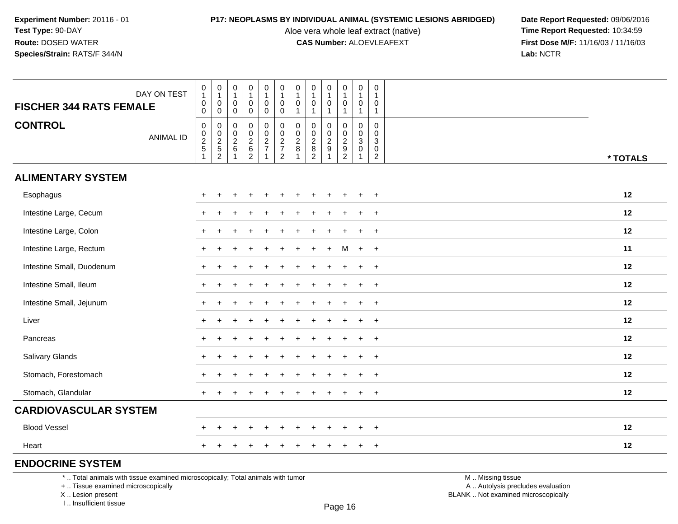Aloe vera whole leaf extract (native)<br>**CAS Number:** ALOEVLEAFEXT

**P17: NEOPLASMS BY INDIVIDUAL ANIMAL (SYSTEMIC LESIONS ABRIDGED)** Date Report Requested: 09/06/2016<br>Aloe vera whole leaf extract (native) **Time Report Requested:** 10:34:59 **First Dose M/F:** 11/16/03 / 11/16/03<br>Lab: NCTR **Lab:** NCTR

| <b>FISCHER 344 RATS FEMALE</b> | DAY ON TEST      | $\pmb{0}$<br>$\mathbf{1}$<br>$\pmb{0}$<br>$\mathbf 0$ | $\begin{smallmatrix}0\\1\end{smallmatrix}$<br>$\pmb{0}$<br>$\mathbf 0$ | $\begin{smallmatrix}0\\1\end{smallmatrix}$<br>0<br>$\mathbf 0$  | $\pmb{0}$<br>$\mathbf{1}$<br>$\mathbf 0$<br>$\mathbf 0$ | $\mathbf 0$<br>$\mathbf{1}$<br>$\mathbf 0$<br>$\pmb{0}$ | $\boldsymbol{0}$<br>$\mathbf{1}$<br>$\mathbf 0$<br>$\mathbf 0$ | $\pmb{0}$<br>$\mathbf{1}$<br>$\pmb{0}$<br>$\mathbf{1}$ | $\mathbf 0$<br>$\mathbf{1}$<br>$\mathbf 0$<br>$\overline{1}$  | $\mathbf 0$<br>$\mathbf{1}$<br>$\mathbf 0$<br>-1        | 0<br>$\mathbf{1}$<br>$\pmb{0}$<br>$\mathbf{1}$ | $\pmb{0}$<br>$\overline{1}$<br>$\mathbf 0$<br>$\mathbf{1}$                       | 0<br>$\mathbf{1}$<br>0<br>$\mathbf{1}$              |          |
|--------------------------------|------------------|-------------------------------------------------------|------------------------------------------------------------------------|-----------------------------------------------------------------|---------------------------------------------------------|---------------------------------------------------------|----------------------------------------------------------------|--------------------------------------------------------|---------------------------------------------------------------|---------------------------------------------------------|------------------------------------------------|----------------------------------------------------------------------------------|-----------------------------------------------------|----------|
| <b>CONTROL</b>                 | <b>ANIMAL ID</b> | $\pmb{0}$<br>$\frac{0}{2}$                            | $0$<br>$2$<br>$5$<br>$2$                                               | $\mathbf 0$<br>0<br>$\overline{2}$<br>$\,6\,$<br>$\overline{1}$ | $\pmb{0}$<br>$\pmb{0}$<br>$\frac{2}{6}$                 | 0<br>$\frac{0}{2}$<br>$\mathbf 1$                       | $\mathbf 0$<br>$\begin{array}{c} 0 \\ 2 \\ 7 \\ 2 \end{array}$ | $\pmb{0}$<br>$\frac{0}{2}$<br>8<br>$\mathbf{1}$        | $\mathbf 0$<br>$\mathbf 0$<br>$\frac{2}{8}$<br>$\overline{2}$ | $\mathbf 0$<br>$\frac{0}{2}$<br>$\overline{\mathbf{1}}$ | 0<br>$\mathbf 0$<br>$\frac{2}{9}$              | $\boldsymbol{0}$<br>$\mathsf 0$<br>$\overline{3}$<br>$\pmb{0}$<br>$\overline{1}$ | $\mathbf 0$<br>$\Omega$<br>3<br>0<br>$\overline{2}$ | * TOTALS |
| <b>ALIMENTARY SYSTEM</b>       |                  |                                                       |                                                                        |                                                                 |                                                         |                                                         |                                                                |                                                        |                                                               |                                                         |                                                |                                                                                  |                                                     |          |
| Esophagus                      |                  | $\pm$                                                 |                                                                        |                                                                 |                                                         |                                                         |                                                                |                                                        |                                                               |                                                         | $\div$                                         |                                                                                  | $\ddot{}$                                           | 12       |
| Intestine Large, Cecum         |                  | +                                                     |                                                                        |                                                                 |                                                         |                                                         |                                                                |                                                        |                                                               |                                                         |                                                |                                                                                  | $\ddot{}$                                           | 12       |
| Intestine Large, Colon         |                  | $+$                                                   |                                                                        |                                                                 |                                                         |                                                         |                                                                |                                                        |                                                               |                                                         |                                                | ٠                                                                                | $\overline{+}$                                      | 12       |
| Intestine Large, Rectum        |                  | $+$                                                   |                                                                        |                                                                 |                                                         |                                                         |                                                                |                                                        |                                                               |                                                         | М                                              | $\ddot{}$                                                                        | $^{+}$                                              | 11       |
| Intestine Small, Duodenum      |                  | $\pm$                                                 |                                                                        |                                                                 |                                                         |                                                         |                                                                |                                                        |                                                               |                                                         | $\div$                                         | $\ddot{}$                                                                        | $\overline{+}$                                      | 12       |
| Intestine Small, Ileum         |                  | $+$                                                   |                                                                        |                                                                 |                                                         |                                                         |                                                                |                                                        |                                                               |                                                         |                                                | ÷                                                                                | $\ddot{}$                                           | 12       |
| Intestine Small, Jejunum       |                  | $+$                                                   |                                                                        |                                                                 |                                                         |                                                         |                                                                |                                                        |                                                               |                                                         |                                                | ÷                                                                                | $+$                                                 | 12       |
| Liver                          |                  | $+$                                                   |                                                                        |                                                                 |                                                         |                                                         |                                                                |                                                        |                                                               |                                                         |                                                |                                                                                  | $\ddot{}$                                           | 12       |
| Pancreas                       |                  | $+$                                                   |                                                                        |                                                                 |                                                         |                                                         |                                                                |                                                        |                                                               |                                                         |                                                |                                                                                  | $\ddot{}$                                           | 12       |
| Salivary Glands                |                  |                                                       |                                                                        |                                                                 |                                                         |                                                         |                                                                |                                                        |                                                               |                                                         |                                                |                                                                                  | $\ddot{}$                                           | 12       |
| Stomach, Forestomach           |                  | $+$                                                   |                                                                        |                                                                 |                                                         |                                                         |                                                                |                                                        |                                                               |                                                         |                                                |                                                                                  | $\ddot{}$                                           | 12       |
| Stomach, Glandular             |                  | $+$                                                   |                                                                        |                                                                 |                                                         |                                                         |                                                                |                                                        |                                                               |                                                         |                                                | $\ddot{}$                                                                        | $\ddot{}$                                           | 12       |
| <b>CARDIOVASCULAR SYSTEM</b>   |                  |                                                       |                                                                        |                                                                 |                                                         |                                                         |                                                                |                                                        |                                                               |                                                         |                                                |                                                                                  |                                                     |          |
| <b>Blood Vessel</b>            |                  | +                                                     |                                                                        |                                                                 |                                                         |                                                         |                                                                |                                                        |                                                               |                                                         |                                                |                                                                                  | $\ddot{}$                                           | 12       |
| Heart                          |                  | $+$                                                   |                                                                        |                                                                 |                                                         |                                                         |                                                                |                                                        |                                                               |                                                         |                                                |                                                                                  | $\ddot{}$                                           | 12       |
| <b>FUDOCDINE CVCTEM</b>        |                  |                                                       |                                                                        |                                                                 |                                                         |                                                         |                                                                |                                                        |                                                               |                                                         |                                                |                                                                                  |                                                     |          |

### **ENDOCRINE SYSTEM**

\* .. Total animals with tissue examined microscopically; Total animals with tumor

+ .. Tissue examined microscopically

X .. Lesion present

I .. Insufficient tissue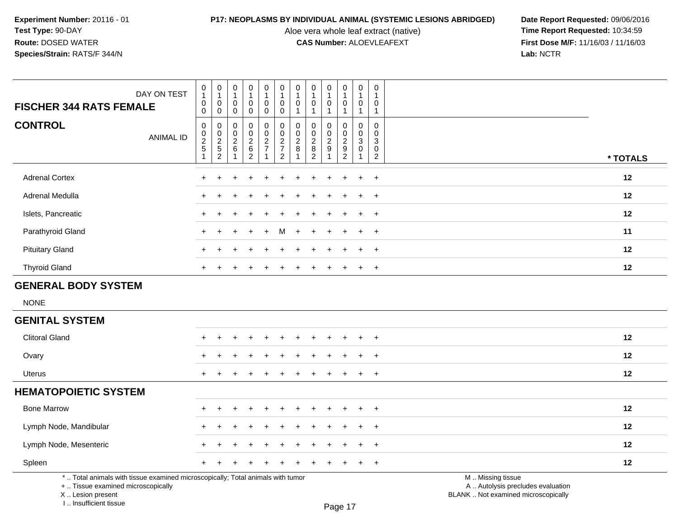Aloe vera whole leaf extract (native)<br>**CAS Number:** ALOEVLEAFEXT

**P17: NEOPLASMS BY INDIVIDUAL ANIMAL (SYSTEMIC LESIONS ABRIDGED)** Date Report Requested: 09/06/2016<br>Aloe vera whole leaf extract (native) **Time Report Requested:** 10:34:59 **First Dose M/F:** 11/16/03 / 11/16/03<br>Lab: NCTR **Lab:** NCTR

| <b>FISCHER 344 RATS FEMALE</b>                                                                                        | DAY ON TEST      | $\begin{smallmatrix}0\\1\end{smallmatrix}$<br>0<br>$\mathbf{0}$   | $\pmb{0}$<br>$\overline{1}$<br>$\mathbf 0$                 | $\pmb{0}$<br>$\overline{1}$<br>$\mathbf 0$                                               | $\pmb{0}$<br>$\mathbf{1}$<br>0                                 | $\pmb{0}$<br>$\mathbf{1}$<br>0                                           | $\pmb{0}$<br>$\mathbf{1}$<br>$\mathbf 0$                                                        | 0<br>$\overline{1}$<br>$\mathbf 0$<br>$\overline{1}$ | $\pmb{0}$<br>$\mathbf{1}$<br>$\mathbf 0$<br>$\overline{1}$                                          | $\pmb{0}$<br>$\mathbf{1}$<br>$\mathbf 0$                                    | $\mathbf 0$<br>$\mathbf{1}$<br>$\mathbf 0$<br>$\mathbf{1}$ | $\pmb{0}$<br>$\mathbf{1}$<br>0                             | $\pmb{0}$<br>$\overline{1}$<br>0                                                          |                                                        |
|-----------------------------------------------------------------------------------------------------------------------|------------------|-------------------------------------------------------------------|------------------------------------------------------------|------------------------------------------------------------------------------------------|----------------------------------------------------------------|--------------------------------------------------------------------------|-------------------------------------------------------------------------------------------------|------------------------------------------------------|-----------------------------------------------------------------------------------------------------|-----------------------------------------------------------------------------|------------------------------------------------------------|------------------------------------------------------------|-------------------------------------------------------------------------------------------|--------------------------------------------------------|
| <b>CONTROL</b>                                                                                                        | <b>ANIMAL ID</b> | $\pmb{0}$<br>$\mathsf{O}\xspace$<br>$\frac{2}{5}$<br>$\mathbf{1}$ | $\mathbf 0$<br>$\mathbf 0$<br>$\mathbf 0$<br>$\frac{2}{5}$ | $\mathbf 0$<br>$\mathbf 0$<br>$\mathbf 0$<br>$\overline{2}$<br>$\,6\,$<br>$\overline{1}$ | 0<br>$\mathbf 0$<br>0<br>$\overline{2}$<br>$\overline{6}$<br>2 | $\mathbf 0$<br>$\mathbf 0$<br>0<br>$\overline{2}$<br>$\overline{7}$<br>1 | $\mathbf 0$<br>$\mathbf 0$<br>$\mathbf 0$<br>$\overline{2}$<br>$\overline{7}$<br>$\overline{2}$ | $\mathbf{0}$<br>$\mathbf 0$<br>$\sqrt{2}$<br>8       | $\mathbf 0$<br>$\boldsymbol{0}$<br>$\overline{2}$<br>$\begin{smallmatrix} 8 \\ 2 \end{smallmatrix}$ | $\mathbf{1}$<br>$\mathbf 0$<br>0<br>$\overline{2}$<br>$\boldsymbol{9}$<br>1 | $\mathbf 0$<br>0<br>$\overline{c}$<br>$\frac{9}{2}$        | $\mathbf{1}$<br>$\mathbf 0$<br>0<br>3<br>0<br>$\mathbf{1}$ | $\mathbf{1}$<br>$\mathbf 0$<br>$\mathbf 0$<br>$\sqrt{3}$<br>$\mathbf 0$<br>$\overline{c}$ | * TOTALS                                               |
| <b>Adrenal Cortex</b>                                                                                                 |                  |                                                                   |                                                            |                                                                                          |                                                                |                                                                          |                                                                                                 |                                                      |                                                                                                     |                                                                             |                                                            |                                                            | $\ddot{}$                                                                                 | 12                                                     |
| Adrenal Medulla                                                                                                       |                  |                                                                   |                                                            |                                                                                          |                                                                |                                                                          |                                                                                                 |                                                      |                                                                                                     |                                                                             |                                                            |                                                            | $\ddot{}$                                                                                 | 12                                                     |
| Islets, Pancreatic                                                                                                    |                  |                                                                   |                                                            |                                                                                          |                                                                |                                                                          |                                                                                                 |                                                      |                                                                                                     |                                                                             |                                                            |                                                            | $\pm$                                                                                     | 12                                                     |
| Parathyroid Gland                                                                                                     |                  |                                                                   |                                                            |                                                                                          |                                                                |                                                                          | м                                                                                               |                                                      |                                                                                                     |                                                                             |                                                            | $\ddot{}$                                                  | $\ddot{}$                                                                                 | 11                                                     |
| <b>Pituitary Gland</b>                                                                                                |                  |                                                                   |                                                            |                                                                                          |                                                                |                                                                          |                                                                                                 |                                                      |                                                                                                     |                                                                             |                                                            |                                                            | $\ddot{}$                                                                                 | 12                                                     |
| <b>Thyroid Gland</b>                                                                                                  |                  |                                                                   |                                                            |                                                                                          |                                                                |                                                                          |                                                                                                 |                                                      |                                                                                                     |                                                                             |                                                            | $\pm$                                                      | $\ddot{}$                                                                                 | 12                                                     |
| <b>GENERAL BODY SYSTEM</b>                                                                                            |                  |                                                                   |                                                            |                                                                                          |                                                                |                                                                          |                                                                                                 |                                                      |                                                                                                     |                                                                             |                                                            |                                                            |                                                                                           |                                                        |
| <b>NONE</b>                                                                                                           |                  |                                                                   |                                                            |                                                                                          |                                                                |                                                                          |                                                                                                 |                                                      |                                                                                                     |                                                                             |                                                            |                                                            |                                                                                           |                                                        |
| <b>GENITAL SYSTEM</b>                                                                                                 |                  |                                                                   |                                                            |                                                                                          |                                                                |                                                                          |                                                                                                 |                                                      |                                                                                                     |                                                                             |                                                            |                                                            |                                                                                           |                                                        |
| <b>Clitoral Gland</b>                                                                                                 |                  |                                                                   |                                                            |                                                                                          |                                                                |                                                                          |                                                                                                 |                                                      |                                                                                                     |                                                                             |                                                            |                                                            | $\ddot{}$                                                                                 | 12                                                     |
| Ovary                                                                                                                 |                  |                                                                   |                                                            |                                                                                          |                                                                |                                                                          |                                                                                                 |                                                      |                                                                                                     |                                                                             |                                                            |                                                            | $\ddot{}$                                                                                 | 12                                                     |
| Uterus                                                                                                                |                  | $\ddot{}$                                                         |                                                            |                                                                                          |                                                                |                                                                          |                                                                                                 |                                                      |                                                                                                     |                                                                             |                                                            | $+$                                                        | $\ddot{}$                                                                                 | 12                                                     |
| <b>HEMATOPOIETIC SYSTEM</b>                                                                                           |                  |                                                                   |                                                            |                                                                                          |                                                                |                                                                          |                                                                                                 |                                                      |                                                                                                     |                                                                             |                                                            |                                                            |                                                                                           |                                                        |
| <b>Bone Marrow</b>                                                                                                    |                  |                                                                   |                                                            |                                                                                          |                                                                |                                                                          |                                                                                                 |                                                      |                                                                                                     |                                                                             |                                                            |                                                            | $\ddot{}$                                                                                 | 12                                                     |
| Lymph Node, Mandibular                                                                                                |                  |                                                                   |                                                            |                                                                                          |                                                                |                                                                          |                                                                                                 |                                                      |                                                                                                     |                                                                             |                                                            |                                                            | $\ddot{}$                                                                                 | 12                                                     |
| Lymph Node, Mesenteric                                                                                                |                  |                                                                   |                                                            |                                                                                          |                                                                |                                                                          |                                                                                                 |                                                      |                                                                                                     |                                                                             |                                                            | $\div$                                                     | $\ddot{}$                                                                                 | 12                                                     |
| Spleen                                                                                                                |                  | $\ddot{}$                                                         |                                                            |                                                                                          |                                                                |                                                                          |                                                                                                 |                                                      |                                                                                                     |                                                                             |                                                            | $+$                                                        | $\ddot{}$                                                                                 | 12                                                     |
| *  Total animals with tissue examined microscopically; Total animals with tumor<br>+  Tissue examined microscopically |                  |                                                                   |                                                            |                                                                                          |                                                                |                                                                          |                                                                                                 |                                                      |                                                                                                     |                                                                             |                                                            |                                                            |                                                                                           | M  Missing tissue<br>A  Autolysis precludes evaluation |

 Lesion present BLANK .. Not examined microscopicallyX .. Lesion present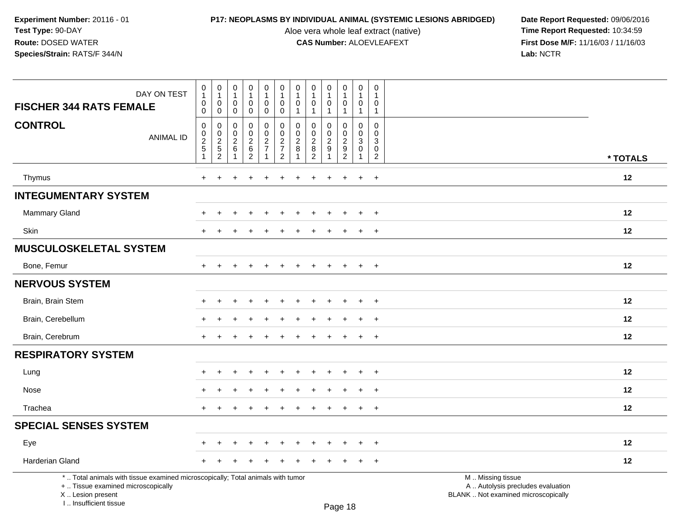I .. Insufficient tissue

Aloe vera whole leaf extract (native)<br>**CAS Number:** ALOEVLEAFEXT

| DAY ON TEST<br><b>FISCHER 344 RATS FEMALE</b>                                                                                             | $\begin{smallmatrix}0\\1\end{smallmatrix}$<br>$\boldsymbol{0}$            | $\pmb{0}$<br>$\mathbf{1}$<br>0                      | 0<br>$\overline{1}$<br>0                                  | $\pmb{0}$<br>$\mathbf{1}$<br>0            | $\pmb{0}$<br>$\mathbf{1}$<br>0    | $\begin{smallmatrix}0\\1\end{smallmatrix}$<br>$\mathbf 0$     | $\pmb{0}$<br>$\overline{1}$<br>$\mathbf 0$                  | $\pmb{0}$<br>$\mathbf{1}$<br>$\mathbf 0$           | 0<br>$\mathbf{1}$<br>$\Omega$     | $\pmb{0}$<br>$\mathbf{1}$<br>0            | $\pmb{0}$<br>1<br>0                                       | $\mathbf 0$<br>$\overline{1}$<br>$\mathbf 0$     |                                                                                               |
|-------------------------------------------------------------------------------------------------------------------------------------------|---------------------------------------------------------------------------|-----------------------------------------------------|-----------------------------------------------------------|-------------------------------------------|-----------------------------------|---------------------------------------------------------------|-------------------------------------------------------------|----------------------------------------------------|-----------------------------------|-------------------------------------------|-----------------------------------------------------------|--------------------------------------------------|-----------------------------------------------------------------------------------------------|
|                                                                                                                                           | 0                                                                         | $\mathbf 0$                                         | 0                                                         | 0                                         | $\mathbf 0$                       | $\mathbf 0$                                                   | $\overline{1}$                                              | $\mathbf{1}$                                       | 1                                 | $\overline{1}$                            | $\mathbf{1}$                                              | $\overline{1}$                                   |                                                                                               |
| <b>CONTROL</b><br><b>ANIMAL ID</b>                                                                                                        | $\mathbf 0$<br>$\begin{array}{c} 0 \\ 2 \\ 5 \end{array}$<br>$\mathbf{1}$ | $\mathbf 0$<br>0<br>$\frac{2}{5}$<br>$\overline{c}$ | 0<br>$\mathbf 0$<br>$\begin{array}{c} 2 \\ 6 \end{array}$ | 0<br>0<br>$\frac{2}{6}$<br>$\overline{2}$ | $\mathbf 0$<br>0<br>$\frac{2}{7}$ | $\mathbf 0$<br>$\mathbf 0$<br>$\frac{2}{7}$<br>$\overline{2}$ | $\mathbf 0$<br>$\mathbf 0$<br>$\frac{2}{8}$<br>$\mathbf{1}$ | $\mathbf 0$<br>0<br>$_{\rm 8}^2$<br>$\overline{2}$ | 0<br>$\mathbf 0$<br>$\frac{2}{9}$ | 0<br>0<br>$\frac{2}{9}$<br>$\overline{2}$ | $\mathbf 0$<br>$\mathbf 0$<br>$\mathbf{3}$<br>$\mathbf 0$ | $\mathbf 0$<br>$\Omega$<br>3<br>$\mathbf 0$<br>2 | * TOTALS                                                                                      |
| Thymus                                                                                                                                    | $+$                                                                       |                                                     |                                                           |                                           |                                   |                                                               |                                                             |                                                    |                                   | $\div$                                    | $\ddot{}$                                                 | $+$                                              | 12                                                                                            |
| <b>INTEGUMENTARY SYSTEM</b>                                                                                                               |                                                                           |                                                     |                                                           |                                           |                                   |                                                               |                                                             |                                                    |                                   |                                           |                                                           |                                                  |                                                                                               |
| Mammary Gland                                                                                                                             |                                                                           |                                                     |                                                           |                                           |                                   |                                                               |                                                             |                                                    |                                   |                                           |                                                           | $\ddot{}$                                        | 12                                                                                            |
| Skin                                                                                                                                      |                                                                           |                                                     |                                                           |                                           |                                   |                                                               |                                                             |                                                    |                                   |                                           |                                                           | $\ddot{}$                                        | 12                                                                                            |
| <b>MUSCULOSKELETAL SYSTEM</b>                                                                                                             |                                                                           |                                                     |                                                           |                                           |                                   |                                                               |                                                             |                                                    |                                   |                                           |                                                           |                                                  |                                                                                               |
| Bone, Femur                                                                                                                               | $+$                                                                       |                                                     |                                                           |                                           |                                   |                                                               |                                                             |                                                    |                                   |                                           | $\ddot{}$                                                 | $+$                                              | 12                                                                                            |
| <b>NERVOUS SYSTEM</b>                                                                                                                     |                                                                           |                                                     |                                                           |                                           |                                   |                                                               |                                                             |                                                    |                                   |                                           |                                                           |                                                  |                                                                                               |
| Brain, Brain Stem                                                                                                                         |                                                                           |                                                     |                                                           |                                           |                                   |                                                               |                                                             |                                                    |                                   |                                           | $\ddot{}$                                                 | $\overline{+}$                                   | 12                                                                                            |
| Brain, Cerebellum                                                                                                                         |                                                                           |                                                     |                                                           |                                           |                                   |                                                               |                                                             |                                                    |                                   |                                           | $\ddot{}$                                                 | $+$                                              | 12                                                                                            |
| Brain, Cerebrum                                                                                                                           |                                                                           |                                                     |                                                           |                                           |                                   |                                                               |                                                             |                                                    |                                   |                                           | $\ddot{}$                                                 | $+$                                              | 12                                                                                            |
| <b>RESPIRATORY SYSTEM</b>                                                                                                                 |                                                                           |                                                     |                                                           |                                           |                                   |                                                               |                                                             |                                                    |                                   |                                           |                                                           |                                                  |                                                                                               |
| Lung                                                                                                                                      |                                                                           |                                                     |                                                           |                                           |                                   |                                                               |                                                             |                                                    |                                   |                                           |                                                           | $\ddot{}$                                        | 12                                                                                            |
| Nose                                                                                                                                      |                                                                           |                                                     |                                                           |                                           |                                   |                                                               |                                                             |                                                    |                                   |                                           | $\div$                                                    | $\ddot{}$                                        | 12                                                                                            |
| Trachea                                                                                                                                   | $+$                                                                       | $\ddot{}$                                           |                                                           | $\ddot{}$                                 | $\ddot{}$                         | $\ddot{}$                                                     | $\div$                                                      |                                                    | $\ddot{}$                         | $\ddot{}$                                 | $+$                                                       | $+$                                              | 12                                                                                            |
| <b>SPECIAL SENSES SYSTEM</b>                                                                                                              |                                                                           |                                                     |                                                           |                                           |                                   |                                                               |                                                             |                                                    |                                   |                                           |                                                           |                                                  |                                                                                               |
| Eye                                                                                                                                       |                                                                           |                                                     |                                                           |                                           |                                   |                                                               |                                                             |                                                    |                                   |                                           |                                                           | $\ddot{}$                                        | 12                                                                                            |
| <b>Harderian Gland</b>                                                                                                                    |                                                                           |                                                     |                                                           |                                           |                                   |                                                               |                                                             |                                                    |                                   |                                           |                                                           | $\ddot{}$                                        | 12                                                                                            |
| *  Total animals with tissue examined microscopically; Total animals with tumor<br>+  Tissue examined microscopically<br>X Lesion present |                                                                           |                                                     |                                                           |                                           |                                   |                                                               |                                                             |                                                    |                                   |                                           |                                                           |                                                  | M  Missing tissue<br>A  Autolysis precludes evaluation<br>BLANK  Not examined microscopically |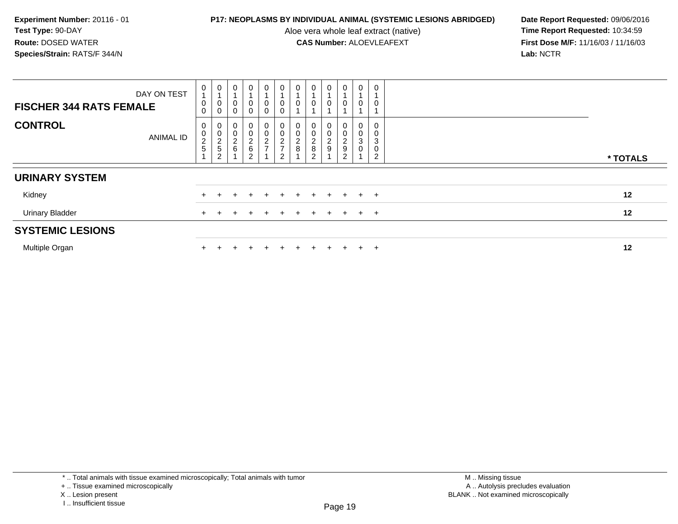Aloe vera whole leaf extract (native)<br>**CAS Number:** ALOEVLEAFEXT

**P17: NEOPLASMS BY INDIVIDUAL ANIMAL (SYSTEMIC LESIONS ABRIDGED)** Date Report Requested: 09/06/2016<br>Aloe vera whole leaf extract (native) **Time Report Requested:** 10:34:59 **First Dose M/F:** 11/16/03 / 11/16/03<br>Lab: NCTR **Lab:** NCTR

| <b>FISCHER 344 RATS FEMALE</b> | DAY ON TEST      | 0<br>$\overline{A}$<br>$\boldsymbol{0}$<br>$\mathsf{O}\xspace$ | 0<br>$\overline{A}$<br>0<br>$\pmb{0}$                               | 0<br>0<br>$\mathbf 0$                   | $\mathbf 0$<br>$\mathbf 0$<br>$\mathbf 0$      | $\mathbf 0$<br>$\pmb{0}$<br>$\pmb{0}$ | 0<br>0<br>0                               | 0<br>$\pmb{0}$                                 | 0<br>0                       | 0<br>0                            | 0<br>0                     | 0<br>0                                     | 0<br>0                |          |
|--------------------------------|------------------|----------------------------------------------------------------|---------------------------------------------------------------------|-----------------------------------------|------------------------------------------------|---------------------------------------|-------------------------------------------|------------------------------------------------|------------------------------|-----------------------------------|----------------------------|--------------------------------------------|-----------------------|----------|
| <b>CONTROL</b>                 | <b>ANIMAL ID</b> | 0<br>$\pmb{0}$<br>$\frac{2}{5}$                                | 0<br>$\pmb{0}$<br>$\boldsymbol{2}$<br>$\,$ 5 $\,$<br>$\overline{c}$ | 0<br>$\mathbf 0$<br>$\overline{c}$<br>6 | $\mathbf 0$<br>$\frac{2}{6}$<br>$\overline{2}$ | 0<br>$\mathbf 0$<br>$\frac{2}{7}$     | 0<br>0<br>$\frac{2}{7}$<br>$\overline{c}$ | $\boldsymbol{0}$<br>$\pmb{0}$<br>$\frac{2}{8}$ | U<br>0<br>$\frac{2}{8}$<br>2 | $\mathbf 0$<br>$\Omega$<br>∠<br>9 | 0<br>C<br>۷<br>9<br>$\sim$ | 0<br>$\mathsf{O}\xspace$<br>3<br>$\pmb{0}$ | O<br>0<br>3<br>0<br>◠ | * TOTALS |
| <b>URINARY SYSTEM</b>          |                  |                                                                |                                                                     |                                         |                                                |                                       |                                           |                                                |                              |                                   |                            |                                            |                       |          |
| Kidney                         |                  |                                                                |                                                                     |                                         |                                                |                                       | ÷                                         |                                                |                              | $+$                               |                            | $+$                                        | $+$                   | 12       |
| <b>Urinary Bladder</b>         |                  |                                                                |                                                                     |                                         |                                                |                                       |                                           |                                                |                              | ÷.                                |                            | $+$                                        | $+$                   | 12       |
| <b>SYSTEMIC LESIONS</b>        |                  |                                                                |                                                                     |                                         |                                                |                                       |                                           |                                                |                              |                                   |                            |                                            |                       |          |
| Multiple Organ                 |                  |                                                                |                                                                     |                                         |                                                |                                       | $+$                                       |                                                | $\div$                       | $+$                               |                            | $+$                                        | $+$                   | 12       |

\* .. Total animals with tissue examined microscopically; Total animals with tumor

+ .. Tissue examined microscopically

X .. Lesion present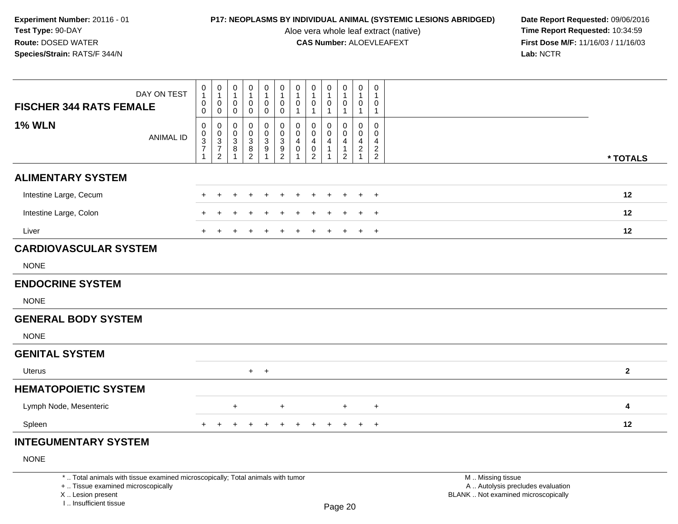Aloe vera whole leaf extract (native)<br>**CAS Number:** ALOEVLEAFEXT

|                                                                                                                                                                     | DAY ON TEST      | $\pmb{0}$<br>$\mathbf{1}$<br>$\pmb{0}$  | $\pmb{0}$<br>$\mathbf{1}$<br>$\mathbf 0$    | $\pmb{0}$<br>$\overline{1}$<br>$\pmb{0}$                 | $\pmb{0}$<br>$\mathbf{1}$<br>$\pmb{0}$    | 0<br>$\mathbf{1}$<br>0                                  | $\pmb{0}$<br>$\overline{1}$<br>$\pmb{0}$                               | $\pmb{0}$<br>$\mathbf{1}$<br>$\pmb{0}$          | 0<br>$\mathbf{1}$<br>$\mathbf 0$                       | $\pmb{0}$<br>1<br>$\pmb{0}$               | $\pmb{0}$<br>$\mathbf{1}$<br>$\pmb{0}$                       | $\mathsf 0$<br>$\overline{1}$<br>$\pmb{0}$                    | $\mathbf 0$<br>$\overline{1}$<br>$\mathbf 0$                  |                                                                                               |                         |
|---------------------------------------------------------------------------------------------------------------------------------------------------------------------|------------------|-----------------------------------------|---------------------------------------------|----------------------------------------------------------|-------------------------------------------|---------------------------------------------------------|------------------------------------------------------------------------|-------------------------------------------------|--------------------------------------------------------|-------------------------------------------|--------------------------------------------------------------|---------------------------------------------------------------|---------------------------------------------------------------|-----------------------------------------------------------------------------------------------|-------------------------|
| <b>FISCHER 344 RATS FEMALE</b>                                                                                                                                      |                  | $\mathsf{O}\xspace$                     | $\mathbf 0$                                 | $\pmb{0}$                                                | $\mathbf 0$                               | $\pmb{0}$                                               | $\mathbf 0$                                                            | $\mathbf{1}$                                    | $\mathbf{1}$                                           | 1                                         | $\mathbf{1}$                                                 | $\mathbf{1}$                                                  | 1                                                             |                                                                                               |                         |
| <b>1% WLN</b>                                                                                                                                                       | <b>ANIMAL ID</b> | $\pmb{0}$<br>$\pmb{0}$<br>$\frac{3}{7}$ | $\mathbf 0$<br>$\mathbf 0$<br>$\frac{3}{7}$ | $\mathbf 0$<br>0<br>$\ensuremath{\mathsf{3}}$<br>$\bf 8$ | $\mathbf 0$<br>$\pmb{0}$<br>$\frac{3}{8}$ | 0<br>0<br>$\ensuremath{\mathsf{3}}$<br>$\boldsymbol{9}$ | $\mathbf 0$<br>$\pmb{0}$<br>$\ensuremath{\mathsf{3}}$<br>$\frac{9}{2}$ | $\mathbf 0$<br>0<br>$\overline{4}$<br>$\pmb{0}$ | $\mathbf 0$<br>$\mathbf 0$<br>$\overline{4}$<br>$_2^0$ | $\Omega$<br>$\mathbf 0$<br>$\overline{4}$ | $\mathbf 0$<br>$\mathbf 0$<br>$\overline{4}$<br>$\mathbf{1}$ | $\mathbf 0$<br>$\mathbf 0$<br>$\overline{4}$<br>$\frac{2}{1}$ | $\mathbf 0$<br>$\mathbf 0$<br>$\overline{4}$<br>$\frac{2}{2}$ |                                                                                               |                         |
|                                                                                                                                                                     |                  | $\mathbf{1}$                            | $\overline{2}$                              |                                                          |                                           | $\overline{1}$                                          |                                                                        |                                                 |                                                        |                                           | $\overline{2}$                                               |                                                               |                                                               |                                                                                               | * TOTALS                |
| <b>ALIMENTARY SYSTEM</b>                                                                                                                                            |                  |                                         |                                             |                                                          |                                           |                                                         |                                                                        |                                                 |                                                        |                                           |                                                              |                                                               |                                                               |                                                                                               |                         |
| Intestine Large, Cecum                                                                                                                                              |                  |                                         | $\ddot{}$                                   | ÷                                                        | $\overline{1}$                            | +                                                       |                                                                        |                                                 | $\ddot{}$                                              | $\ddot{}$                                 | $\ddot{}$                                                    | $\ddot{}$                                                     | $\overline{+}$                                                |                                                                                               | 12                      |
| Intestine Large, Colon                                                                                                                                              |                  |                                         |                                             |                                                          |                                           |                                                         |                                                                        |                                                 |                                                        |                                           |                                                              | $\ddot{}$                                                     | $+$                                                           |                                                                                               | 12                      |
| Liver                                                                                                                                                               |                  |                                         |                                             |                                                          |                                           |                                                         |                                                                        |                                                 |                                                        |                                           |                                                              | $\ddot{}$                                                     | $\overline{+}$                                                |                                                                                               | 12                      |
| <b>CARDIOVASCULAR SYSTEM</b>                                                                                                                                        |                  |                                         |                                             |                                                          |                                           |                                                         |                                                                        |                                                 |                                                        |                                           |                                                              |                                                               |                                                               |                                                                                               |                         |
| <b>NONE</b>                                                                                                                                                         |                  |                                         |                                             |                                                          |                                           |                                                         |                                                                        |                                                 |                                                        |                                           |                                                              |                                                               |                                                               |                                                                                               |                         |
| <b>ENDOCRINE SYSTEM</b>                                                                                                                                             |                  |                                         |                                             |                                                          |                                           |                                                         |                                                                        |                                                 |                                                        |                                           |                                                              |                                                               |                                                               |                                                                                               |                         |
| <b>NONE</b>                                                                                                                                                         |                  |                                         |                                             |                                                          |                                           |                                                         |                                                                        |                                                 |                                                        |                                           |                                                              |                                                               |                                                               |                                                                                               |                         |
| <b>GENERAL BODY SYSTEM</b>                                                                                                                                          |                  |                                         |                                             |                                                          |                                           |                                                         |                                                                        |                                                 |                                                        |                                           |                                                              |                                                               |                                                               |                                                                                               |                         |
| <b>NONE</b>                                                                                                                                                         |                  |                                         |                                             |                                                          |                                           |                                                         |                                                                        |                                                 |                                                        |                                           |                                                              |                                                               |                                                               |                                                                                               |                         |
| <b>GENITAL SYSTEM</b>                                                                                                                                               |                  |                                         |                                             |                                                          |                                           |                                                         |                                                                        |                                                 |                                                        |                                           |                                                              |                                                               |                                                               |                                                                                               |                         |
| Uterus                                                                                                                                                              |                  |                                         |                                             |                                                          |                                           | $+$ $+$                                                 |                                                                        |                                                 |                                                        |                                           |                                                              |                                                               |                                                               |                                                                                               | $\overline{\mathbf{2}}$ |
| <b>HEMATOPOIETIC SYSTEM</b>                                                                                                                                         |                  |                                         |                                             |                                                          |                                           |                                                         |                                                                        |                                                 |                                                        |                                           |                                                              |                                                               |                                                               |                                                                                               |                         |
| Lymph Node, Mesenteric                                                                                                                                              |                  |                                         |                                             | $\ddot{}$                                                |                                           |                                                         | $+$                                                                    |                                                 |                                                        |                                           | $+$                                                          |                                                               | $\ddot{}$                                                     |                                                                                               | 4                       |
| Spleen                                                                                                                                                              |                  |                                         | $\ddot{}$                                   | $\pm$                                                    | $\overline{1}$                            | $\ddot{}$                                               | $\ddot{}$                                                              | $\ddot{}$                                       | $\pm$                                                  | $\ddot{}$                                 | $+$                                                          | $+$                                                           | $+$                                                           |                                                                                               | 12                      |
| <b>INTEGUMENTARY SYSTEM</b>                                                                                                                                         |                  |                                         |                                             |                                                          |                                           |                                                         |                                                                        |                                                 |                                                        |                                           |                                                              |                                                               |                                                               |                                                                                               |                         |
| <b>NONE</b>                                                                                                                                                         |                  |                                         |                                             |                                                          |                                           |                                                         |                                                                        |                                                 |                                                        |                                           |                                                              |                                                               |                                                               |                                                                                               |                         |
| *  Total animals with tissue examined microscopically; Total animals with tumor<br>+  Tissue examined microscopically<br>X  Lesion present<br>I Insufficient tissue |                  |                                         |                                             |                                                          |                                           |                                                         |                                                                        |                                                 |                                                        |                                           | Page 20                                                      |                                                               |                                                               | M  Missing tissue<br>A  Autolysis precludes evaluation<br>BLANK  Not examined microscopically |                         |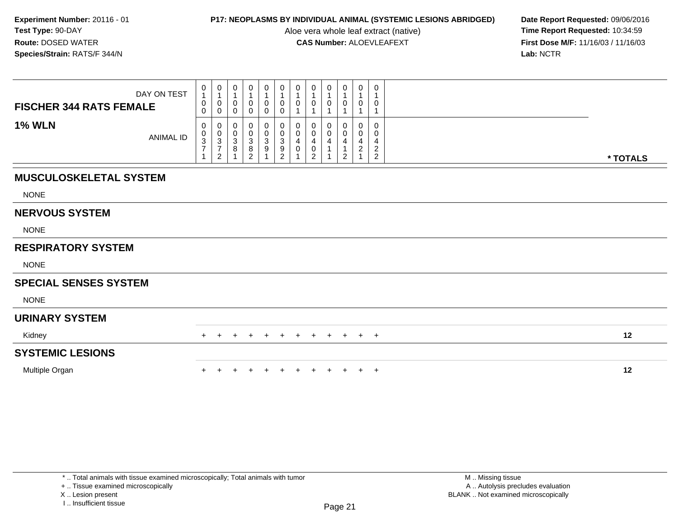Aloe vera whole leaf extract (native)<br>**CAS Number:** ALOEVLEAFEXT

**P17: NEOPLASMS BY INDIVIDUAL ANIMAL (SYSTEMIC LESIONS ABRIDGED)** Date Report Requested: 09/06/2016<br>Aloe vera whole leaf extract (native) **Time Report Requested:** 10:34:59 **First Dose M/F:** 11/16/03 / 11/16/03<br>Lab: NCTR **Lab:** NCTR

| <b>FISCHER 344 RATS FEMALE</b> | DAY ON TEST      | $\begin{smallmatrix}0\1\end{smallmatrix}$<br>0<br>$\mathbf 0$ | $\begin{smallmatrix}0\\1\end{smallmatrix}$<br>$\pmb{0}$<br>$\pmb{0}$ | 0<br>$\overline{1}$<br>$\pmb{0}$<br>$\mathbf 0$ | $\begin{smallmatrix}0\\1\end{smallmatrix}$<br>0<br>$\mathbf 0$ | $\begin{smallmatrix}0\\1\end{smallmatrix}$<br>$\pmb{0}$<br>$\mathbf 0$ | $\mathbf 0$<br>$\mathbf 1$<br>0<br>0                       | $\begin{smallmatrix}0\\1\end{smallmatrix}$<br>$\pmb{0}$<br>$\mathbf{1}$  | $\pmb{0}$<br>$\mathbf{1}$<br>$\pmb{0}$                                   | 0<br>0      | $\pmb{0}$<br>$\pmb{0}$                         | 0<br>$\overline{1}$<br>$\boldsymbol{0}$ | $\mathbf 0$<br>$\mathbf{1}$<br>$\mathbf 0$<br>$\mathbf{1}$                              |          |
|--------------------------------|------------------|---------------------------------------------------------------|----------------------------------------------------------------------|-------------------------------------------------|----------------------------------------------------------------|------------------------------------------------------------------------|------------------------------------------------------------|--------------------------------------------------------------------------|--------------------------------------------------------------------------|-------------|------------------------------------------------|-----------------------------------------|-----------------------------------------------------------------------------------------|----------|
| <b>1% WLN</b>                  | <b>ANIMAL ID</b> | 0<br>$\begin{array}{c} 0 \\ 3 \\ 7 \end{array}$               | 0<br>$\frac{0}{3}$<br>$\overline{c}$                                 | 0<br>$\pmb{0}$<br>$\frac{3}{8}$                 | 0<br>$\pmb{0}$<br>$\frac{3}{8}$<br>$\overline{c}$              | 0<br>$_{3}^{\rm 0}$<br>$\boldsymbol{9}$<br>$\overline{A}$              | 0<br>0<br>$\ensuremath{\mathsf{3}}$<br>9<br>$\overline{2}$ | 0<br>$\pmb{0}$<br>$\overline{\mathbf{4}}$<br>$\pmb{0}$<br>$\overline{1}$ | 0<br>$\pmb{0}$<br>$\overline{\mathbf{4}}$<br>$\pmb{0}$<br>$\overline{2}$ | 0<br>0<br>4 | 0<br>$\pmb{0}$<br>$\overline{\mathbf{4}}$<br>2 | 0<br>$\mathbf 0$<br>$\frac{4}{2}$       | $\mathbf 0$<br>$\mathbf 0$<br>$\overline{\mathbf{4}}$<br>$\overline{2}$<br>$\mathbf{2}$ | * TOTALS |
| <b>MUSCULOSKELETAL SYSTEM</b>  |                  |                                                               |                                                                      |                                                 |                                                                |                                                                        |                                                            |                                                                          |                                                                          |             |                                                |                                         |                                                                                         |          |
| <b>NONE</b>                    |                  |                                                               |                                                                      |                                                 |                                                                |                                                                        |                                                            |                                                                          |                                                                          |             |                                                |                                         |                                                                                         |          |
| <b>NERVOUS SYSTEM</b>          |                  |                                                               |                                                                      |                                                 |                                                                |                                                                        |                                                            |                                                                          |                                                                          |             |                                                |                                         |                                                                                         |          |
| <b>NONE</b>                    |                  |                                                               |                                                                      |                                                 |                                                                |                                                                        |                                                            |                                                                          |                                                                          |             |                                                |                                         |                                                                                         |          |
| <b>RESPIRATORY SYSTEM</b>      |                  |                                                               |                                                                      |                                                 |                                                                |                                                                        |                                                            |                                                                          |                                                                          |             |                                                |                                         |                                                                                         |          |
| <b>NONE</b>                    |                  |                                                               |                                                                      |                                                 |                                                                |                                                                        |                                                            |                                                                          |                                                                          |             |                                                |                                         |                                                                                         |          |
| <b>SPECIAL SENSES SYSTEM</b>   |                  |                                                               |                                                                      |                                                 |                                                                |                                                                        |                                                            |                                                                          |                                                                          |             |                                                |                                         |                                                                                         |          |
| <b>NONE</b>                    |                  |                                                               |                                                                      |                                                 |                                                                |                                                                        |                                                            |                                                                          |                                                                          |             |                                                |                                         |                                                                                         |          |
| <b>URINARY SYSTEM</b>          |                  |                                                               |                                                                      |                                                 |                                                                |                                                                        |                                                            |                                                                          |                                                                          |             |                                                |                                         |                                                                                         |          |
| Kidney                         |                  | $+$                                                           | $+$                                                                  | $+$                                             | $\pm$                                                          | $\ddot{}$                                                              | $+$                                                        | $+$                                                                      | $+$                                                                      | $+$         | $+$                                            | $+$                                     | $+$                                                                                     | 12       |
| <b>SYSTEMIC LESIONS</b>        |                  |                                                               |                                                                      |                                                 |                                                                |                                                                        |                                                            |                                                                          |                                                                          |             |                                                |                                         |                                                                                         |          |
| Multiple Organ                 |                  |                                                               |                                                                      |                                                 |                                                                |                                                                        |                                                            |                                                                          |                                                                          |             |                                                | $+$                                     | $+$                                                                                     | 12       |

+ .. Tissue examined microscopically

X .. Lesion present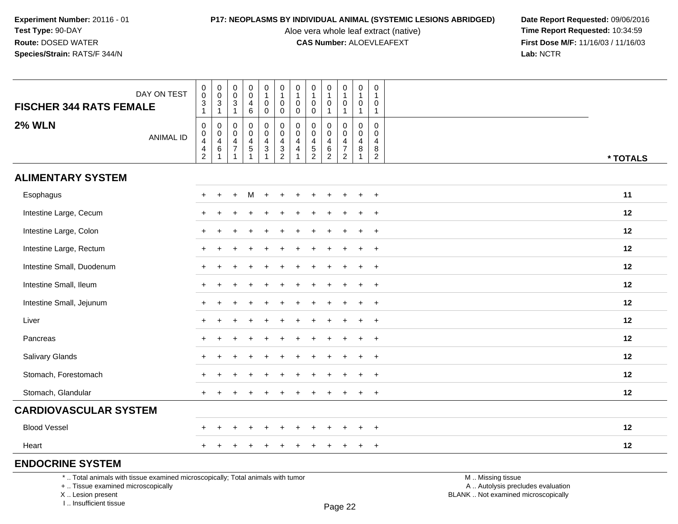Aloe vera whole leaf extract (native)<br>**CAS Number:** ALOEVLEAFEXT

**P17: NEOPLASMS BY INDIVIDUAL ANIMAL (SYSTEMIC LESIONS ABRIDGED)** Date Report Requested: 09/06/2016<br>Aloe vera whole leaf extract (native) **Time Report Requested:** 10:34:59 **First Dose M/F:** 11/16/03 / 11/16/03<br>Lab: NCTR **Lab:** NCTR

| <b>FISCHER 344 RATS FEMALE</b> | DAY ON TEST      | $\mathbf 0$<br>$\mathsf{O}\xspace$<br>$\ensuremath{\mathsf{3}}$<br>$\mathbf{1}$ | $\begin{matrix} 0 \\ 0 \\ 3 \\ 1 \end{matrix}$                    | $\pmb{0}$<br>$\mathbf 0$<br>$\sqrt{3}$<br>$\mathbf{1}$                         | $\pmb{0}$<br>$\mathbf 0$<br>$\overline{\mathbf{4}}$<br>6               | $\pmb{0}$<br>$\mathbf{1}$<br>$\mathsf{O}$<br>$\mathsf{O}$      | 0<br>$\mathbf{1}$<br>$\mathsf 0$<br>0                        | $\pmb{0}$<br>$\mathbf{1}$<br>$\pmb{0}$<br>$\mathbf 0$ | $\mathbf 0$<br>$\mathbf{1}$<br>$\mathbf 0$<br>$\mathbf 0$      | $\mathbf 0$<br>$\overline{1}$<br>$\mathbf 0$<br>-1                      | 0<br>$\mathbf{1}$<br>0<br>$\mathbf{1}$                                           | $\pmb{0}$<br>$\overline{1}$<br>$\mathbf 0$<br>$\mathbf{1}$ | 0<br>$\mathbf{1}$<br>0<br>$\mathbf{1}$                 |          |
|--------------------------------|------------------|---------------------------------------------------------------------------------|-------------------------------------------------------------------|--------------------------------------------------------------------------------|------------------------------------------------------------------------|----------------------------------------------------------------|--------------------------------------------------------------|-------------------------------------------------------|----------------------------------------------------------------|-------------------------------------------------------------------------|----------------------------------------------------------------------------------|------------------------------------------------------------|--------------------------------------------------------|----------|
| <b>2% WLN</b>                  | <b>ANIMAL ID</b> | $\mathbf 0$<br>$\mathbf 0$<br>$\overline{4}$<br>$\frac{4}{2}$                   | $\begin{array}{c} 0 \\ 0 \\ 4 \\ 6 \end{array}$<br>$\overline{1}$ | $\mathbf 0$<br>$\mathbf 0$<br>$\overline{4}$<br>$\overline{7}$<br>$\mathbf{1}$ | $\mathbf 0$<br>$\mathbf 0$<br>$\overline{\mathbf{4}}$<br>$\frac{5}{1}$ | $\mathbf 0$<br>$\mathsf 0$<br>$\overline{4}$<br>$\overline{3}$ | 0<br>$\mathsf 0$<br>$\overline{\mathbf{4}}$<br>$\frac{3}{2}$ | $\pmb{0}$<br>$\pmb{0}$<br>4<br>$\overline{4}$         | $\mathbf{0}$<br>$\mathbf 0$<br>$\overline{4}$<br>$\frac{5}{2}$ | $\mathbf 0$<br>$\mathbf 0$<br>$\overline{4}$<br>$\,6$<br>$\overline{2}$ | $\mathbf 0$<br>$\mathbf 0$<br>$\overline{4}$<br>$\overline{7}$<br>$\overline{2}$ | $\mathbf 0$<br>$\mathbf 0$<br>$\overline{a}$<br>8<br>1     | $\mathbf 0$<br>$\mathbf 0$<br>4<br>8<br>$\overline{c}$ | * TOTALS |
| <b>ALIMENTARY SYSTEM</b>       |                  |                                                                                 |                                                                   |                                                                                |                                                                        |                                                                |                                                              |                                                       |                                                                |                                                                         |                                                                                  |                                                            |                                                        |          |
| Esophagus                      |                  | $+$                                                                             | $\div$                                                            | $+$                                                                            | M                                                                      | $+$                                                            | $+$                                                          | $\pm$                                                 |                                                                |                                                                         | $\ddot{}$                                                                        |                                                            | $\overline{+}$                                         | 11       |
| Intestine Large, Cecum         |                  | $+$                                                                             |                                                                   |                                                                                |                                                                        |                                                                |                                                              |                                                       |                                                                |                                                                         |                                                                                  |                                                            | $+$                                                    | 12       |
| Intestine Large, Colon         |                  | $+$                                                                             |                                                                   |                                                                                |                                                                        |                                                                |                                                              |                                                       |                                                                |                                                                         |                                                                                  |                                                            | $\ddot{}$                                              | 12       |
| Intestine Large, Rectum        |                  | $+$                                                                             |                                                                   |                                                                                |                                                                        |                                                                |                                                              |                                                       |                                                                |                                                                         |                                                                                  | ÷                                                          | $\ddot{}$                                              | 12       |
| Intestine Small, Duodenum      |                  | $\ddot{}$                                                                       |                                                                   |                                                                                |                                                                        |                                                                |                                                              |                                                       |                                                                |                                                                         | ÷                                                                                | $\ddot{}$                                                  | $\ddot{}$                                              | 12       |
| Intestine Small, Ileum         |                  | $+$                                                                             | $\ddot{}$                                                         |                                                                                |                                                                        |                                                                |                                                              |                                                       |                                                                |                                                                         |                                                                                  | $\ddot{}$                                                  | $\ddot{}$                                              | 12       |
| Intestine Small, Jejunum       |                  |                                                                                 |                                                                   |                                                                                |                                                                        |                                                                |                                                              |                                                       |                                                                |                                                                         |                                                                                  |                                                            | $\ddot{}$                                              | 12       |
| Liver                          |                  | $+$                                                                             |                                                                   |                                                                                |                                                                        |                                                                |                                                              |                                                       |                                                                |                                                                         |                                                                                  |                                                            | $+$                                                    | 12       |
| Pancreas                       |                  |                                                                                 |                                                                   |                                                                                |                                                                        |                                                                |                                                              |                                                       |                                                                |                                                                         |                                                                                  |                                                            | $\ddot{}$                                              | 12       |
| Salivary Glands                |                  | $\div$                                                                          |                                                                   |                                                                                |                                                                        |                                                                |                                                              |                                                       |                                                                |                                                                         |                                                                                  |                                                            | $\ddot{}$                                              | 12       |
| Stomach, Forestomach           |                  |                                                                                 |                                                                   |                                                                                |                                                                        |                                                                |                                                              |                                                       |                                                                |                                                                         |                                                                                  |                                                            | $\div$                                                 | 12       |
| Stomach, Glandular             |                  | $\pm$                                                                           |                                                                   |                                                                                |                                                                        |                                                                |                                                              |                                                       |                                                                |                                                                         |                                                                                  | $\pm$                                                      | $^{+}$                                                 | 12       |
| <b>CARDIOVASCULAR SYSTEM</b>   |                  |                                                                                 |                                                                   |                                                                                |                                                                        |                                                                |                                                              |                                                       |                                                                |                                                                         |                                                                                  |                                                            |                                                        |          |
| <b>Blood Vessel</b>            |                  |                                                                                 |                                                                   |                                                                                |                                                                        |                                                                |                                                              |                                                       |                                                                |                                                                         |                                                                                  |                                                            | $\ddot{}$                                              | 12       |
| Heart                          |                  |                                                                                 |                                                                   |                                                                                |                                                                        |                                                                |                                                              |                                                       |                                                                |                                                                         |                                                                                  | ÷                                                          | $\overline{+}$                                         | 12       |
| <b>ENDOCRINE SYSTEM</b>        |                  |                                                                                 |                                                                   |                                                                                |                                                                        |                                                                |                                                              |                                                       |                                                                |                                                                         |                                                                                  |                                                            |                                                        |          |

\* .. Total animals with tissue examined microscopically; Total animals with tumor

+ .. Tissue examined microscopically

X .. Lesion present

I .. Insufficient tissue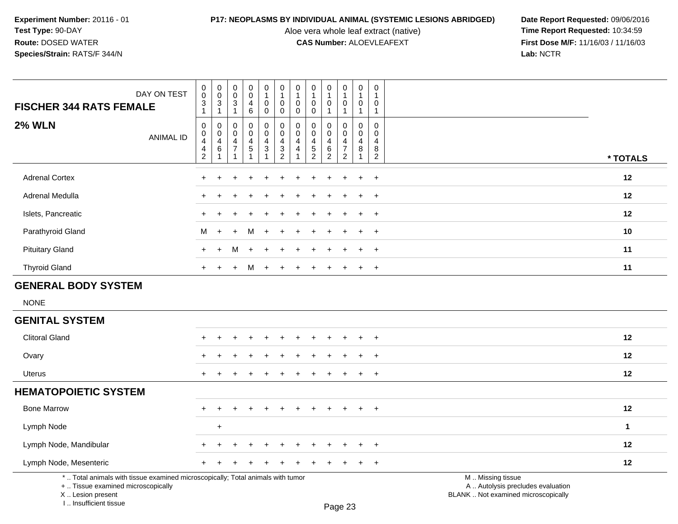Aloe vera whole leaf extract (native)<br>**CAS Number:** ALOEVLEAFEXT

**P17: NEOPLASMS BY INDIVIDUAL ANIMAL (SYSTEMIC LESIONS ABRIDGED)** Date Report Requested: 09/06/2016<br>Aloe vera whole leaf extract (native) **Time Report Requested:** 10:34:59 **First Dose M/F:** 11/16/03 / 11/16/03<br>Lab: NCTR **Lab:** NCTR

| <b>FISCHER 344 RATS FEMALE</b>                                                                                                             | DAY ON TEST      | 0<br>$\pmb{0}$<br>$\ensuremath{\mathsf{3}}$<br>$\mathbf{1}$              | $\mathbf 0$<br>$\mathbf 0$<br>3<br>$\mathbf{1}$ | $\mathbf 0$<br>$\mathsf{O}\xspace$<br>$\mathbf{3}$<br>-1       | $\pmb{0}$<br>$\mathbf 0$<br>$\overline{4}$<br>$6\phantom{1}6$ | $\mathbf 0$<br>$\mathbf{1}$<br>$\pmb{0}$<br>$\mathbf 0$ | 0<br>$\mathbf{1}$<br>$\mathbf 0$<br>0                                                    | 0<br>$\mathbf{1}$<br>$\mathbf 0$<br>$\mathbf 0$   | $\pmb{0}$<br>$\mathbf{1}$<br>$\mathbf 0$<br>$\mathbf 0$                      | $\boldsymbol{0}$<br>$\overline{1}$<br>$\mathbf 0$<br>$\overline{1}$ | $\mathbf 0$<br>$\mathbf{1}$<br>$\mathbf 0$<br>$\overline{1}$                     | $\mathbf 0$<br>1<br>0<br>1          | 0<br>$\mathbf{1}$<br>$\mathbf 0$<br>$\mathbf{1}$               |                                                                                               |
|--------------------------------------------------------------------------------------------------------------------------------------------|------------------|--------------------------------------------------------------------------|-------------------------------------------------|----------------------------------------------------------------|---------------------------------------------------------------|---------------------------------------------------------|------------------------------------------------------------------------------------------|---------------------------------------------------|------------------------------------------------------------------------------|---------------------------------------------------------------------|----------------------------------------------------------------------------------|-------------------------------------|----------------------------------------------------------------|-----------------------------------------------------------------------------------------------|
| <b>2% WLN</b>                                                                                                                              | <b>ANIMAL ID</b> | $\pmb{0}$<br>$\pmb{0}$<br>$\overline{\mathbf{4}}$<br>4<br>$\overline{c}$ | $\mathbf 0$<br>0<br>$\overline{4}$<br>6         | $\mathbf 0$<br>$\mathbf 0$<br>$\overline{4}$<br>$\overline{7}$ | 0<br>$\mathbf 0$<br>$\frac{4}{5}$<br>1                        | $\mathbf 0$<br>$\mathbf 0$<br>4<br>3<br>1               | $\mathbf 0$<br>$\mathbf 0$<br>$\overline{\mathcal{A}}$<br>$\mathbf{3}$<br>$\overline{2}$ | $\Omega$<br>0<br>$\overline{4}$<br>$\overline{4}$ | $\mathbf 0$<br>$\mathbf 0$<br>$\overline{4}$<br>$\sqrt{5}$<br>$\overline{2}$ | $\mathbf 0$<br>$\mathbf 0$<br>$\overline{4}$<br>6<br>$\overline{2}$ | $\mathbf 0$<br>$\mathbf 0$<br>$\overline{4}$<br>$\overline{7}$<br>$\overline{c}$ | $\Omega$<br>$\Omega$<br>4<br>8<br>1 | $\mathbf 0$<br>$\Omega$<br>$\overline{4}$<br>8<br>$\mathbf{2}$ | * TOTALS                                                                                      |
| <b>Adrenal Cortex</b>                                                                                                                      |                  | ÷                                                                        |                                                 |                                                                |                                                               |                                                         |                                                                                          |                                                   |                                                                              |                                                                     |                                                                                  | ÷                                   | $\ddot{}$                                                      | 12                                                                                            |
| Adrenal Medulla                                                                                                                            |                  | $\div$                                                                   |                                                 |                                                                |                                                               |                                                         |                                                                                          |                                                   |                                                                              | +                                                                   | ÷                                                                                | $\ddot{}$                           | $\ddot{}$                                                      | 12                                                                                            |
| Islets, Pancreatic                                                                                                                         |                  |                                                                          |                                                 |                                                                |                                                               |                                                         |                                                                                          |                                                   |                                                                              |                                                                     |                                                                                  |                                     | $\div$                                                         | 12                                                                                            |
| Parathyroid Gland                                                                                                                          |                  | м                                                                        |                                                 |                                                                | м                                                             |                                                         |                                                                                          |                                                   |                                                                              |                                                                     |                                                                                  |                                     | ٠                                                              | 10                                                                                            |
| <b>Pituitary Gland</b>                                                                                                                     |                  | $\pm$                                                                    | $+$                                             | м                                                              | $\overline{+}$                                                |                                                         |                                                                                          |                                                   |                                                                              |                                                                     |                                                                                  |                                     |                                                                | 11                                                                                            |
| <b>Thyroid Gland</b>                                                                                                                       |                  | $+$                                                                      | $+$                                             | $+$                                                            | M                                                             | $\ddot{}$                                               |                                                                                          |                                                   |                                                                              |                                                                     |                                                                                  | $\pm$                               | $\ddot{}$                                                      | 11                                                                                            |
| <b>GENERAL BODY SYSTEM</b>                                                                                                                 |                  |                                                                          |                                                 |                                                                |                                                               |                                                         |                                                                                          |                                                   |                                                                              |                                                                     |                                                                                  |                                     |                                                                |                                                                                               |
| <b>NONE</b>                                                                                                                                |                  |                                                                          |                                                 |                                                                |                                                               |                                                         |                                                                                          |                                                   |                                                                              |                                                                     |                                                                                  |                                     |                                                                |                                                                                               |
| <b>GENITAL SYSTEM</b>                                                                                                                      |                  |                                                                          |                                                 |                                                                |                                                               |                                                         |                                                                                          |                                                   |                                                                              |                                                                     |                                                                                  |                                     |                                                                |                                                                                               |
| <b>Clitoral Gland</b>                                                                                                                      |                  |                                                                          |                                                 |                                                                |                                                               |                                                         |                                                                                          |                                                   |                                                                              |                                                                     |                                                                                  |                                     |                                                                | 12                                                                                            |
| Ovary                                                                                                                                      |                  |                                                                          |                                                 |                                                                |                                                               |                                                         |                                                                                          |                                                   |                                                                              |                                                                     |                                                                                  |                                     |                                                                | 12                                                                                            |
| <b>Uterus</b>                                                                                                                              |                  | $\div$                                                                   |                                                 |                                                                |                                                               |                                                         |                                                                                          |                                                   |                                                                              |                                                                     |                                                                                  | $+$                                 | $\ddot{}$                                                      | 12                                                                                            |
| <b>HEMATOPOIETIC SYSTEM</b>                                                                                                                |                  |                                                                          |                                                 |                                                                |                                                               |                                                         |                                                                                          |                                                   |                                                                              |                                                                     |                                                                                  |                                     |                                                                |                                                                                               |
| <b>Bone Marrow</b>                                                                                                                         |                  |                                                                          |                                                 |                                                                |                                                               |                                                         |                                                                                          |                                                   |                                                                              |                                                                     |                                                                                  | $\ddot{}$                           | $\ddot{}$                                                      | 12                                                                                            |
| Lymph Node                                                                                                                                 |                  |                                                                          | $\ddot{}$                                       |                                                                |                                                               |                                                         |                                                                                          |                                                   |                                                                              |                                                                     |                                                                                  |                                     |                                                                | $\blacktriangleleft$                                                                          |
| Lymph Node, Mandibular                                                                                                                     |                  |                                                                          |                                                 |                                                                |                                                               |                                                         |                                                                                          |                                                   |                                                                              |                                                                     |                                                                                  |                                     |                                                                | 12                                                                                            |
| Lymph Node, Mesenteric                                                                                                                     |                  |                                                                          |                                                 |                                                                |                                                               |                                                         |                                                                                          |                                                   |                                                                              |                                                                     |                                                                                  |                                     | $\ddot{}$                                                      | 12                                                                                            |
| *  Total animals with tissue examined microscopically; Total animals with tumor<br>+  Tissue examined microscopically<br>X  Lesion present |                  |                                                                          |                                                 |                                                                |                                                               |                                                         |                                                                                          |                                                   |                                                                              |                                                                     |                                                                                  |                                     |                                                                | M  Missing tissue<br>A  Autolysis precludes evaluation<br>BLANK  Not examined microscopically |

X .. Lesion present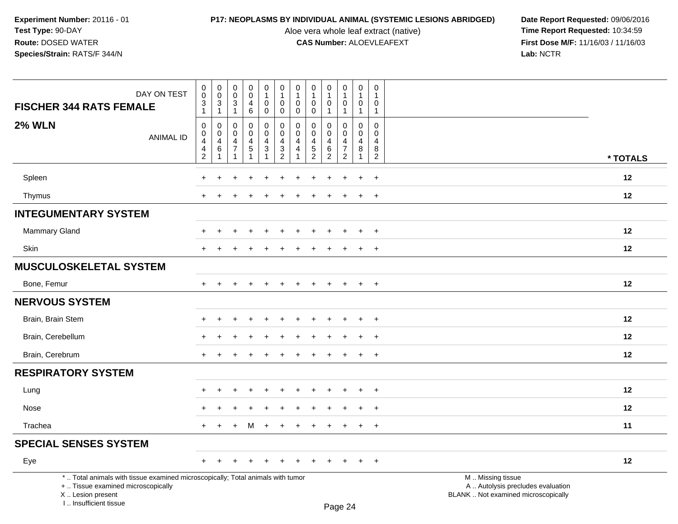Aloe vera whole leaf extract (native)<br>**CAS Number:** ALOEVLEAFEXT

| DAY ON TEST<br><b>FISCHER 344 RATS FEMALE</b>                                                                                                                       | $\mathbf 0$<br>$\pmb{0}$<br>$\ensuremath{\mathsf{3}}$                                       | 0<br>$\mathbf 0$<br>3            | $\pmb{0}$<br>$\mathbf 0$<br>3        | $\pmb{0}$<br>$\ddot{\mathbf{0}}$<br>4                      | 0<br>$\mathbf{1}$<br>0                | $\pmb{0}$<br>$\mathbf{1}$<br>$\mathbf 0$       | 0<br>$\mathbf{1}$<br>$\mathbf 0$                                | $\pmb{0}$<br>$\mathbf{1}$<br>$\mathbf 0$                     | 0<br>$\mathbf{1}$<br>$\Omega$      | $\mathbf 0$<br>$\mathbf{1}$<br>0                                                 | $\pmb{0}$<br>$\mathbf 0$             | $\pmb{0}$<br>$\overline{1}$<br>$\mathbf{0}$                           |                                                                                               |                 |
|---------------------------------------------------------------------------------------------------------------------------------------------------------------------|---------------------------------------------------------------------------------------------|----------------------------------|--------------------------------------|------------------------------------------------------------|---------------------------------------|------------------------------------------------|-----------------------------------------------------------------|--------------------------------------------------------------|------------------------------------|----------------------------------------------------------------------------------|--------------------------------------|-----------------------------------------------------------------------|-----------------------------------------------------------------------------------------------|-----------------|
|                                                                                                                                                                     | $\mathbf{1}$                                                                                | 1                                | $\mathbf{1}$                         | 6                                                          | $\mathbf 0$                           | $\mathbf 0$                                    | $\mathbf 0$                                                     | $\mathbf 0$                                                  | 1                                  | $\mathbf{1}$                                                                     | -1                                   | $\overline{1}$                                                        |                                                                                               |                 |
| <b>2% WLN</b><br><b>ANIMAL ID</b>                                                                                                                                   | $\pmb{0}$<br>$\mathsf{O}\xspace$<br>$\overline{\mathbf{4}}$<br>$\overline{4}$<br>$\sqrt{2}$ | 0<br>$\mathbf 0$<br>4<br>$\,6\,$ | 0<br>$\Omega$<br>4<br>$\overline{7}$ | $\mathbf 0$<br>$\mathbf 0$<br>$\overline{\mathbf{4}}$<br>5 | 0<br>$\mathbf 0$<br>4<br>$\mathbf{3}$ | $\pmb{0}$<br>$\mathbf 0$<br>4<br>$\frac{3}{2}$ | $\mathbf 0$<br>$\mathbf{0}$<br>$\overline{4}$<br>$\overline{4}$ | $\mathbf 0$<br>$\Omega$<br>4<br>$\sqrt{5}$<br>$\overline{c}$ | 0<br>$\Omega$<br>4<br>$\,6\,$<br>2 | $\mathbf 0$<br>$\mathbf 0$<br>$\overline{4}$<br>$\overline{7}$<br>$\overline{c}$ | $\mathbf 0$<br>$\mathbf 0$<br>4<br>8 | $\boldsymbol{0}$<br>$\Omega$<br>$\overline{4}$<br>8<br>$\overline{2}$ |                                                                                               | * TOTALS        |
|                                                                                                                                                                     |                                                                                             |                                  |                                      |                                                            |                                       |                                                |                                                                 |                                                              |                                    |                                                                                  |                                      |                                                                       |                                                                                               |                 |
| Spleen                                                                                                                                                              |                                                                                             |                                  |                                      |                                                            |                                       |                                                |                                                                 |                                                              |                                    |                                                                                  | $\ddot{}$                            | $\ddot{}$                                                             |                                                                                               | 12              |
| Thymus                                                                                                                                                              |                                                                                             |                                  |                                      |                                                            |                                       |                                                |                                                                 |                                                              |                                    | $\div$                                                                           | $\ddot{}$                            | $+$                                                                   |                                                                                               | 12              |
| <b>INTEGUMENTARY SYSTEM</b>                                                                                                                                         |                                                                                             |                                  |                                      |                                                            |                                       |                                                |                                                                 |                                                              |                                    |                                                                                  |                                      |                                                                       |                                                                                               |                 |
| <b>Mammary Gland</b>                                                                                                                                                | $\ddot{}$                                                                                   | ÷                                |                                      | $\ddot{}$                                                  | $\ddot{}$                             |                                                |                                                                 |                                                              |                                    | $\ddot{}$                                                                        | $+$                                  | $+$                                                                   |                                                                                               | 12              |
| <b>Skin</b>                                                                                                                                                         | $\ddot{}$                                                                                   |                                  |                                      |                                                            |                                       |                                                |                                                                 |                                                              |                                    | ÷.                                                                               | $\ddot{}$                            | $\overline{+}$                                                        |                                                                                               | 12              |
| <b>MUSCULOSKELETAL SYSTEM</b>                                                                                                                                       |                                                                                             |                                  |                                      |                                                            |                                       |                                                |                                                                 |                                                              |                                    |                                                                                  |                                      |                                                                       |                                                                                               |                 |
| Bone, Femur                                                                                                                                                         | $\pm$                                                                                       |                                  |                                      |                                                            |                                       |                                                |                                                                 |                                                              |                                    | $\div$                                                                           | $+$                                  | $+$                                                                   |                                                                                               | 12              |
| <b>NERVOUS SYSTEM</b>                                                                                                                                               |                                                                                             |                                  |                                      |                                                            |                                       |                                                |                                                                 |                                                              |                                    |                                                                                  |                                      |                                                                       |                                                                                               |                 |
| Brain, Brain Stem                                                                                                                                                   |                                                                                             |                                  |                                      |                                                            |                                       |                                                |                                                                 |                                                              |                                    |                                                                                  | $\ddot{}$                            | $\ddot{}$                                                             |                                                                                               | 12              |
| Brain, Cerebellum                                                                                                                                                   |                                                                                             |                                  |                                      |                                                            |                                       |                                                |                                                                 |                                                              |                                    |                                                                                  |                                      | $\div$                                                                |                                                                                               | 12              |
| Brain, Cerebrum                                                                                                                                                     |                                                                                             |                                  |                                      |                                                            |                                       |                                                |                                                                 |                                                              |                                    |                                                                                  |                                      | $\ddot{}$                                                             |                                                                                               | 12              |
| <b>RESPIRATORY SYSTEM</b>                                                                                                                                           |                                                                                             |                                  |                                      |                                                            |                                       |                                                |                                                                 |                                                              |                                    |                                                                                  |                                      |                                                                       |                                                                                               |                 |
| Lung                                                                                                                                                                |                                                                                             |                                  |                                      |                                                            |                                       |                                                |                                                                 |                                                              |                                    |                                                                                  | $\div$                               | $\ddot{}$                                                             |                                                                                               | 12 <sup>2</sup> |
| Nose                                                                                                                                                                |                                                                                             |                                  |                                      |                                                            |                                       |                                                |                                                                 |                                                              |                                    |                                                                                  |                                      | $\ddot{}$                                                             |                                                                                               | 12              |
| Trachea                                                                                                                                                             | $+$                                                                                         | $\ddot{}$                        | $+$                                  | M                                                          | $+$                                   | $+$                                            | $\ddot{}$                                                       | $\ddot{}$                                                    | $\ddot{}$                          | $+$                                                                              | $+$                                  | $+$                                                                   |                                                                                               | 11              |
| <b>SPECIAL SENSES SYSTEM</b>                                                                                                                                        |                                                                                             |                                  |                                      |                                                            |                                       |                                                |                                                                 |                                                              |                                    |                                                                                  |                                      |                                                                       |                                                                                               |                 |
| Eye                                                                                                                                                                 | $+$                                                                                         | $\div$                           |                                      | +                                                          |                                       |                                                |                                                                 |                                                              |                                    |                                                                                  | $\pm$                                | $+$                                                                   |                                                                                               | 12              |
| *  Total animals with tissue examined microscopically; Total animals with tumor<br>+  Tissue examined microscopically<br>X  Lesion present<br>I Insufficient tissue |                                                                                             |                                  |                                      |                                                            |                                       |                                                |                                                                 |                                                              |                                    | $D_{200}$ $24$                                                                   |                                      |                                                                       | M  Missing tissue<br>A  Autolysis precludes evaluation<br>BLANK  Not examined microscopically |                 |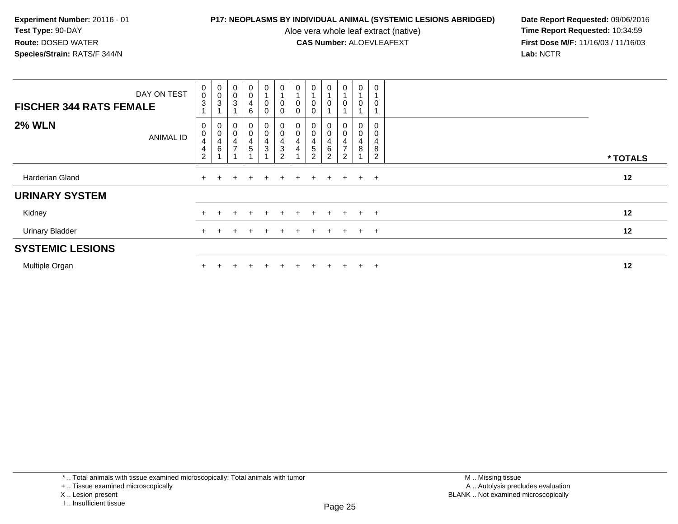Aloe vera whole leaf extract (native)<br>**CAS Number:** ALOEVLEAFEXT

**P17: NEOPLASMS BY INDIVIDUAL ANIMAL (SYSTEMIC LESIONS ABRIDGED)** Date Report Requested: 09/06/2016<br>Aloe vera whole leaf extract (native) **Time Report Requested:** 10:34:59 **First Dose M/F:** 11/16/03 / 11/16/03<br>Lab: NCTR **Lab:** NCTR

| <b>FISCHER 344 RATS FEMALE</b> | DAY ON TEST      | $\pmb{0}$<br>$\pmb{0}$<br>$\sqrt{3}$                    | $_0^0$<br>$\ensuremath{\mathsf{3}}$ | 0<br>$\mathbf 0$<br>3        | $\pmb{0}$<br>$\pmb{0}$<br>$\overline{\mathbf{4}}$<br>$\,6\,$     | 0<br>$\overline{A}$<br>0<br>0            | $\mathbf 0$<br>$\overline{A}$<br>$\pmb{0}$<br>$\pmb{0}$     | 0<br>0<br>$\mathsf 0$ | 0<br>0<br>$\mathbf 0$    | $\mathbf 0$<br>0                           | 0<br>0                             | $\mathbf 0$<br>$\overline{1}$<br>$\mathbf 0$ | 0           |          |
|--------------------------------|------------------|---------------------------------------------------------|-------------------------------------|------------------------------|------------------------------------------------------------------|------------------------------------------|-------------------------------------------------------------|-----------------------|--------------------------|--------------------------------------------|------------------------------------|----------------------------------------------|-------------|----------|
| <b>2% WLN</b>                  | <b>ANIMAL ID</b> | 0<br>$\pmb{0}$<br>4<br>$\overline{4}$<br>$\overline{2}$ | 0<br>$\pmb{0}$<br>4<br>6            | 0<br>0<br>4<br>$\rightarrow$ | $\pmb{0}$<br>$\pmb{0}$<br>$\overline{\mathbf{4}}$<br>$\mathbf 5$ | 0<br>0<br>4<br>$\ensuremath{\mathsf{3}}$ | $\,0\,$<br>4<br>$\ensuremath{\mathsf{3}}$<br>$\overline{2}$ | 0<br>0<br>4<br>4      | 0<br>5<br>$\overline{2}$ | 0<br>$\pmb{0}$<br>4<br>6<br>$\overline{2}$ | 0<br>0<br>4<br>$\overline{ }$<br>2 | 0<br>$\pmb{0}$<br>4<br>$\, 8$                | 4<br>8<br>2 | * TOTALS |
| Harderian Gland                |                  | $+$                                                     |                                     | ÷.                           |                                                                  | $+$                                      | $+$                                                         | $+$                   |                          | $+$ $+$ $+$                                |                                    | $+$                                          | $+$         | 12       |
| <b>URINARY SYSTEM</b>          |                  |                                                         |                                     |                              |                                                                  |                                          |                                                             |                       |                          |                                            |                                    |                                              |             |          |
| Kidney                         |                  |                                                         |                                     |                              |                                                                  | $\div$                                   | $+$                                                         | $\ddot{}$             | $+$                      | $+$                                        | $+$                                | $+$                                          | $+$         | 12       |
| <b>Urinary Bladder</b>         |                  | $+$                                                     |                                     |                              |                                                                  | $\overline{+}$                           | $\pm$                                                       | $\pm$                 | $+$                      | $\pm$                                      | $+$                                | $+$                                          | $+$         | 12       |
| <b>SYSTEMIC LESIONS</b>        |                  |                                                         |                                     |                              |                                                                  |                                          |                                                             |                       |                          |                                            |                                    |                                              |             |          |
| Multiple Organ                 |                  |                                                         |                                     |                              |                                                                  |                                          |                                                             |                       |                          |                                            | $\pm$                              | $+$                                          | $\pm$       | 12       |

\* .. Total animals with tissue examined microscopically; Total animals with tumor

+ .. Tissue examined microscopically

X .. Lesion present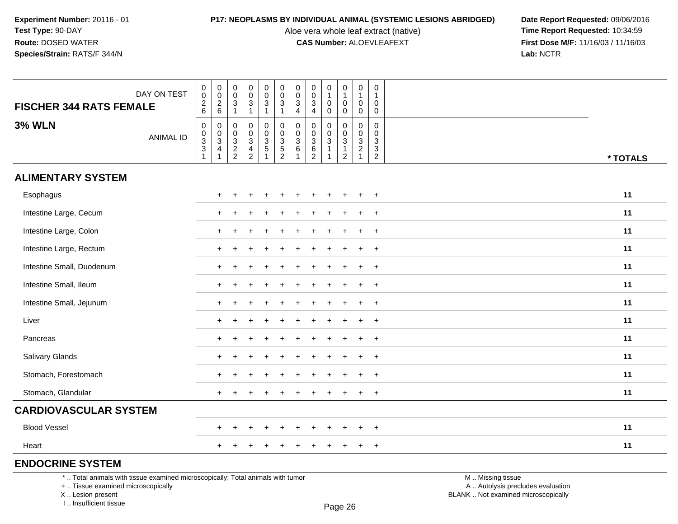Aloe vera whole leaf extract (native)<br>**CAS Number:** ALOEVLEAFEXT

**P17: NEOPLASMS BY INDIVIDUAL ANIMAL (SYSTEMIC LESIONS ABRIDGED)** Date Report Requested: 09/06/2016<br>Aloe vera whole leaf extract (native) **Time Report Requested:** 10:34:59 **First Dose M/F:** 11/16/03 / 11/16/03<br>Lab: NCTR **Lab:** NCTR

| <b>FISCHER 344 RATS FEMALE</b> | DAY ON TEST      | $\mathbf 0$<br>$\mathsf{O}\xspace$<br>$^2\phantom{1}6$ | $\begin{smallmatrix} 0\\0 \end{smallmatrix}$<br>$\frac{2}{6}$    | 0<br>$\mathbf 0$<br>$\mathbf{3}$<br>$\overline{1}$ | $\pmb{0}$<br>$\mathbf 0$<br>$\sqrt{3}$<br>$\overline{1}$  | $\pmb{0}$<br>$\ddot{\mathbf{0}}$<br>$\mathbf{3}$<br>$\mathbf{1}$ | $\mathbf 0$<br>$\mathsf{O}\xspace$<br>$\mathbf{3}$<br>$\overline{1}$ | $\mathbf 0$<br>$\mathsf{O}\xspace$<br>$\sqrt{3}$<br>$\overline{4}$ | $\pmb{0}$<br>$\pmb{0}$<br>$\mathbf{3}$<br>$\overline{4}$       | $\pmb{0}$<br>$\mathbf{1}$<br>$\mathbf 0$<br>$\mathbf{0}$          | $\pmb{0}$<br>$\mathbf{1}$<br>0<br>$\mathbf 0$                                    | $\pmb{0}$<br>$\mathbf{1}$<br>$\mathbf 0$<br>$\mathbf 0$ | 0<br>$\mathbf 1$<br>$\mathbf 0$<br>$\mathbf 0$ |          |
|--------------------------------|------------------|--------------------------------------------------------|------------------------------------------------------------------|----------------------------------------------------|-----------------------------------------------------------|------------------------------------------------------------------|----------------------------------------------------------------------|--------------------------------------------------------------------|----------------------------------------------------------------|-------------------------------------------------------------------|----------------------------------------------------------------------------------|---------------------------------------------------------|------------------------------------------------|----------|
| <b>3% WLN</b>                  | <b>ANIMAL ID</b> | 0<br>$\begin{array}{c} 0 \\ 3 \\ 3 \\ 1 \end{array}$   | $\begin{matrix} 0 \\ 0 \\ 3 \\ 4 \end{matrix}$<br>$\overline{1}$ | $\mathbf 0$<br>$\mathbf 0$<br>$\frac{3}{2}$        | $\mathbf 0$<br>$\pmb{0}$<br>$\mathbf{3}$<br>$\frac{4}{2}$ | 0<br>$\mathsf 0$<br>$\frac{3}{5}$                                | 0<br>0<br>3<br>5<br>2                                                | $\mathbf 0$<br>$\frac{0}{3}$<br>1                                  | $\mathbf 0$<br>0<br>$\begin{array}{c} 3 \\ 6 \\ 2 \end{array}$ | $\mathbf 0$<br>$_{3}^{\rm 0}$<br>$\overline{1}$<br>$\overline{1}$ | $\mathbf 0$<br>$\mathbf 0$<br>$\overline{3}$<br>$\overline{1}$<br>$\overline{2}$ | $\mathbf 0$<br>$\mathsf 0$<br>$\frac{3}{2}$<br>1        | 0<br>0<br>3<br>3<br>$\overline{2}$             | * TOTALS |
| <b>ALIMENTARY SYSTEM</b>       |                  |                                                        |                                                                  |                                                    |                                                           |                                                                  |                                                                      |                                                                    |                                                                |                                                                   |                                                                                  |                                                         |                                                |          |
| Esophagus                      |                  |                                                        | $\pm$                                                            |                                                    |                                                           |                                                                  |                                                                      |                                                                    |                                                                |                                                                   | $\div$                                                                           |                                                         | $\overline{+}$                                 | 11       |
| Intestine Large, Cecum         |                  |                                                        |                                                                  |                                                    |                                                           |                                                                  |                                                                      |                                                                    |                                                                |                                                                   |                                                                                  |                                                         | $\overline{+}$                                 | 11       |
| Intestine Large, Colon         |                  |                                                        | $\pm$                                                            |                                                    |                                                           |                                                                  |                                                                      |                                                                    |                                                                |                                                                   |                                                                                  |                                                         | $\ddot{}$                                      | 11       |
| Intestine Large, Rectum        |                  |                                                        | $\pm$                                                            |                                                    |                                                           |                                                                  |                                                                      |                                                                    |                                                                |                                                                   |                                                                                  | ÷                                                       | $\ddot{}$                                      | 11       |
| Intestine Small, Duodenum      |                  |                                                        |                                                                  |                                                    |                                                           |                                                                  |                                                                      |                                                                    |                                                                |                                                                   |                                                                                  |                                                         | $\ddot{}$                                      | 11       |
| Intestine Small, Ileum         |                  |                                                        |                                                                  |                                                    |                                                           |                                                                  |                                                                      |                                                                    |                                                                |                                                                   |                                                                                  |                                                         | $\ddot{}$                                      | 11       |
| Intestine Small, Jejunum       |                  |                                                        |                                                                  |                                                    |                                                           |                                                                  |                                                                      |                                                                    |                                                                |                                                                   |                                                                                  |                                                         | $\ddot{}$                                      | 11       |
| Liver                          |                  |                                                        | $+$                                                              |                                                    |                                                           |                                                                  |                                                                      |                                                                    |                                                                |                                                                   | $\div$                                                                           | $\ddot{}$                                               | $\ddot{}$                                      | 11       |
| Pancreas                       |                  |                                                        | $+$                                                              |                                                    |                                                           |                                                                  |                                                                      |                                                                    |                                                                |                                                                   |                                                                                  |                                                         | $\ddot{}$                                      | 11       |
| Salivary Glands                |                  |                                                        | $+$                                                              |                                                    |                                                           |                                                                  |                                                                      |                                                                    |                                                                |                                                                   |                                                                                  |                                                         | $\ddot{}$                                      | 11       |
| Stomach, Forestomach           |                  |                                                        | $\ddot{}$                                                        |                                                    |                                                           |                                                                  |                                                                      |                                                                    |                                                                |                                                                   |                                                                                  |                                                         | $\ddot{}$                                      | 11       |
| Stomach, Glandular             |                  |                                                        |                                                                  |                                                    |                                                           |                                                                  |                                                                      |                                                                    |                                                                |                                                                   |                                                                                  |                                                         | $\ddot{}$                                      | 11       |
| <b>CARDIOVASCULAR SYSTEM</b>   |                  |                                                        |                                                                  |                                                    |                                                           |                                                                  |                                                                      |                                                                    |                                                                |                                                                   |                                                                                  |                                                         |                                                |          |
| <b>Blood Vessel</b>            |                  |                                                        | $+$                                                              |                                                    |                                                           |                                                                  |                                                                      |                                                                    |                                                                |                                                                   |                                                                                  |                                                         | $\ddot{}$                                      | 11       |
| Heart                          |                  |                                                        | $+$                                                              | $\div$                                             |                                                           |                                                                  |                                                                      |                                                                    |                                                                |                                                                   | $\pm$                                                                            | $\ddot{}$                                               | $\overline{+}$                                 | 11       |
| <b>ENDOCRINE SYSTEM</b>        |                  |                                                        |                                                                  |                                                    |                                                           |                                                                  |                                                                      |                                                                    |                                                                |                                                                   |                                                                                  |                                                         |                                                |          |

\* .. Total animals with tissue examined microscopically; Total animals with tumor

+ .. Tissue examined microscopically

X .. Lesion present

I .. Insufficient tissue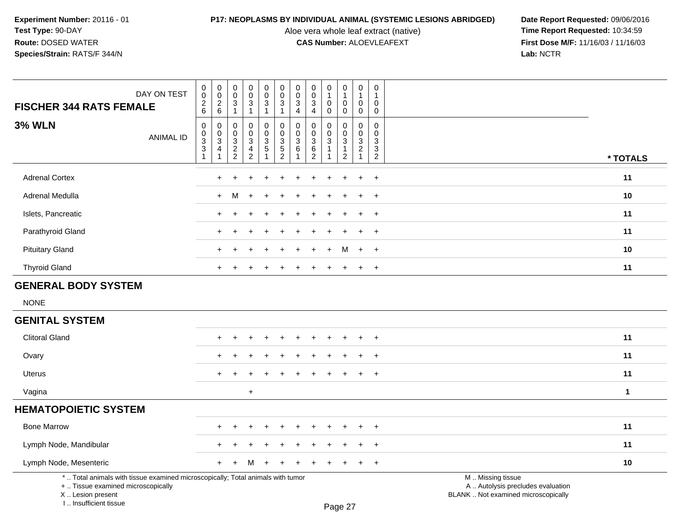I .. Insufficient tissue

Aloe vera whole leaf extract (native)<br>**CAS Number:** ALOEVLEAFEXT

| <b>FISCHER 344 RATS FEMALE</b>                                                                                                             | DAY ON TEST      | $\pmb{0}$<br>$\mathbf 0$<br>$\overline{c}$<br>$6\phantom{1}6$        | $\pmb{0}$<br>$\pmb{0}$<br>$\overline{2}$<br>6 | $\pmb{0}$<br>$\mathbf 0$<br>$\ensuremath{\mathsf{3}}$<br>$\mathbf{1}$ | $\pmb{0}$<br>$\pmb{0}$<br>$\ensuremath{\mathsf{3}}$<br>$\mathbf{1}$    | $\mathbf 0$<br>$\mathbf 0$<br>3<br>$\mathbf{1}$  | $\pmb{0}$<br>$\pmb{0}$<br>$\sqrt{3}$<br>$\overline{1}$                 | $\pmb{0}$<br>$\mathbf 0$<br>$\mathbf{3}$<br>$\overline{4}$ | 0<br>$\mathbf 0$<br>3<br>$\overline{4}$                    | $\pmb{0}$<br>$\mathbf{1}$<br>0<br>0 | $\pmb{0}$<br>$\mathbf{1}$<br>$\mathbf 0$<br>$\mathbf 0$ | $\pmb{0}$<br>$\mathbf{1}$<br>$\pmb{0}$<br>$\mathbf 0$          | $\mathbf 0$<br>$\mathbf 1$<br>$\Omega$<br>$\mathbf 0$ |                                                                                               |
|--------------------------------------------------------------------------------------------------------------------------------------------|------------------|----------------------------------------------------------------------|-----------------------------------------------|-----------------------------------------------------------------------|------------------------------------------------------------------------|--------------------------------------------------|------------------------------------------------------------------------|------------------------------------------------------------|------------------------------------------------------------|-------------------------------------|---------------------------------------------------------|----------------------------------------------------------------|-------------------------------------------------------|-----------------------------------------------------------------------------------------------|
| <b>3% WLN</b>                                                                                                                              | <b>ANIMAL ID</b> | $\boldsymbol{0}$<br>$_{3}^{\rm 0}$<br>$\overline{3}$<br>$\mathbf{1}$ | 0<br>0<br>$\overline{3}$<br>4                 | 0<br>$\mathbf 0$<br>$\frac{3}{2}$                                     | $\mathbf 0$<br>0<br>$\overline{3}$<br>$\overline{4}$<br>$\overline{2}$ | 0<br>$\mathbf 0$<br>$\overline{3}$<br>$\sqrt{5}$ | $\pmb{0}$<br>$\mathbf 0$<br>$\begin{array}{c} 3 \\ 5 \\ 2 \end{array}$ | 0<br>$\mathbf 0$<br>$\mathbf{3}$<br>6                      | 0<br>$\mathbf 0$<br>$\overline{3}$<br>$6\phantom{1}6$<br>2 | $\Omega$<br>0<br>$\overline{3}$     | $\mathbf 0$<br>$\mathsf 0$<br>$\overline{3}$<br>1<br>2  | $\mathbf 0$<br>$\mathbf 0$<br>$\overline{3}$<br>$\overline{2}$ | $\mathbf 0$<br>$\mathbf 0$<br>3<br>3<br>2             | * TOTALS                                                                                      |
| <b>Adrenal Cortex</b>                                                                                                                      |                  |                                                                      | $\div$                                        |                                                                       |                                                                        |                                                  |                                                                        |                                                            |                                                            |                                     |                                                         | $\ddot{}$                                                      | $\ddot{}$                                             | 11                                                                                            |
| Adrenal Medulla                                                                                                                            |                  |                                                                      | $\ddot{}$                                     | М                                                                     | $\ddot{}$                                                              | $\div$                                           |                                                                        |                                                            |                                                            |                                     |                                                         | $\ddot{}$                                                      | $\ddot{}$                                             | 10                                                                                            |
| Islets, Pancreatic                                                                                                                         |                  |                                                                      |                                               |                                                                       |                                                                        |                                                  |                                                                        |                                                            |                                                            |                                     |                                                         |                                                                | $\overline{ }$                                        | 11                                                                                            |
| Parathyroid Gland                                                                                                                          |                  |                                                                      |                                               |                                                                       |                                                                        |                                                  |                                                                        |                                                            |                                                            |                                     |                                                         |                                                                |                                                       | 11                                                                                            |
| <b>Pituitary Gland</b>                                                                                                                     |                  |                                                                      | +                                             |                                                                       |                                                                        |                                                  |                                                                        |                                                            |                                                            |                                     | м                                                       | $\ddot{}$                                                      | $\overline{+}$                                        | 10                                                                                            |
| <b>Thyroid Gland</b>                                                                                                                       |                  |                                                                      | $\div$                                        |                                                                       |                                                                        |                                                  |                                                                        |                                                            |                                                            |                                     |                                                         | $+$                                                            | $\ddot{}$                                             | 11                                                                                            |
| <b>GENERAL BODY SYSTEM</b>                                                                                                                 |                  |                                                                      |                                               |                                                                       |                                                                        |                                                  |                                                                        |                                                            |                                                            |                                     |                                                         |                                                                |                                                       |                                                                                               |
| <b>NONE</b>                                                                                                                                |                  |                                                                      |                                               |                                                                       |                                                                        |                                                  |                                                                        |                                                            |                                                            |                                     |                                                         |                                                                |                                                       |                                                                                               |
| <b>GENITAL SYSTEM</b>                                                                                                                      |                  |                                                                      |                                               |                                                                       |                                                                        |                                                  |                                                                        |                                                            |                                                            |                                     |                                                         |                                                                |                                                       |                                                                                               |
| <b>Clitoral Gland</b>                                                                                                                      |                  |                                                                      |                                               |                                                                       |                                                                        |                                                  |                                                                        |                                                            |                                                            |                                     |                                                         |                                                                |                                                       | 11                                                                                            |
| Ovary                                                                                                                                      |                  |                                                                      |                                               |                                                                       |                                                                        |                                                  |                                                                        |                                                            |                                                            |                                     |                                                         |                                                                |                                                       | 11                                                                                            |
| <b>Uterus</b>                                                                                                                              |                  |                                                                      | $\ddot{}$                                     |                                                                       |                                                                        |                                                  |                                                                        |                                                            |                                                            |                                     |                                                         | $\pm$                                                          | $\overline{1}$                                        | 11                                                                                            |
| Vagina                                                                                                                                     |                  |                                                                      |                                               |                                                                       | $\ddot{}$                                                              |                                                  |                                                                        |                                                            |                                                            |                                     |                                                         |                                                                |                                                       | $\mathbf{1}$                                                                                  |
| <b>HEMATOPOIETIC SYSTEM</b>                                                                                                                |                  |                                                                      |                                               |                                                                       |                                                                        |                                                  |                                                                        |                                                            |                                                            |                                     |                                                         |                                                                |                                                       |                                                                                               |
| <b>Bone Marrow</b>                                                                                                                         |                  |                                                                      |                                               |                                                                       |                                                                        |                                                  |                                                                        |                                                            |                                                            |                                     |                                                         |                                                                | $\overline{1}$                                        | 11                                                                                            |
| Lymph Node, Mandibular                                                                                                                     |                  |                                                                      |                                               |                                                                       |                                                                        |                                                  |                                                                        |                                                            |                                                            |                                     |                                                         |                                                                |                                                       | 11                                                                                            |
| Lymph Node, Mesenteric                                                                                                                     |                  |                                                                      | +                                             |                                                                       | м                                                                      |                                                  |                                                                        |                                                            |                                                            |                                     |                                                         |                                                                | $\ddot{}$                                             | 10                                                                                            |
| *  Total animals with tissue examined microscopically; Total animals with tumor<br>+  Tissue examined microscopically<br>X  Lesion present |                  |                                                                      |                                               |                                                                       |                                                                        |                                                  |                                                                        |                                                            |                                                            |                                     |                                                         |                                                                |                                                       | M  Missing tissue<br>A  Autolysis precludes evaluation<br>BLANK  Not examined microscopically |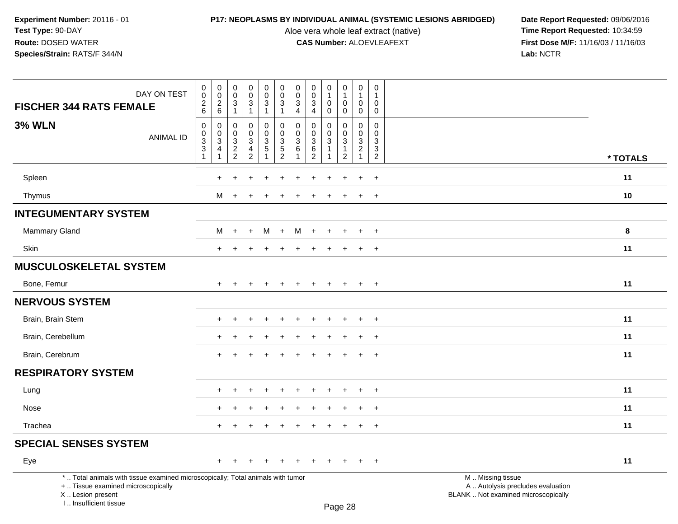Aloe vera whole leaf extract (native)<br>**CAS Number:** ALOEVLEAFEXT

| DAY ON TEST<br><b>FISCHER 344 RATS FEMALE</b>                                                                                                                       | $\mathsf 0$<br>$\pmb{0}$<br>$\sqrt{2}$<br>6 | $\mathbf 0$<br>$\overline{0}$<br>$\overline{2}$<br>$\,6\,$ | $\pmb{0}$<br>$\ddot{\mathbf{0}}$<br>3 | $\begin{smallmatrix}0\0\0\end{smallmatrix}$<br>3<br>$\mathbf{1}$ | $\begin{smallmatrix} 0\\0 \end{smallmatrix}$<br>$\mathbf{3}$<br>$\mathbf{1}$ | $\mathbf 0$<br>$\overline{0}$<br>$\sqrt{3}$<br>$\mathbf{1}$ | $\pmb{0}$<br>$\boldsymbol{0}$<br>$\mathbf{3}$<br>$\overline{4}$ | $\pmb{0}$<br>$\mathbf 0$<br>$\mathbf{3}$<br>$\overline{4}$ | $\pmb{0}$<br>$\mathbf{1}$<br>$\mathbf 0$ | $\pmb{0}$<br>$\overline{1}$<br>$\mathbf 0$<br>$\mathbf 0$ | $\mathsf{O}\xspace$<br>$\mathbf{1}$<br>$\mathbf 0$ | $\mathsf 0$<br>$\Omega$    |                                                                                               |
|---------------------------------------------------------------------------------------------------------------------------------------------------------------------|---------------------------------------------|------------------------------------------------------------|---------------------------------------|------------------------------------------------------------------|------------------------------------------------------------------------------|-------------------------------------------------------------|-----------------------------------------------------------------|------------------------------------------------------------|------------------------------------------|-----------------------------------------------------------|----------------------------------------------------|----------------------------|-----------------------------------------------------------------------------------------------|
| <b>3% WLN</b>                                                                                                                                                       | $\mathbf 0$                                 | $\mathbf 0$                                                | $\mathbf{1}$<br>$\mathbf 0$           | $\mathbf 0$                                                      | 0                                                                            | $\mathbf 0$                                                 | $\mathbf 0$                                                     | $\mathbf 0$                                                | 0<br>0                                   | 0                                                         | 0<br>$\mathbf 0$                                   | $\mathbf 0$<br>$\mathbf 0$ |                                                                                               |
| <b>ANIMAL ID</b>                                                                                                                                                    | $\,0\,$                                     | 0<br>$\ensuremath{\mathsf{3}}$                             | 0                                     | 0<br>3                                                           | $\pmb{0}$                                                                    | $\pmb{0}$                                                   | 0<br>$\sqrt{3}$                                                 | $\mathbf{0}$<br>$\mathbf 3$                                | $\Omega$<br>3                            | $\pmb{0}$<br>$\sqrt{3}$                                   | 0<br>$\mathbf{3}$                                  | $\Omega$<br>3              |                                                                                               |
|                                                                                                                                                                     | $\frac{3}{3}$<br>$\overline{1}$             | $\overline{4}$<br>$\mathbf{1}$                             | $_2^3$<br>$\overline{2}$              | 4<br>$\overline{c}$                                              | $\frac{3}{5}$                                                                | $\frac{3}{5}$<br>$\overline{2}$                             | 6                                                               | $\,6\,$<br>$\overline{2}$                                  |                                          | $\mathbf{1}$<br>$\overline{2}$                            | $\overline{2}$<br>$\mathbf{1}$                     | 3<br>$\overline{2}$        |                                                                                               |
|                                                                                                                                                                     |                                             |                                                            |                                       |                                                                  |                                                                              |                                                             |                                                                 |                                                            |                                          |                                                           |                                                    |                            | * TOTALS                                                                                      |
| Spleen                                                                                                                                                              |                                             | $\div$                                                     |                                       |                                                                  |                                                                              |                                                             |                                                                 |                                                            |                                          |                                                           |                                                    | $\ddot{}$                  | 11                                                                                            |
| Thymus                                                                                                                                                              |                                             | M                                                          | $+$                                   | $\ddot{}$                                                        | $\div$                                                                       |                                                             |                                                                 |                                                            | $\div$                                   | $\pm$                                                     | $+$                                                | $\overline{+}$             | 10                                                                                            |
| <b>INTEGUMENTARY SYSTEM</b>                                                                                                                                         |                                             |                                                            |                                       |                                                                  |                                                                              |                                                             |                                                                 |                                                            |                                          |                                                           |                                                    |                            |                                                                                               |
| Mammary Gland                                                                                                                                                       |                                             | M                                                          | $+$                                   | $+$                                                              | M                                                                            | $+$                                                         | M                                                               | $\overline{+}$                                             | $+$                                      | $\pm$                                                     | $+$                                                | $\ddot{}$                  | 8                                                                                             |
| <b>Skin</b>                                                                                                                                                         |                                             | $\ddot{}$                                                  | $\ddot{}$                             | $\ddot{}$                                                        |                                                                              | $\overline{1}$                                              | $\div$                                                          |                                                            | $\ddot{}$                                | $\ddot{}$                                                 | $+$                                                | $\ddot{}$                  | 11                                                                                            |
| <b>MUSCULOSKELETAL SYSTEM</b>                                                                                                                                       |                                             |                                                            |                                       |                                                                  |                                                                              |                                                             |                                                                 |                                                            |                                          |                                                           |                                                    |                            |                                                                                               |
| Bone, Femur                                                                                                                                                         |                                             | $\ddot{}$                                                  |                                       |                                                                  |                                                                              |                                                             |                                                                 |                                                            | $\div$                                   | $\ddot{}$                                                 | $+$                                                | $+$                        | 11                                                                                            |
| <b>NERVOUS SYSTEM</b>                                                                                                                                               |                                             |                                                            |                                       |                                                                  |                                                                              |                                                             |                                                                 |                                                            |                                          |                                                           |                                                    |                            |                                                                                               |
| Brain, Brain Stem                                                                                                                                                   |                                             | ÷                                                          |                                       |                                                                  |                                                                              |                                                             |                                                                 |                                                            |                                          |                                                           |                                                    | $\overline{ }$             | 11                                                                                            |
| Brain, Cerebellum                                                                                                                                                   |                                             |                                                            |                                       |                                                                  |                                                                              |                                                             |                                                                 |                                                            |                                          |                                                           |                                                    |                            | 11                                                                                            |
| Brain, Cerebrum                                                                                                                                                     |                                             | $\div$                                                     |                                       |                                                                  |                                                                              |                                                             |                                                                 |                                                            |                                          |                                                           | $\ddot{}$                                          | $\ddot{}$                  | 11                                                                                            |
| <b>RESPIRATORY SYSTEM</b>                                                                                                                                           |                                             |                                                            |                                       |                                                                  |                                                                              |                                                             |                                                                 |                                                            |                                          |                                                           |                                                    |                            |                                                                                               |
| Lung                                                                                                                                                                |                                             | $\ddot{}$                                                  |                                       | $\pm$                                                            | ÷                                                                            |                                                             |                                                                 |                                                            |                                          |                                                           | $\pm$                                              | $\ddot{}$                  | 11                                                                                            |
| Nose                                                                                                                                                                |                                             | ÷                                                          |                                       |                                                                  |                                                                              |                                                             |                                                                 |                                                            |                                          |                                                           | $\ddot{}$                                          | $\ddot{}$                  | 11                                                                                            |
| Trachea                                                                                                                                                             |                                             | $\ddot{}$                                                  | $\ddot{}$                             | $\ddot{}$                                                        | $\div$                                                                       | $\overline{ }$                                              | $\pm$                                                           | $\div$                                                     | $\ddot{}$                                | $\ddot{}$                                                 | $+$                                                | $+$                        | 11                                                                                            |
| <b>SPECIAL SENSES SYSTEM</b>                                                                                                                                        |                                             |                                                            |                                       |                                                                  |                                                                              |                                                             |                                                                 |                                                            |                                          |                                                           |                                                    |                            |                                                                                               |
| Eye                                                                                                                                                                 |                                             | $\ddot{}$                                                  |                                       |                                                                  |                                                                              |                                                             |                                                                 |                                                            |                                          |                                                           | $\ddot{}$                                          | $\ddot{}$                  | 11                                                                                            |
| *  Total animals with tissue examined microscopically; Total animals with tumor<br>+  Tissue examined microscopically<br>X  Lesion present<br>I Insufficient tissue |                                             |                                                            |                                       |                                                                  |                                                                              |                                                             |                                                                 |                                                            |                                          | $D_{200}$ 28                                              |                                                    |                            | M  Missing tissue<br>A  Autolysis precludes evaluation<br>BLANK  Not examined microscopically |